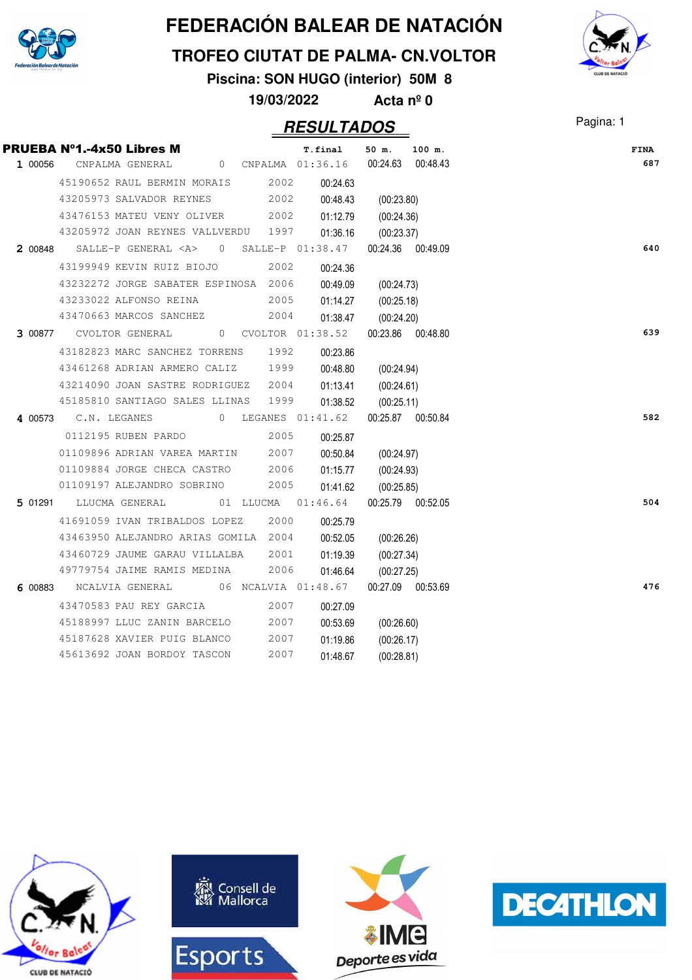

#### **TROFEO CIUTAT DE PALMA- CN.VOLTOR**

**Piscina: SON HUGO (interior) 50M 8**

**19/03/2022 Acta nº 0**

| PRUEBA N°1.-4x50 Libres M                                            |      | T.final  | 50 m. 100 m.          |  | <b>FINA</b> |
|----------------------------------------------------------------------|------|----------|-----------------------|--|-------------|
| 1 00056 CNPALMA GENERAL 0 CNPALMA 01:36.16 00:24.63 00:48.43         |      |          |                       |  | 687         |
| 45190652 RAUL BERMIN MORAIS 2002                                     |      | 00:24.63 |                       |  |             |
| 43205973 SALVADOR REYNES                                             | 2002 | 00:48.43 | (00:23.80)            |  |             |
| 43476153 MATEU VENY OLIVER 2002                                      |      |          | 01:12.79 (00:24.36)   |  |             |
| 43205972 JOAN REYNES VALLVERDU 1997                                  |      |          | 01:36.16 (00:23.37)   |  |             |
| 2 00848 SALLE-P GENERAL <a> 0 SALLE-P 01:38.47 00:24.36 00:49.09</a> |      |          |                       |  | 640         |
| 43199949 KEVIN RUIZ BIOJO 2002                                       |      | 00:24.36 |                       |  |             |
| 43232272 JORGE SABATER ESPINOSA 2006                                 |      | 00:49.09 | (00:24.73)            |  |             |
| 43233022 ALFONSO REINA                                               | 2005 |          | 01:14.27 (00:25.18)   |  |             |
| 43470663 MARCOS SANCHEZ 2004                                         |      |          | 01:38.47 (00:24.20)   |  |             |
| 3 00877 CVOLTOR GENERAL 0 CVOLTOR 01:38.52                           |      |          | 00:23.86 00:48.80     |  | 639         |
| 43182823 MARC SANCHEZ TORRENS 1992                                   |      | 00:23.86 |                       |  |             |
| 43461268 ADRIAN ARMERO CALIZ 1999                                    |      | 00:48.80 | (00:24.94)            |  |             |
| 43214090 JOAN SASTRE RODRIGUEZ 2004                                  |      |          | 01:13.41 (00:24.61)   |  |             |
| 45185810 SANTIAGO SALES LLINAS 1999                                  |      |          | $01:38.52$ (00:25.11) |  |             |
| 4 00573 C.N. LEGANES 0 LEGANES 01:41.62                              |      |          | 00:25.87 00:50.84     |  | 582         |
| 0112195 RUBEN PARDO<br>2005                                          |      | 00:25.87 |                       |  |             |
| 01109896 ADRIAN VAREA MARTIN 2007                                    |      | 00:50.84 | (00:24.97)            |  |             |
| 01109884 JORGE CHECA CASTRO                                          | 2006 |          | 01:15.77 (00:24.93)   |  |             |
| 01109197 ALEJANDRO SOBRINO 2005                                      |      |          | 01:41.62 (00:25.85)   |  |             |
| 5 01291 LLUCMA GENERAL 01 LLUCMA 01:46.64                            |      |          | 00:25.79 00:52.05     |  | 504         |
| 41691059 IVAN TRIBALDOS LOPEZ 2000                                   |      | 00:25.79 |                       |  |             |
| 43463950 ALEJANDRO ARIAS GOMILA 2004                                 |      | 00:52.05 | (00:26.26)            |  |             |
| 43460729 JAUME GARAU VILLALBA 2001                                   |      | 01:19.39 | (00:27.34)            |  |             |
| 49779754 JAIME RAMIS MEDINA 2006                                     |      |          | 01:46.64 (00:27.25)   |  |             |
| 6 00883  NCALVIA GENERAL  06  NCALVIA  01:48.67                      |      |          | 00:27.09 00:53.69     |  | 476         |
| 43470583 PAU REY GARCIA                                              | 2007 | 00:27.09 |                       |  |             |
| 45188997 LLUC ZANIN BARCELO                                          | 2007 | 00:53.69 | (00:26.60)            |  |             |
| 45187628 XAVIER PUIG BLANCO                                          | 2007 | 01:19.86 | (00:26.17)            |  |             |
| 45613692 JOAN BORDOY TASCON                                          | 2007 | 01:48.67 | (00:28.81)            |  |             |





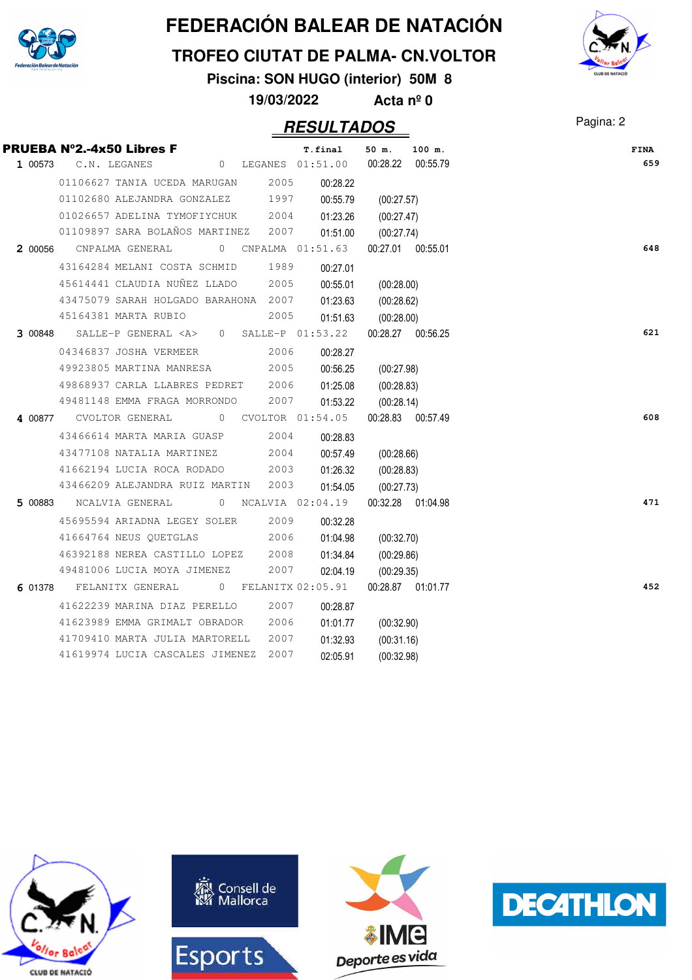

#### **TROFEO CIUTAT DE PALMA- CN.VOLTOR**

**Piscina: SON HUGO (interior) 50M 8**

**19/03/2022 Acta nº 0**



|         | <b>PRUEBA N°2.-4x50 Libres F</b>                                  |              | T.final             | 50 m.<br>100 m.   | <b>FINA</b> |
|---------|-------------------------------------------------------------------|--------------|---------------------|-------------------|-------------|
| 1 00573 | C.N. LEGANES                                                      |              | 0 LEGANES 01:51.00  | 00:28.22 00:55.79 |             |
|         | 01106627 TANIA UCEDA MARUGAN                                      | 2005         | 00:28.22            |                   |             |
|         | 01102680 ALEJANDRA GONZALEZ                                       | 1997         | 00:55.79            | (00:27.57)        |             |
|         | 01026657 ADELINA TYMOFIYCHUK                                      | 2004         | 01:23.26            | (00:27.47)        |             |
|         | 01109897 SARA BOLAÑOS MARTINEZ                                    | 2007         | 01:51.00            | (00:27.74)        |             |
|         | 2 00056 CNPALMA GENERAL<br>0 CNPALMA 01:51.63                     |              |                     | 00:27.01 00:55.01 |             |
|         | 43164284 MELANI COSTA SCHMID                                      | 1989         | 00:27.01            |                   |             |
|         | 45614441 CLAUDIA NUÑEZ LLADO                                      | 2005         | 00:55.01            | (00:28.00)        |             |
|         | 43475079 SARAH HOLGADO BARAHONA 2007                              |              | 01:23.63            | (00:28.62)        |             |
|         | 45164381 MARTA RUBIO                                              | 2005         | 01:51.63            | (00:28.00)        |             |
| 3 00848 | SALLE-P GENERAL $\langle A \rangle$ 0 SALLE-P 01:53.22            |              |                     | 00:28.27 00:56.25 |             |
|         | 04346837 JOSHA VERMEER                                            | 2006         | 00:28.27            |                   |             |
|         | 49923805 MARTINA MANRESA                                          | 2005         | 00:56.25            | (00:27.98)        |             |
|         | 49868937 CARLA LLABRES PEDRET                                     | 2006         | 01:25.08            | (00:28.83)        |             |
|         | 49481148 EMMA FRAGA MORRONDO                                      | 2007         | 01:53.22            | (00:28.14)        |             |
| 4 00877 | CVOLTOR GENERAL<br>0 CVOLTOR 01:54.05                             |              |                     | 00:28.83 00:57.49 |             |
|         | 43466614 MARTA MARIA GUASP                                        | 2004         | 00:28.83            |                   |             |
|         | 43477108 NATALIA MARTINEZ                                         | 2004         | 00:57.49            | (00:28.66)        |             |
|         | 41662194 LUCIA ROCA RODADO                                        | 2003         | 01:26.32            | (00:28.83)        |             |
|         | 43466209 ALEJANDRA RUIZ MARTIN                                    | 2003         | 01:54.05            | (00:27.73)        |             |
| 5 00883 | NCALVIA GENERAL                                                   |              | 0 NCALVIA 02:04.19  | 00:32.28 01:04.98 |             |
|         | 45695594 ARIADNA LEGEY SOLER                                      | 2009         | 00:32.28            |                   |             |
|         | 41664764 NEUS OUETGLAS                                            | 2006         | 01:04.98            | (00:32.70)        |             |
|         | 46392188 NEREA CASTILLO LOPEZ                                     | 2008         | 01:34.84            | (00:29.86)        |             |
|         | 49481006 LUCIA MOYA JIMENEZ                                       | 2007         | 02:04.19            | (00:29.35)        |             |
|         | 6 01378 FELANITX GENERAL                                          |              | 0 FELANITX 02:05.91 | 00:28.87 01:01.77 |             |
|         | 41622239 MARINA DIAZ PERELLO                                      | 2007         | 00:28.87            |                   |             |
|         | 41623989 EMMA GRIMALT OBRADOR                                     | 2006         |                     |                   |             |
|         |                                                                   |              | 01:01.77            | (00:32.90)        |             |
|         | 41709410 MARTA JULIA MARTORELL<br>41619974 LUCIA CASCALES JIMENEZ | 2007<br>2007 | 01:32.93            | (00:31.16)        |             |
|         |                                                                   |              | 02:05.91            | (00:32.98)        |             |







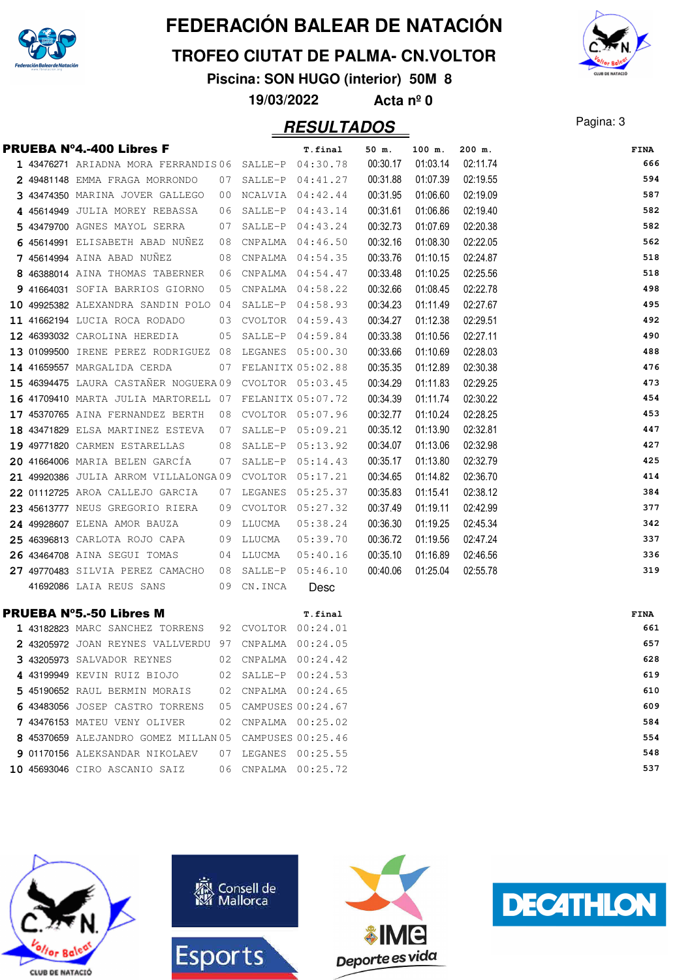

#### **TROFEO CIUTAT DE PALMA- CN.VOLTOR**

**Piscina: SON HUGO (interior) 50M 8**

**19/03/2022 Acta nº 0**

### Pagina: 3 **RESULTADOS**



|  | <b>PRUEBA N°4.-400 Libres F</b>                        |    |            | T.final              | 50 m.    | 100 m.   | $200$ m. | <b>FINA</b> |
|--|--------------------------------------------------------|----|------------|----------------------|----------|----------|----------|-------------|
|  | 1 43476271 ARIADNA MORA FERRANDIS06 SALLE-P 04:30.78   |    |            |                      | 00:30.17 | 01:03.14 | 02:11.74 | 666         |
|  | 2 49481148 EMMA FRAGA MORRONDO                         |    |            | 07 SALLE-P 04:41.27  | 00:31.88 | 01:07.39 | 02:19.55 | 594         |
|  | 3 43474350 MARINA JOVER GALLEGO 00 NCALVIA 04:42.44    |    |            |                      | 00:31.95 | 01:06.60 | 02:19.09 | 587         |
|  | 4 45614949 JULIA MOREY REBASSA                         | 06 |            | SALLE-P 04:43.14     | 00:31.61 | 01:06.86 | 02:19.40 | 582         |
|  | 5 43479700 AGNES MAYOL SERRA                           | 07 |            | SALLE-P 04:43.24     | 00:32.73 | 01:07.69 | 02:20.38 | 582         |
|  | 6 45614991 ELISABETH ABAD NUNEZ 08 CNPALMA 04:46.50    |    |            |                      | 00:32.16 | 01:08.30 | 02:22.05 | 562         |
|  | <b>7</b> 45614994 AINA ABAD NUNEZ                      |    |            | 08 CNPALMA 04:54.35  | 00:33.76 | 01:10.15 | 02:24.87 | 518         |
|  | 8 46388014 AINA THOMAS TABERNER 06 CNPALMA 04:54.47    |    |            |                      | 00:33.48 | 01:10.25 | 02:25.56 | 518         |
|  | 9 41664031 SOFIA BARRIOS GIORNO 05 CNPALMA 04:58.22    |    |            |                      | 00:32.66 | 01:08.45 | 02:22.78 | 498         |
|  | 10 49925382 ALEXANDRA SANDIN POLO 04                   |    |            | SALLE-P 04:58.93     | 00:34.23 | 01:11.49 | 02:27.67 | 495         |
|  | <b>11 41662194</b> LUCIA ROCA RODADO                   |    |            | 03 CVOLTOR 04:59.43  | 00:34.27 | 01:12.38 | 02:29.51 | 492         |
|  | 12 46393032 CAROLINA HEREDIA                           |    |            | 05 SALLE-P 04:59.84  | 00:33.38 | 01:10.56 | 02:27.11 | 490         |
|  | 13 01099500 IRENE PEREZ RODRIGUEZ 08 LEGANES 05:00.30  |    |            |                      | 00:33.66 | 01:10.69 | 02:28.03 | 488         |
|  | 14 41659557 MARGALIDA CERDA                            |    |            | 07 FELANITX 05:02.88 | 00:35.35 | 01:12.89 | 02:30.38 | 476         |
|  | 15 46394475 LAURA CASTANER NOGUERA 09 CVOLTOR 05:03.45 |    |            |                      | 00:34.29 | 01:11.83 | 02:29.25 | 473         |
|  | 16 41709410 MARTA JULIA MARTORELL 07 FELANITX 05:07.72 |    |            |                      | 00:34.39 | 01:11.74 | 02:30.22 | 454         |
|  | 17 45370765 AINA FERNANDEZ BERTH                       |    |            | 08 CVOLTOR 05:07.96  | 00:32.77 | 01:10.24 | 02:28.25 | 453         |
|  | 18 43471829 ELSA MARTINEZ ESTEVA 07 SALLE-P 05:09.21   |    |            |                      | 00:35.12 | 01:13.90 | 02:32.81 | 447         |
|  | 19 49771820 CARMEN ESTARELLAS                          |    |            | 08 SALLE-P 05:13.92  | 00:34.07 | 01:13.06 | 02:32.98 | 427         |
|  | 20 41664006 MARIA BELEN GARCÍA                         | 07 |            | SALLE-P 05:14.43     | 00:35.17 | 01:13.80 | 02:32.79 | 425         |
|  | 21 49920386 JULIA ARROM VILLALONGA09 CVOLTOR 05:17.21  |    |            |                      | 00:34.65 | 01:14.82 | 02:36.70 | 414         |
|  | 22 01112725 AROA CALLEJO GARCIA                        |    |            | 07 LEGANES 05:25.37  | 00:35.83 | 01:15.41 | 02:38.12 | 384         |
|  | 23 45613777 NEUS GREGORIO RIERA                        |    |            | 09 CVOLTOR 05:27.32  | 00:37.49 | 01:19.11 | 02:42.99 | 377         |
|  | 24 49928607 ELENA AMOR BAUZA                           |    | 09 LLUCMA  | 05:38.24             | 00:36.30 | 01:19.25 | 02:45.34 | 342         |
|  | <b>25 46396813</b> carlota rojo capa                   |    | 09 LLUCMA  | 05:39.70             | 00:36.72 | 01:19.56 | 02:47.24 | 337         |
|  | 26 43464708 AINA SEGUI TOMAS                           |    | 04 LLUCMA  | 05:40.16             | 00:35.10 | 01:16.89 | 02:46.56 | 336         |
|  | 27 49770483 SILVIA PEREZ CAMACHO 08 SALLE-P 05:46.10   |    |            |                      | 00:40.06 | 01:25.04 | 02:55.78 | 319         |
|  | 41692086 LAIA REUS SANS                                |    | 09 CN.INCA | Desc                 |          |          |          |             |
|  | <b>PRUEBA N°5.-50 Libres M</b>                         |    |            | T.final              |          |          |          | FINA        |
|  | 1 43182823 MARC SANCHEZ TORRENS 92 CVOLTOR 00:24.01    |    |            |                      |          |          |          | 661         |
|  | 2 43205972 JOAN REYNES VALLVERDU 97 CNPALMA 00:24.05   |    |            |                      |          |          |          | 657         |
|  | 3 43205973 SALVADOR REYNES                             |    |            | 02 CNPALMA 00:24.42  |          |          |          | 628         |
|  | 4 43199949 KEVIN RUIZ BIOJO                            |    |            | 02 SALLE-P 00:24.53  |          |          |          | 619         |
|  | 5 45190652 RAUL BERMIN MORAIS                          |    |            | 02 CNPALMA 00:24.65  |          |          |          | 610         |
|  | 6 43483056 JOSEP CASTRO TORRENS 05 CAMPUSES 00:24.67   |    |            |                      |          |          |          | 609         |
|  | 7 43476153 MATEU VENY OLIVER                           | 02 |            | CNPALMA  00:25.02    |          |          |          | 584         |
|  | 8 45370659 ALEJANDRO GOMEZ MILLAN 05 CAMPUSES 00:25.46 |    |            |                      |          |          |          | 554         |

 01170156 ALEKSANDAR NIKOLAEV 00:25.55 07 LEGANES **548** 45693046 CIRO ASCANIO SAIZ 06 CNPALMA 00:25.72 537

**CLUB DE NATACIÓ** 





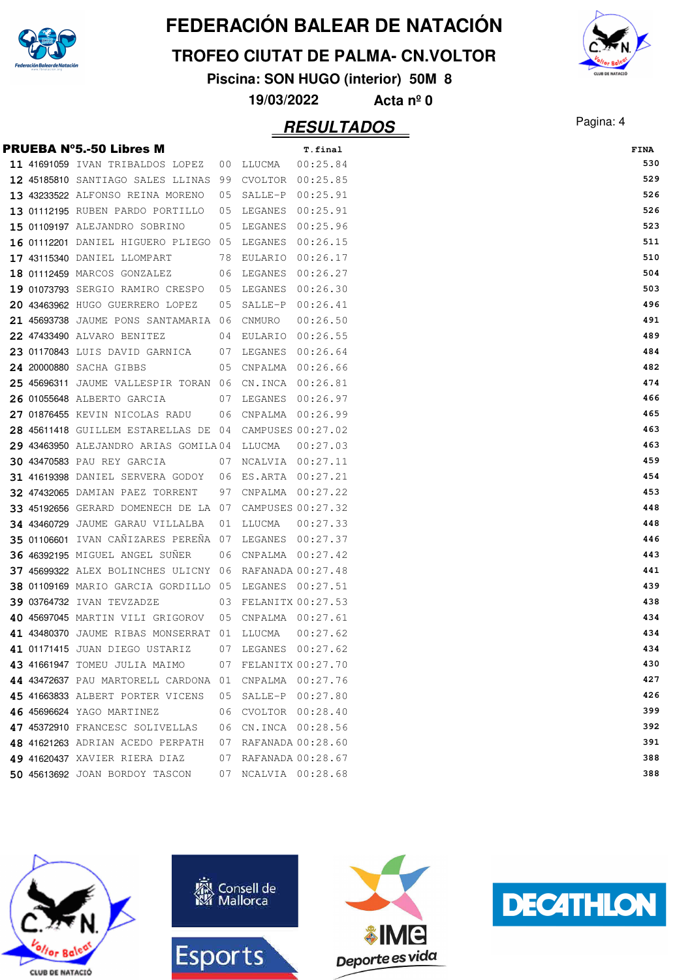

#### **TROFEO CIUTAT DE PALMA- CN.VOLTOR**

**Piscina: SON HUGO (interior) 50M 8**

**19/03/2022 Acta nº 0**

|  | <b>PRUEBA Nº5.-50 Libres M</b>                         |    |                      | T.final  | <b>FINA</b> |
|--|--------------------------------------------------------|----|----------------------|----------|-------------|
|  | 11 41691059 IVAN TRIBALDOS LOPEZ                       |    | 00 LLUCMA            | 00:25.84 | 530         |
|  | 12 45185810 SANTIAGO SALES LLINAS 99 CVOLTOR 00:25.85  |    |                      |          | 529         |
|  | 13 43233522 ALFONSO REINA MORENO                       |    | 05 SALLE-P 00:25.91  |          | 526         |
|  | 13 01112195 RUBEN PARDO PORTILLO                       |    | 05 LEGANES 00:25.91  |          | 526         |
|  | 15 01109197 ALEJANDRO SOBRINO                          |    | 05 LEGANES 00:25.96  |          | 523         |
|  | 16 01112201 DANIEL HIGUERO PLIEGO 05 LEGANES 00:26.15  |    |                      |          | 511         |
|  | 17 43115340 DANIEL LLOMPART                            |    | 78 EULARIO 00:26.17  |          | 510         |
|  | 18 01112459 MARCOS GONZALEZ                            |    | 06 LEGANES 00:26.27  |          | 504         |
|  | 19 01073793 SERGIO RAMIRO CRESPO 05 LEGANES 00:26.30   |    |                      |          | 503         |
|  | 20 43463962 HUGO GUERRERO LOPEZ                        | 05 | SALLE-P 00:26.41     |          | 496         |
|  | 21 45693738 JAUME PONS SANTAMARIA 06 CNMURO            |    |                      | 00:26.50 | 491         |
|  | 22 47433490 ALVARO BENITEZ                             |    | 04 EULARIO 00:26.55  |          | 489         |
|  | 23 01170843 LUIS DAVID GARNICA 07 LEGANES 00:26.64     |    |                      |          | 484         |
|  | 24 20000880 SACHA GIBBS                                | 05 | CNPALMA 00:26.66     |          | 482         |
|  |                                                        |    |                      |          | 474         |
|  | 26 01055648 ALBERTO GARCIA                             |    | 07 LEGANES 00:26.97  |          | 466         |
|  | 27 01876455 KEVIN NICOLAS RADU                         |    | 06 CNPALMA 00:26.99  |          | 465         |
|  | 28 45611418 GUILLEM ESTARELLAS DE 04 CAMPUSES 00:27.02 |    |                      |          | 463         |
|  | 29 43463950 ALEJANDRO ARIAS GOMILA04 LLUCMA            |    |                      | 00:27.03 | 463         |
|  | <b>30 43470583 PAU REY GARCIA</b>                      |    | 07 NCALVIA 00:27.11  |          | 459         |
|  | 31 41619398 DANIEL SERVERA GODOY 06 ES.ARTA 00:27.21   |    |                      |          | 454         |
|  | <b>32 47432065</b> DAMIAN PAEZ TORRENT                 |    | 97 CNPALMA 00:27.22  |          | 453         |
|  | 33 45192656 GERARD DOMENECH DE LA 07 CAMPUSES 00:27.32 |    |                      |          | 448         |
|  | 34 43460729 JAUME GARAU VILLALBA                       |    | 01 LLUCMA            | 00:27.33 | 448         |
|  | 35 01106601 IVAN CAÑIZARES PEREÑA 07 LEGANES 00:27.37  |    |                      |          | 446         |
|  | <b>36 46392195 MIGUEL ANGEL SUNER</b>                  |    | 06 CNPALMA 00:27.42  |          | 443         |
|  | 37 45699322 ALEX BOLINCHES ULICNY 06 RAFANADA 00:27.48 |    |                      |          | 441         |
|  | 38 01109169 MARIO GARCIA GORDILLO 05 LEGANES 00:27.51  |    |                      |          | 439         |
|  | <b>39 03764732 IVAN TEVZADZE</b>                       |    | 03 FELANITX 00:27.53 |          | 438         |
|  | 40 45697045 MARTIN VILI GRIGOROV 05 CNPALMA 00:27.61   |    |                      |          | 434         |
|  | 41 43480370 JAUME RIBAS MONSERRAT 01 LLUCMA            |    |                      | 00:27.62 | 434         |
|  | 41 01171415 JUAN DIEGO USTARIZ                         |    | 07 LEGANES 00:27.62  |          | 434         |
|  | 43 41661947 TOMEU JULIA MAIMO 07 FELANITX 00:27.70     |    |                      |          | 430         |
|  | 44 43472637 PAU MARTORELL CARDONA 01 CNPALMA 00:27.76  |    |                      |          | 427         |
|  | 45 41663833 ALBERT PORTER VICENS                       |    | 05 SALLE-P 00:27.80  |          | 426         |
|  | 46 45696624 YAGO MARTINEZ                              |    | 06 CVOLTOR 00:28.40  |          | 399         |
|  | 47 45372910 FRANCESC SOLIVELLAS                        |    | 06 CN.INCA 00:28.56  |          | 392         |
|  | 48 41621263 ADRIAN ACEDO PERPATH                       |    | 07 RAFANADA 00:28.60 |          | 391         |
|  | 49 41620437 XAVIER RIERA DIAZ                          |    | 07 RAFANADA 00:28.67 |          | 388         |
|  | 50 45613692 JOAN BORDOY TASCON                         |    | 07 NCALVIA 00:28.68  |          | 388         |
|  |                                                        |    |                      |          |             |









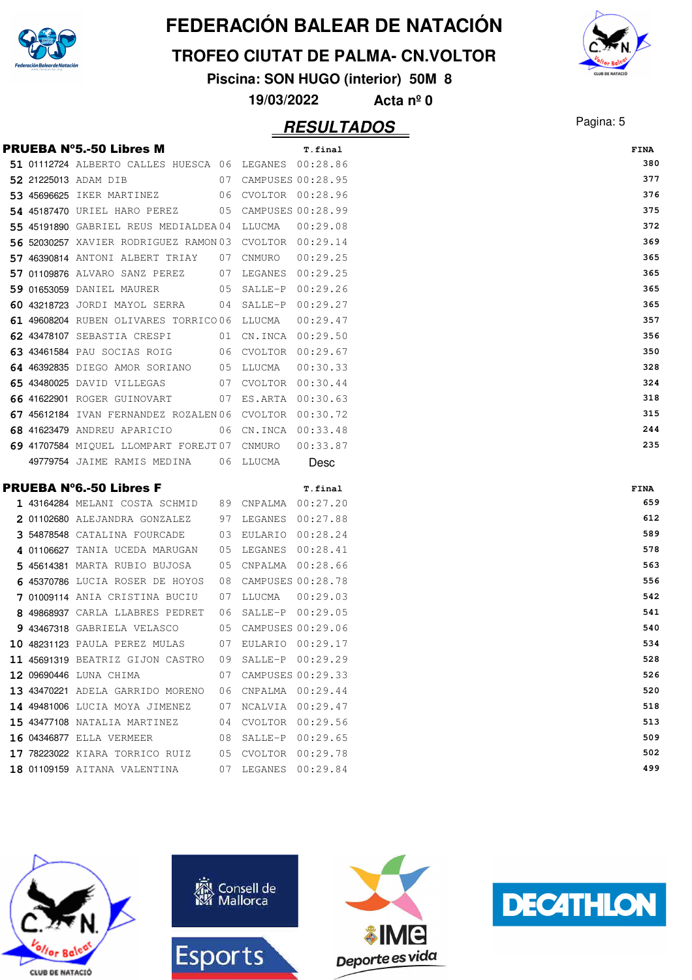

#### **TROFEO CIUTAT DE PALMA- CN.VOLTOR**

**Piscina: SON HUGO (interior) 50M 8**

**19/03/2022 Acta nº 0**









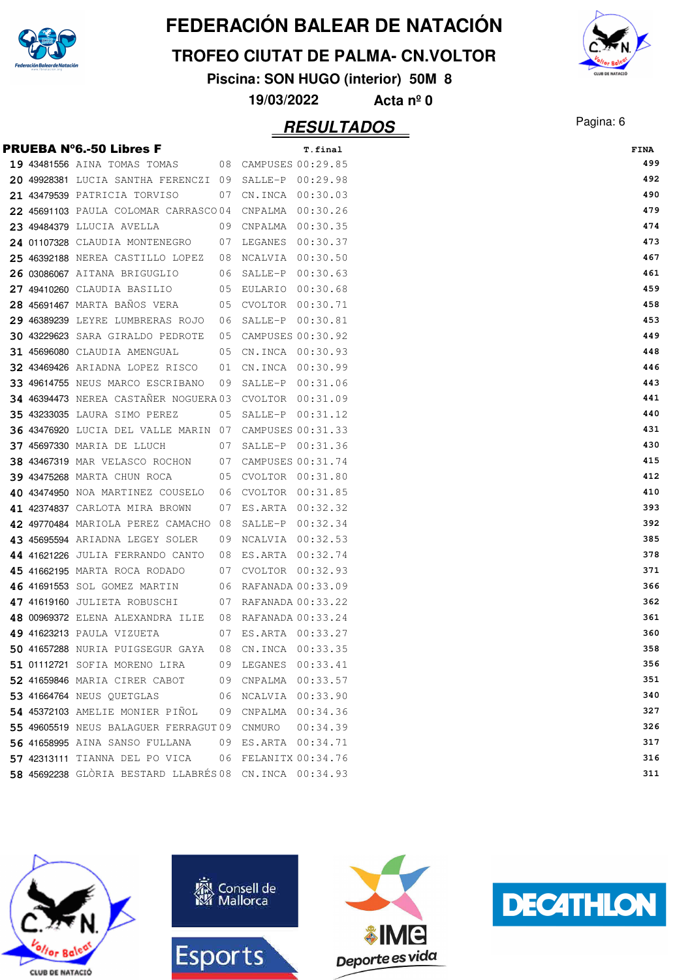

#### **TROFEO CIUTAT DE PALMA- CN.VOLTOR**

**Piscina: SON HUGO (interior) 50M 8**

**19/03/2022 Acta nº 0**

|  | <b>PRUEBA N°6.-50 Libres F</b>                                |    |                      | T.final  | <b>FINA</b> |
|--|---------------------------------------------------------------|----|----------------------|----------|-------------|
|  | 19 43481556 AINA TOMAS TOMAS 08 CAMPUSES 00:29.85             |    |                      |          | 499         |
|  | 20 49928381 LUCIA SANTHA FERENCZI 09 SALLE-P 00:29.98         |    |                      |          | 492         |
|  | 21 43479539 PATRICIA TORVISO                                  |    | 07 CN.INCA 00:30.03  |          | 490         |
|  | 22 45691103 PAULA COLOMAR CARRASCO04 CNPALMA 00:30.26         |    |                      |          | 479         |
|  | 23 49484379 LLUCIA AVELLA                                     |    | 09 CNPALMA 00:30.35  |          | 474         |
|  | 24 01107328 CLAUDIA MONTENEGRO                                |    | 07 LEGANES 00:30.37  |          | 473         |
|  | 25 46392188 NEREA CASTILLO LOPEZ                              | 08 | NCALVIA 00:30.50     |          | 467         |
|  | 26 03086067 AITANA BRIGUGLIO                                  |    | 06 SALLE-P 00:30.63  |          | 461         |
|  | 27 49410260 CLAUDIA BASILIO                                   |    | 05 EULARIO 00:30.68  |          | 459         |
|  | 28 45691467 MARTA BAÑOS VERA                                  |    | 05 CVOLTOR 00:30.71  |          | 458         |
|  | 29 46389239 LEYRE LUMBRERAS ROJO                              |    | 06 SALLE-P 00:30.81  |          | 453         |
|  | 30 43229623 SARA GIRALDO PEDROTE                              |    | 05 CAMPUSES 00:30.92 |          | 449         |
|  | 31 45696080 CLAUDIA AMENGUAL                                  |    | 05 CN.INCA 00:30.93  |          | 448         |
|  | <b>32 43469426</b> ARIADNA LOPEZ RISCO                        | 01 | CN.INCA 00:30.99     |          | 446         |
|  | 33 49614755 NEUS MARCO ESCRIBANO                              |    | 09 SALLE-P 00:31.06  |          | 443         |
|  | 34 46394473 NEREA CASTANER NOGUERA03 CVOLTOR 00:31.09         |    |                      |          | 441         |
|  | <b>35 43233035</b> LAURA SIMO PEREZ                           |    | 05 SALLE-P 00:31.12  |          | 440         |
|  | <b>36 43476920</b> LUCIA DEL VALLE MARIN 07 CAMPUSES 00:31.33 |    |                      |          | 431         |
|  | <b>37 45697330 MARIA DE LLUCH</b>                             |    | 07 SALLE-P 00:31.36  |          | 430         |
|  | <b>38 43467319 MAR VELASCO ROCHON</b>                         |    | 07 CAMPUSES 00:31.74 |          | 415         |
|  | <b>39 43475268 MARTA CHUN ROCA</b>                            |    | 05 CVOLTOR 00:31.80  |          | 412         |
|  | 40 43474950 NOA MARTINEZ COUSELO 06 CVOLTOR 00:31.85          |    |                      |          | 410         |
|  | 41 42374837 CARLOTA MIRA BROWN                                | 07 | ES.ARTA 00:32.32     |          | 393         |
|  | 42 49770484 MARIOLA PEREZ CAMACHO 08                          |    | SALLE-P 00:32.34     |          | 392         |
|  | 43 45695594 ARIADNA LEGEY SOLER                               | 09 | NCALVIA 00:32.53     |          | 385         |
|  | 44 41621226 JULIA FERRANDO CANTO                              |    | 08 ES.ARTA 00:32.74  |          | 378         |
|  | 45 41662195 MARTA ROCA RODADO                                 |    | 07 CVOLTOR 00:32.93  |          | 371         |
|  | 46 41691553 SOL GOMEZ MARTIN                                  |    | 06 RAFANADA 00:33.09 |          | 366         |
|  | 47 41619160 JULIETA ROBUSCHI                                  |    | 07 RAFANADA 00:33.22 |          | 362         |
|  | 48 00969372 ELENA ALEXANDRA ILIE                              |    | 08 RAFANADA 00:33.24 |          | 361         |
|  | 49 41623213 PAULA VIZUETA                                     |    | 07 ES.ARTA 00:33.27  |          | 360         |
|  | 50 41657288 NURIA PUIGSEGUR GAYA                              |    | 08 CN.INCA 00:33.35  |          | 358         |
|  | 51 01112721 SOFIA MORENO LIRA 09 LEGANES 00:33.41             |    |                      |          | 356         |
|  | 52 41659846 MARIA CIRER CABOT                                 |    | 09 CNPALMA 00:33.57  |          | 351         |
|  | 53 41664764 NEUS QUETGLAS                                     |    | 06 NCALVIA 00:33.90  |          | 340         |
|  | 54 45372103 AMELIE MONIER PIÑOL                               |    | 09 CNPALMA 00:34.36  |          | 327         |
|  | 55 49605519 NEUS BALAGUER FERRAGUT 09 CNMURO                  |    |                      | 00:34.39 | 326         |
|  | 56 41658995 AINA SANSO FULLANA                                |    | 09 ES.ARTA 00:34.71  |          | 317         |
|  | 57 42313111 TIANNA DEL PO VICA                                |    | 06 FELANITX 00:34.76 |          | 316         |
|  | 58 45692238 GLÒRIA BESTARD LLABRÉS 08 CN.INCA 00:34.93        |    |                      |          | 311         |









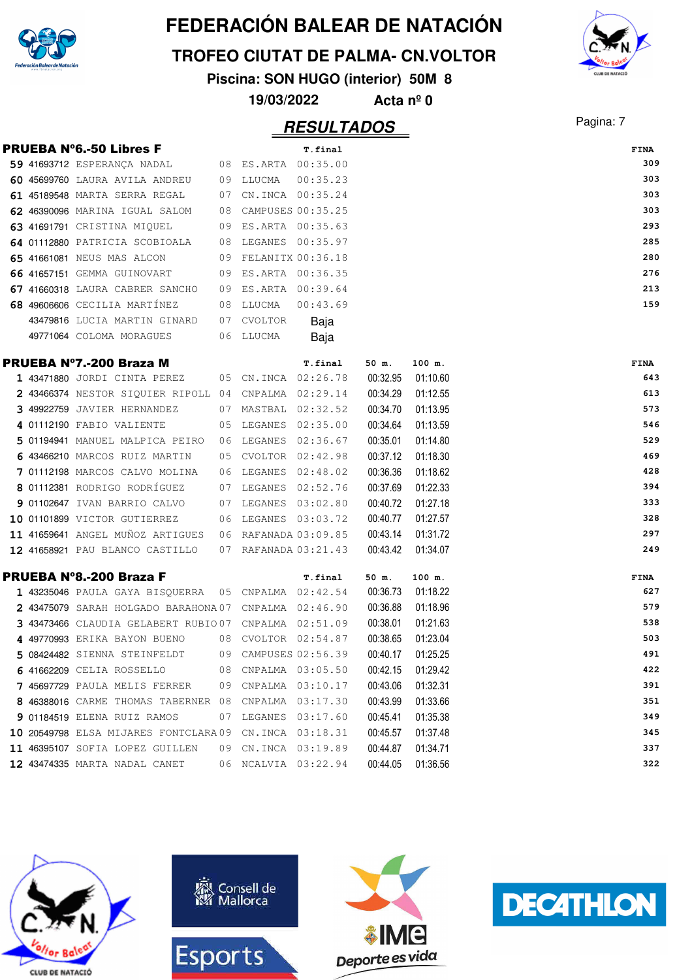

**TROFEO CIUTAT DE PALMA- CN.VOLTOR**

**Piscina: SON HUGO (interior) 50M 8**

**19/03/2022 Acta nº 0**

|  | <b>PRUEBA Nº6.-50 Libres F</b>                        |    |                     | T.final              |          |                   |  |
|--|-------------------------------------------------------|----|---------------------|----------------------|----------|-------------------|--|
|  | 59 41693712 ESPERANÇA NADAL                           |    |                     | 08 ES.ARTA 00:35.00  |          |                   |  |
|  | 60 45699760 LAURA AVILA ANDREU                        |    | 09 LLUCMA           | 00:35.23             |          |                   |  |
|  | 61 45189548 MARTA SERRA REGAL                         | 07 |                     | CN.INCA 00:35.24     |          |                   |  |
|  | 62 46390096 MARINA IGUAL SALOM                        |    |                     | 08 CAMPUSES 00:35.25 |          |                   |  |
|  | 63 41691791 CRISTINA MIQUEL                           |    |                     | 09 ES.ARTA 00:35.63  |          |                   |  |
|  | 64 01112880 PATRICIA SCOBIOALA                        |    |                     | 08 LEGANES 00:35.97  |          |                   |  |
|  | 65 41661081 NEUS MAS ALCON                            |    |                     | 09 FELANITX 00:36.18 |          |                   |  |
|  | 66 41657151 GEMMA GUINOVART                           |    |                     | 09 ES.ARTA 00:36.35  |          |                   |  |
|  | 67 41660318 LAURA CABRER SANCHO                       |    | 09 ES.ARTA 00:39.64 |                      |          |                   |  |
|  | 68 49606606 CECILIA MARTÍNEZ                          |    | 08 LLUCMA           | 00:43.69             |          |                   |  |
|  | 43479816 LUCIA MARTIN GINARD                          |    | 07 CVOLTOR          | Baja                 |          |                   |  |
|  | 49771064 COLOMA MORAGUES                              |    | 06 LLUCMA           | Baja                 |          |                   |  |
|  | <b>PRUEBA Nº7.-200 Braza M</b>                        |    |                     | T.final              | 50 m.    | 100 m.            |  |
|  | 1 43471880 JORDI CINTA PEREZ 05 CN.INCA 02:26.78      |    |                     |                      | 00:32.95 | 01:10.60          |  |
|  | 2 43466374 NESTOR SIQUIER RIPOLL 04 CNPALMA 02:29.14  |    |                     |                      | 00:34.29 | 01:12.55          |  |
|  | 3 49922759 JAVIER HERNANDEZ                           |    |                     | 07 MASTBAL 02:32.52  | 00:34.70 | 01:13.95          |  |
|  | 4 01112190 FABIO VALIENTE                             |    |                     | 05 LEGANES 02:35.00  | 00:34.64 | 01:13.59          |  |
|  | 5 01194941 MANUEL MALPICA PEIRO 06 LEGANES 02:36.67   |    |                     |                      | 00:35.01 | 01:14.80          |  |
|  | 6 43466210 MARCOS RUIZ MARTIN                         |    |                     | 05 CVOLTOR 02:42.98  | 00:37.12 | 01:18.30          |  |
|  | 7 01112198 MARCOS CALVO MOLINA                        | 06 |                     | LEGANES 02:48.02     | 00:36.36 | 01:18.62          |  |
|  | 8 01112381 RODRIGO RODRÍGUEZ                          |    |                     | 07 LEGANES 02:52.76  | 00:37.69 | 01:22.33          |  |
|  | 9 01102647 IVAN BARRIO CALVO                          |    |                     | 07 LEGANES 03:02.80  | 00:40.72 | 01:27.18          |  |
|  | 10 01101899 VICTOR GUTIERREZ                          |    |                     | 06 LEGANES 03:03.72  | 00:40.77 | 01:27.57          |  |
|  | 11 41659641 ANGEL MUÑOZ ARTIGUES                      |    |                     | 06 RAFANADA 03:09.85 | 00:43.14 | 01:31.72          |  |
|  | 12 41658921 PAU BLANCO CASTILLO                       |    |                     | 07 RAFANADA 03:21.43 | 00:43.42 | 01:34.07          |  |
|  |                                                       |    |                     |                      |          |                   |  |
|  | <b>PRUEBA Nº8.-200 Braza F</b>                        |    |                     | T.final              | 50 m.    | 100 m.            |  |
|  | 1 43235046 PAULA GAYA BISQUERRA 05 CNPALMA 02:42.54   |    |                     |                      | 00:36.73 | 01:18.22          |  |
|  | 2 43475079 SARAH HOLGADO BARAHONA 07 CNPALMA 02:46.90 |    |                     |                      | 00:36.88 | 01:18.96          |  |
|  | 3 43473466 CLAUDIA GELABERT RUBIO07 CNPALMA 02:51.09  |    |                     |                      | 00:38.01 | 01:21.63          |  |
|  | 4 49770993 ERIKA BAYON BUENO                          |    |                     | 08 CVOLTOR 02:54.87  | 00:38.65 | 01:23.04          |  |
|  | 5 08424482 SIENNA STEINFELDT                          |    |                     | 09 CAMPUSES 02:56.39 | 00:40.17 | 01:25.25          |  |
|  | 6 41662209 CELIA ROSSELLO 68 CNPALMA 03:05.50         |    |                     |                      | 00:42.15 | 01:29.42          |  |
|  | 7 45697729 PAULA MELIS FERRER 09 CNPALMA 03:10.17     |    |                     |                      | 00:43.06 | 01:32.31          |  |
|  | 8 46388016 CARME THOMAS TABERNER 08 CNPALMA 03:17.30  |    |                     |                      | 00:43.99 | 01:33.66          |  |
|  | 9 01184519 ELENA RUIZ RAMOS                           |    |                     | 07 LEGANES 03:17.60  | 00:45.41 | 01:35.38          |  |
|  | 10 20549798 ELSA MIJARES FONTCLARA09 CN.INCA 03:18.31 |    |                     |                      | 00:45.57 | 01:37.48          |  |
|  | 11 46395107 SOFIA LOPEZ GUILLEN                       |    |                     | 09 CN.INCA 03:19.89  | 00:44.87 | 01:34.71          |  |
|  | 12 43474335 MARTA NADAL CANET                         |    |                     | 06 NCALVIA 03:22.94  |          | 00:44.05 01:36.56 |  |







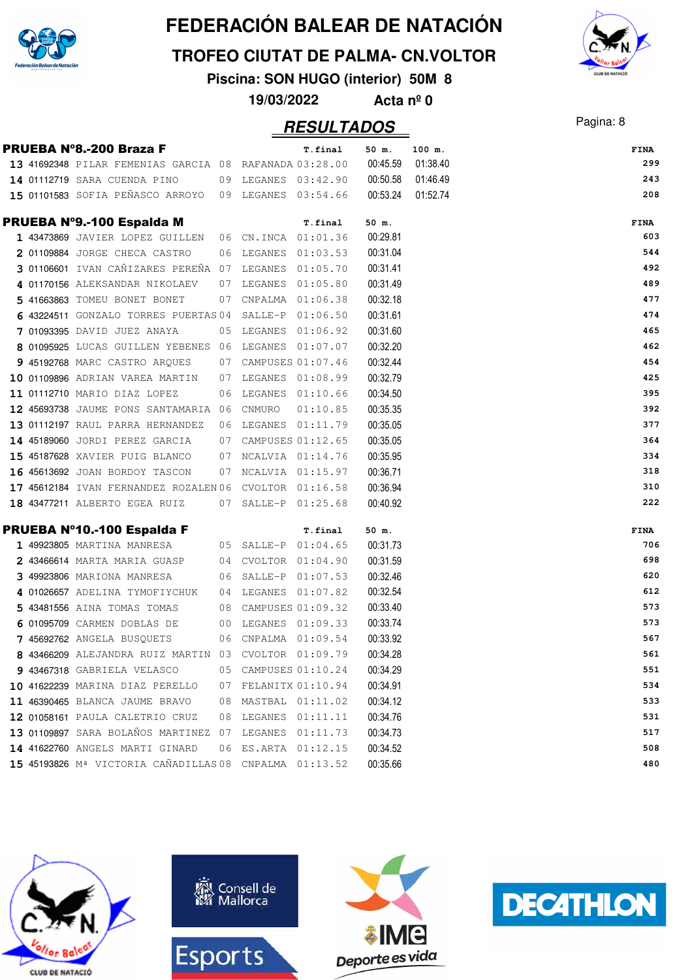

**TROFEO CIUTAT DE PALMA- CN.VOLTOR**

**Piscina: SON HUGO (interior) 50M 8**

**19/03/2022 Acta nº 0**

### Pagina: 8 **RESULTADOS**

|  | PRUEBA Nº8.-200 Braza F                                |    |                      | T.final  | 50 m.    | 100 m.   | FINA |
|--|--------------------------------------------------------|----|----------------------|----------|----------|----------|------|
|  | 13 41692348 PILAR FEMENIAS GARCIA 08 RAFANADA 03:28.00 |    |                      |          | 00:45.59 | 01:38.40 | 299  |
|  | 14 01112719 SARA CUENDA PINO                           |    | 09 LEGANES 03:42.90  |          | 00:50.58 | 01:46.49 | 243  |
|  | 15 01101583 SOFIA PEÑASCO ARROYO 09 LEGANES 03:54.66   |    |                      |          | 00:53.24 | 01:52.74 | 208  |
|  | PRUEBA Nº9.-100 Espalda M                              |    |                      | T.final  | 50 m.    |          | FINA |
|  | 1 43473869 JAVIER LOPEZ GUILLEN 06 CN.INCA 01:01.36    |    |                      |          | 00:29.81 |          | 603  |
|  | 2 01109884 JORGE CHECA CASTRO                          |    | 06 LEGANES 01:03.53  |          | 00:31.04 |          | 544  |
|  | 3 01106601 IVAN CAÑIZARES PEREÑA 07 LEGANES 01:05.70   |    |                      |          | 00:31.41 |          | 492  |
|  | 4 01170156 ALEKSANDAR NIKOLAEV                         |    | 07 LEGANES 01:05.80  |          | 00:31.49 |          | 489  |
|  | 5 41663863 TOMEU BONET BONET                           |    | 07 CNPALMA 01:06.38  |          | 00:32.18 |          | 477  |
|  | 6 43224511 GONZALO TORRES PUERTAS 04 SALLE-P 01:06.50  |    |                      |          | 00:31.61 |          | 474  |
|  | 7 01093395 DAVID JUEZ ANAYA                            |    | 05 LEGANES 01:06.92  |          | 00:31.60 |          | 465  |
|  | 8 01095925 LUCAS GUILLEN YEBENES 06 LEGANES 01:07.07   |    |                      |          | 00:32.20 |          | 462  |
|  | 9 45192768 MARC CASTRO ARQUES                          |    | 07 CAMPUSES 01:07.46 |          | 00:32.44 |          | 454  |
|  | 10 01109896 ADRIAN VAREA MARTIN                        |    | 07 LEGANES 01:08.99  |          | 00:32.79 |          | 425  |
|  | 11 01112710 MARIO DIAZ LOPEZ                           |    | 06 LEGANES 01:10.66  |          | 00:34.50 |          | 395  |
|  | 12 45693738 JAUME PONS SANTAMARIA 06 CNMURO            |    |                      | 01:10.85 | 00:35.35 |          | 392  |
|  | 13 01112197 RAUL PARRA HERNANDEZ                       |    | 06 LEGANES 01:11.79  |          | 00:35.05 |          | 377  |
|  | 14 45189060 JORDI PEREZ GARCIA                         |    | 07 CAMPUSES 01:12.65 |          | 00:35.05 |          | 364  |
|  | 15 45187628 XAVIER PUIG BLANCO                         |    | 07 NCALVIA 01:14.76  |          | 00:35.95 |          | 334  |
|  | 16 45613692 JOAN BORDOY TASCON                         |    | 07 NCALVIA 01:15.97  |          | 00:36.71 |          | 318  |
|  | 17 45612184 IVAN FERNANDEZ ROZALEN 06 CVOLTOR 01:16.58 |    |                      |          | 00:36.94 |          | 310  |
|  | 18 43477211 ALBERTO EGEA RUIZ                          |    | 07 SALLE-P 01:25.68  |          | 00:40.92 |          | 222  |
|  | PRUEBA Nº10.-100 Espalda F                             |    |                      | T.final  | 50 m.    |          | FINA |
|  | 1 49923805 MARTINA MANRESA 65 SALLE-P 01:04.65         |    |                      |          | 00:31.73 |          | 706  |
|  | 2 43466614 MARTA MARIA GUASP                           |    | 04 CVOLTOR 01:04.90  |          | 00:31.59 |          | 698  |
|  | 3 49923806 MARIONA MANRESA                             |    | 06 SALLE-P 01:07.53  |          | 00:32.46 |          | 620  |
|  | 4 01026657 ADELINA TYMOFIYCHUK                         |    | 04 LEGANES 01:07.82  |          | 00:32.54 |          | 612  |
|  | 5 43481556 AINA TOMAS TOMAS                            |    | 08 CAMPUSES 01:09.32 |          | 00:33.40 |          | 573  |
|  | 6 01095709 CARMEN DOBLAS DE                            |    | 00 LEGANES 01:09.33  |          | 00:33.74 |          | 573  |
|  | 7 45692762 ANGELA BUSQUETS                             |    | 06 CNPALMA 01:09.54  |          | 00:33.92 |          | 567  |
|  | 8 43466209 ALEJANDRA RUIZ MARTIN 03 CVOLTOR 01:09.79   |    |                      |          | 00:34.28 |          | 561  |
|  | 9 43467318 GABRIELA VELASCO                            |    | 05 CAMPUSES 01:10.24 |          | 00:34.29 |          | 551  |
|  | 10 41622239 MARINA DIAZ PERELLO                        | 07 | FELANITX 01:10.94    |          | 00:34.91 |          | 534  |
|  | 11 46390465 BLANCA JAUME BRAVO                         | 08 | MASTBAL 01:11.02     |          | 00:34.12 |          | 533  |
|  | 12 01058161 PAULA CALETRIO CRUZ                        | 08 | LEGANES 01:11.11     |          | 00:34.76 |          | 531  |
|  | 13 01109897 SARA BOLAÑOS MARTINEZ 07                   |    | LEGANES 01:11.73     |          | 00:34.73 |          | 517  |
|  | 14 41622760 ANGELS MARTI GINARD                        | 06 | ES.ARTA 01:12.15     |          | 00:34.52 |          | 508  |
|  | 15 45193826 Mª VICTORIA CAÑADILLAS 08 CNPALMA 01:13.52 |    |                      |          | 00:35.66 |          | 480  |









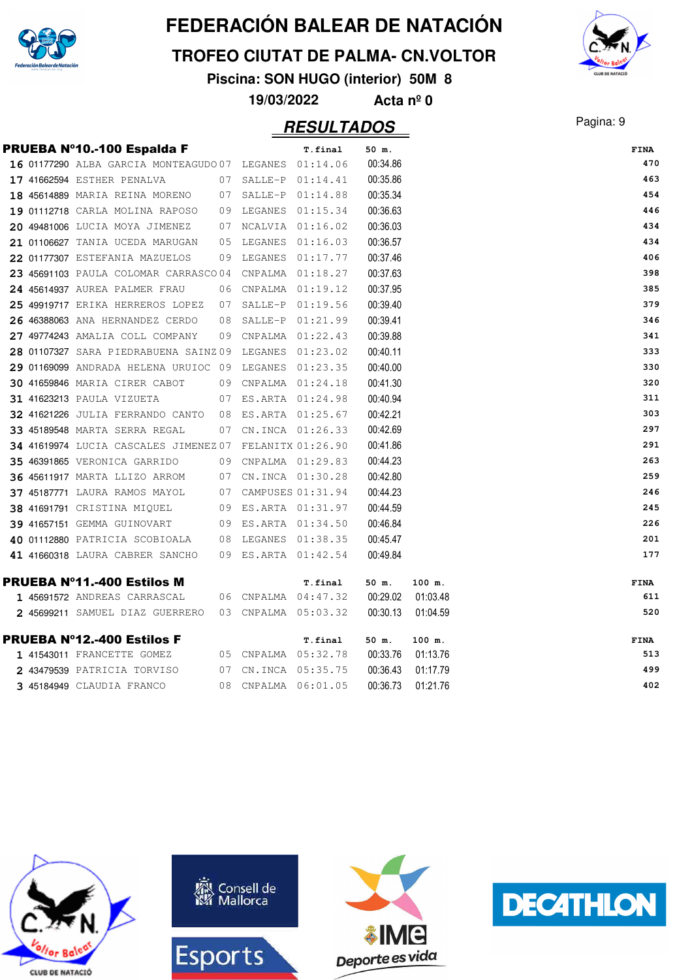

#### **TROFEO CIUTAT DE PALMA- CN.VOLTOR**

**Piscina: SON HUGO (interior) 50M 8**



**19/03/2022 Acta nº 0**

|  | PRUEBA Nº10.-100 Espalda F                             |    | T.final              | 50 m.    |          | <b>FINA</b> |
|--|--------------------------------------------------------|----|----------------------|----------|----------|-------------|
|  | 16 01177290 ALBA GARCIA MONTEAGUDO 07 LEGANES 01:14.06 |    |                      | 00:34.86 |          | 470         |
|  | 17 41662594 ESTHER PENALVA                             |    | 07 SALLE-P 01:14.41  | 00:35.86 |          | 463         |
|  | 18 45614889 MARIA REINA MORENO                         |    | 07 SALLE-P 01:14.88  | 00:35.34 |          | 454         |
|  | 19 01112718 CARLA MOLINA RAPOSO                        |    | 09 LEGANES 01:15.34  | 00:36.63 |          | 446         |
|  | 20 49481006 LUCIA MOYA JIMENEZ                         |    | 07 NCALVIA 01:16.02  | 00:36.03 |          | 434         |
|  | 21 01106627 TANIA UCEDA MARUGAN                        | 05 | LEGANES 01:16.03     | 00:36.57 |          | 434         |
|  | 22 01177307 ESTEFANIA MAZUELOS                         | 09 | LEGANES 01:17.77     | 00:37.46 |          | 406         |
|  | 23 45691103 PAULA COLOMAR CARRASCO 04                  |    | CNPALMA  01:18.27    | 00:37.63 |          | 398         |
|  | 24 45614937 AUREA PALMER FRAU                          |    | 06 CNPALMA 01:19.12  | 00:37.95 |          | 385         |
|  | 25 49919717 ERIKA HERREROS LOPEZ                       | 07 | SALLE-P 01:19.56     | 00:39.40 |          | 379         |
|  | 26 46388063 ANA HERNANDEZ CERDO                        | 08 | SALLE-P 01:21.99     | 00:39.41 |          | 346         |
|  | 27 49774243 AMALIA COLL COMPANY                        |    | 09 CNPALMA 01:22.43  | 00:39.88 |          | 341         |
|  | 28 01107327 SARA PIEDRABUENA SAINZ09 LEGANES 01:23.02  |    |                      | 00:40.11 |          | 333         |
|  | 29 01169099 ANDRADA HELENA URUIOC 09 LEGANES 01:23.35  |    |                      | 00:40.00 |          | 330         |
|  | <b>30 41659846 MARIA CIRER CABOT</b>                   |    | 09 CNPALMA 01:24.18  | 00:41.30 |          | 320         |
|  | <b>31 41623213 PAULA VIZUETA</b>                       |    | 07 ES.ARTA 01:24.98  | 00:40.94 |          | 311         |
|  | 32 41621226 JULIA FERRANDO CANTO                       |    | 08 ES.ARTA 01:25.67  | 00:42.21 |          | 303         |
|  | 33 45189548 MARTA SERRA REGAL                          |    | 07 CN.INCA 01:26.33  | 00:42.69 |          | 297         |
|  | 34 41619974 LUCIA CASCALES JIMENEZ07 FELANITX 01:26.90 |    |                      | 00:41.86 |          | 291         |
|  | 35 46391865 VERONICA GARRIDO                           |    | 09 CNPALMA 01:29.83  | 00:44.23 |          | 263         |
|  | <b>36 45611917 MARTA LLIZO ARROM</b>                   |    | 07 CN.INCA 01:30.28  | 00:42.80 |          | 259         |
|  | 37 45187771 LAURA RAMOS MAYOL                          |    | 07 CAMPUSES 01:31.94 | 00:44.23 |          | 246         |
|  | 38 41691791 CRISTINA MIQUEL                            |    | 09 ES.ARTA 01:31.97  | 00:44.59 |          | 245         |
|  | <b>39 41657151 GEMMA GUINOVART</b>                     |    | 09 ES.ARTA 01:34.50  | 00:46.84 |          | 226         |
|  | 40 01112880 PATRICIA SCOBIOALA                         |    | 08 LEGANES 01:38.35  | 00:45.47 |          | 201         |
|  | 41 41660318 LAURA CABRER SANCHO                        |    | 09 ES.ARTA 01:42.54  | 00:49.84 |          | 177         |
|  | <b>PRUEBA Nº11.-400 Estilos M</b>                      |    | T.final              | 50 m.    | 100 m.   | <b>FINA</b> |
|  | 1 45691572 ANDREAS CARRASCAL                           |    | 06 CNPALMA 04:47.32  | 00:29.02 | 01:03.48 | 611         |
|  | 2 45699211 SAMUEL DIAZ GUERRERO                        |    | 03 CNPALMA 05:03.32  | 00:30.13 | 01:04.59 | 520         |
|  | <b>PRUEBA Nº12.-400 Estilos F</b>                      |    | T.final              | 50 m.    | 100 m.   | <b>FINA</b> |
|  | 1 41543011 FRANCETTE GOMEZ                             |    | 05 CNPALMA 05:32.78  | 00:33.76 | 01:13.76 | 513         |
|  | 2 43479539 PATRICIA TORVISO                            |    | 07 CN.INCA 05:35.75  | 00:36.43 | 01:17.79 | 499         |
|  | 3 45184949 CLAUDIA FRANCO                              |    | 08 CNPALMA 06:01.05  | 00:36.73 | 01:21.76 | 402         |









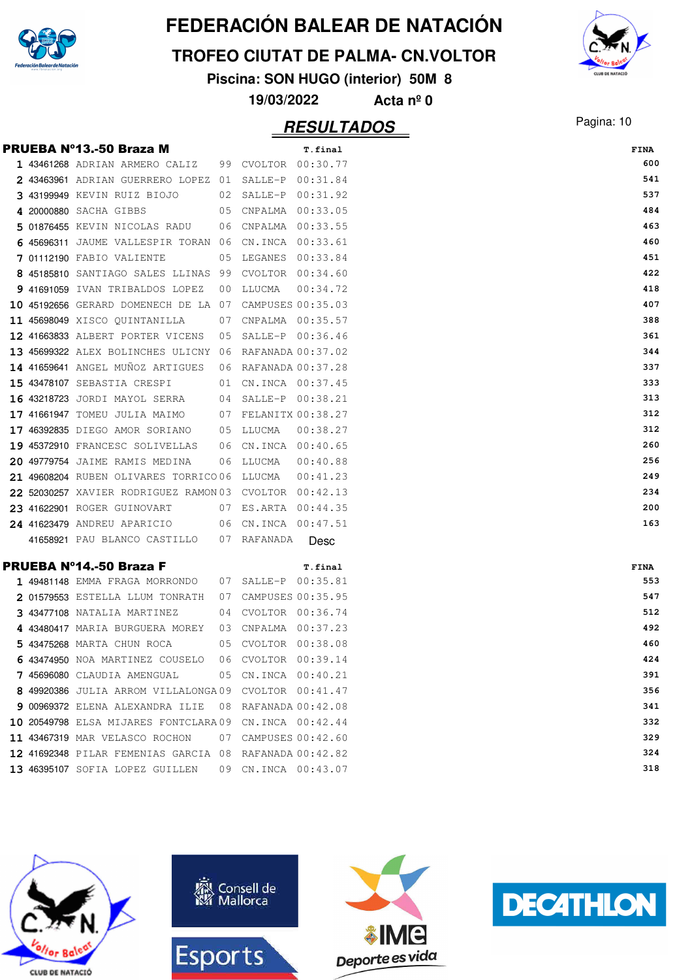

#### **TROFEO CIUTAT DE PALMA- CN.VOLTOR**

**Piscina: SON HUGO (interior) 50M 8**

**19/03/2022 Acta nº 0**

|  | <b>PRUEBA Nº13.-50 Braza M</b>                          |                      | T.final     | <b>FINA</b> |
|--|---------------------------------------------------------|----------------------|-------------|-------------|
|  | 1 43461268 ADRIAN ARMERO CALIZ 99 CVOLTOR 00:30.77      |                      |             | 600         |
|  | 2 43463961 ADRIAN GUERRERO LOPEZ 01 SALLE-P 00:31.84    |                      |             | 541         |
|  | 3 43199949 KEVIN RUIZ BIOJO 02 SALLE-P 00:31.92         |                      |             | 537         |
|  | 4 20000880 SACHA GIBBS<br>05 CNPALMA 00:33.05           |                      |             | 484         |
|  | 5 01876455 KEVIN NICOLAS RADU 06 CNPALMA 00:33.55       |                      |             | 463         |
|  | 6 45696311 JAUME VALLESPIR TORAN 06 CN.INCA 00:33.61    |                      |             | 460         |
|  | 7 01112190 FABIO VALIENTE                               | 05 LEGANES 00:33.84  |             | 451         |
|  | 8 45185810 SANTIAGO SALES LLINAS 99 CVOLTOR 00:34.60    |                      |             | 422         |
|  | 9 41691059 IVAN TRIBALDOS LOPEZ                         | 00 LLUCMA            | 00:34.72    | 418         |
|  | 10 45192656 GERARD DOMENECH DE LA 07 CAMPUSES 00:35.03  |                      |             | 407         |
|  | 11 45698049 XISCO QUINTANILLA 07 CNPALMA 00:35.57       |                      |             | 388         |
|  | 12 41663833 ALBERT PORTER VICENS 05 SALLE-P 00:36.46    |                      |             | 361         |
|  | 13 45699322 ALEX BOLINCHES ULICNY 06 RAFANADA 00:37.02  |                      |             | 344         |
|  | 14 41659641 ANGEL MUÑOZ ARTIGUES 06 RAFANADA 00:37.28   |                      |             | 337         |
|  | 15 43478107 SEBASTIA CRESPI 01 CN.INCA 00:37.45         |                      |             | 333         |
|  | 16 43218723 JORDI MAYOL SERRA 04 SALLE-P 00:38.21       |                      |             | 313         |
|  | 17 41661947 TOMEU JULIA MAIMO 07 FELANITX 00:38.27      |                      |             | 312         |
|  | 17 46392835 DIEGO AMOR SORIANO 05 LLUCMA                |                      | 00:38.27    | 312         |
|  | 19 45372910 FRANCESC SOLIVELLAS                         | 06 CN.INCA 00:40.65  |             | 260         |
|  | 20 49779754 JAIME RAMIS MEDINA                          | 06 LLUCMA 00:40.88   |             | 256         |
|  |                                                         |                      |             | 249         |
|  | 22 52030257 XAVIER RODRIGUEZ RAMON03 CVOLTOR 00:42.13   |                      |             | 234         |
|  | 23 41622901 ROGER GUINOVART 07 ES.ARTA 00:44.35         |                      |             | 200         |
|  | 24 41623479 ANDREU APARICIO                             | 06 CN.INCA 00:47.51  |             | 163         |
|  | 41658921 PAU BLANCO CASTILLO    07  RAFANADA            |                      | <b>Desc</b> |             |
|  | <b>PRUEBA Nº14.-50 Braza F</b>                          |                      | T.final     | FINA        |
|  | 1 49481148 EMMA FRAGA MORRONDO    07  SALLE-P  00:35.81 |                      |             | 553         |
|  | 2 01579553 ESTELLA LLUM TONRATH 07 CAMPUSES 00:35.95    |                      |             | 547         |
|  | 3 43477108 NATALIA MARTINEZ 04 CVOLTOR 00:36.74         |                      |             | 512         |
|  | 4 43480417 MARIA BURGUERA MOREY 03 CNPALMA 00:37.23     |                      |             | 492         |
|  | 5 43475268 MARTA CHUN ROCA 05 CVOLTOR 00:38.08          |                      |             | 460         |
|  | 6 43474950 NOA MARTINEZ COUSELO                         | 06 CVOLTOR 00:39.14  |             | 424         |
|  | 7 45696080 CLAUDIA AMENGUAL                             | 05 CN.INCA 00:40.21  |             | 391         |
|  | 8 49920386 JULIA ARROM VILLALONGA09 CVOLTOR 00:41.47    |                      |             | 356         |
|  | 9 00969372 ELENA ALEXANDRA ILIE                         | 08 RAFANADA 00:42.08 |             | 341         |
|  | 10 20549798 ELSA MIJARES FONTCLARA09 CN.INCA 00:42.44   |                      |             | 332         |
|  | 11 43467319 MAR VELASCO ROCHON                          | 07 CAMPUSES 00:42.60 |             | 329         |
|  | 12 41692348 PILAR FEMENIAS GARCIA 08 RAFANADA 00:42.82  |                      |             | 324         |
|  | 13 46395107 SOFIA LOPEZ GUILLEN                         | 09 CN.INCA 00:43.07  |             | 318         |









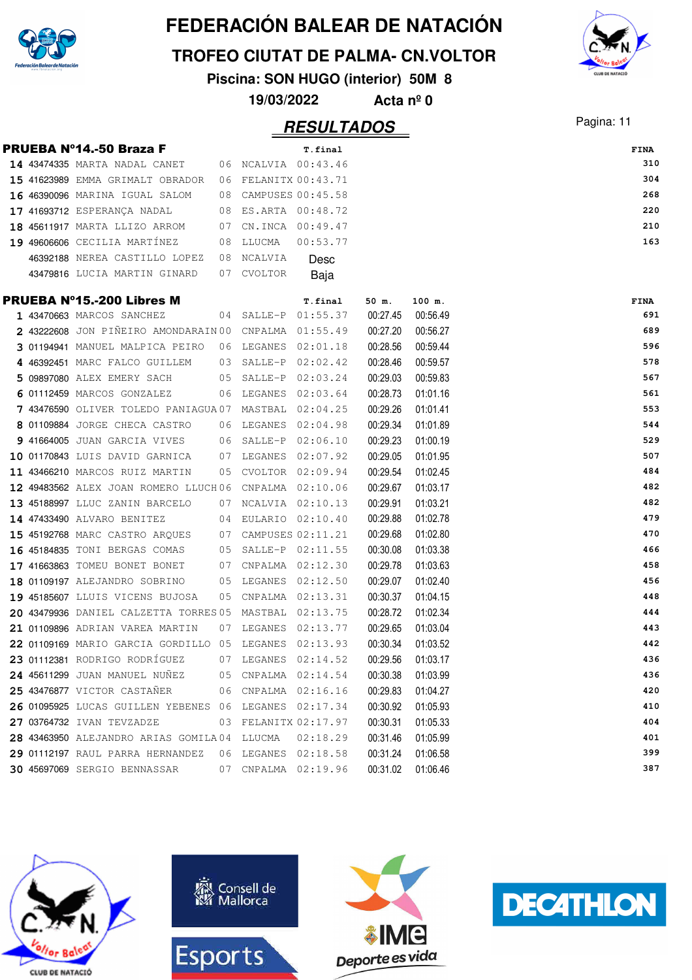

**TROFEO CIUTAT DE PALMA- CN.VOLTOR**

**Piscina: SON HUGO (interior) 50M 8**

**19/03/2022 Acta nº 0**

### Pagina: 11 **RESULTADOS**



|  | <b>PRUEBA Nº14.-50 Braza F</b>                         |                     | T.final  |          |          | FINA |
|--|--------------------------------------------------------|---------------------|----------|----------|----------|------|
|  | 14 43474335 MARTA NADAL CANET 06 NCALVIA 00:43.46      |                     |          |          |          | 310  |
|  | 15 41623989 EMMA GRIMALT OBRADOR 06 FELANITX 00:43.71  |                     |          |          |          | 304  |
|  | 16 46390096 MARINA IGUAL SALOM 08 CAMPUSES 00:45.58    |                     |          |          |          | 268  |
|  | 17 41693712 ESPERANÇA NADAL                            | 08 ES.ARTA 00:48.72 |          |          |          | 220  |
|  | <b>18 45611917</b> MARTA LLIZO ARROM                   | 07 CN.INCA 00:49.47 |          |          |          | 210  |
|  | 19 49606606 CECILIA MARTÍNEZ                           | 08 LLUCMA           | 00:53.77 |          |          | 163  |
|  | 46392188 NEREA CASTILLO LOPEZ                          | 08 NCALVIA          | Desc     |          |          |      |
|  | 43479816 LUCIA MARTIN GINARD                           | 07 CVOLTOR          | Baja     |          |          |      |
|  |                                                        |                     |          |          |          |      |
|  | <b>PRUEBA N°15.-200 Libres M</b>                       |                     | T.final  | 50 m.    | 100 m.   | FINA |
|  | 1 43470663 MARCOS SANCHEZ                              | 04 SALLE-P 01:55.37 |          | 00:27.45 | 00:56.49 | 691  |
|  | 2 43222608 JON PIÑEIRO AMONDARAIN 00 CNPALMA 01:55.49  |                     |          | 00:27.20 | 00:56.27 | 689  |
|  | 3 01194941 MANUEL MALPICA PEIRO 06 LEGANES 02:01.18    |                     |          | 00:28.56 | 00:59.44 | 596  |
|  | 4 46392451 MARC FALCO GUILLEM 03 SALLE-P 02:02.42      |                     |          | 00:28.46 | 00:59.57 | 578  |
|  | 5 09897080 ALEX EMERY SACH                             | 05 SALLE-P 02:03.24 |          | 00:29.03 | 00:59.83 | 567  |
|  | 6 01112459 MARCOS GONZALEZ                             | 06 LEGANES          | 02:03.64 | 00:28.73 | 01:01.16 | 561  |
|  | 7 43476590 OLIVER TOLEDO PANIAGUA 07 MASTBAL 02:04.25  |                     |          | 00:29.26 | 01:01.41 | 553  |
|  | 8 01109884 JORGE CHECA CASTRO 06 LEGANES 02:04.98      |                     |          | 00:29.34 | 01:01.89 | 544  |
|  | 9 41664005 JUAN GARCIA VIVES 06 SALLE-P 02:06.10       |                     |          | 00:29.23 | 01:00.19 | 529  |
|  | 10 01170843 LUIS DAVID GARNICA 07 LEGANES 02:07.92     |                     |          | 00:29.05 | 01:01.95 | 507  |
|  | 11 43466210 MARCOS RUIZ MARTIN                         | 05 CVOLTOR 02:09.94 |          | 00:29.54 | 01:02.45 | 484  |
|  | 12 49483562 ALEX JOAN ROMERO LLUCH06 CNPALMA 02:10.06  |                     |          | 00:29.67 | 01:03.17 | 482  |
|  | 13 45188997 LLUC ZANIN BARCELO 07 NCALVIA 02:10.13     |                     |          | 00:29.91 | 01:03.21 | 482  |
|  | 14 47433490 ALVARO BENITEZ                             | 04 EULARIO 02:10.40 |          | 00:29.88 | 01:02.78 | 479  |
|  | 15 45192768 MARC CASTRO ARQUES 07 CAMPUSES 02:11.21    |                     |          | 00:29.68 | 01:02.80 | 470  |
|  | 16 45184835 TONI BERGAS COMAS 05 SALLE-P 02:11.55      |                     |          | 00:30.08 | 01:03.38 | 466  |
|  | 17 41663863 TOMEU BONET BONET                          | 07 CNPALMA 02:12.30 |          | 00:29.78 | 01:03.63 | 458  |
|  | 18 01109197 ALEJANDRO SOBRINO                          | 05 LEGANES 02:12.50 |          | 00:29.07 | 01:02.40 | 456  |
|  | 19 45185607 LLUIS VICENS BUJOSA                        | 05 CNPALMA 02:13.31 |          | 00:30.37 | 01:04.15 | 448  |
|  | 20 43479936 DANIEL CALZETTA TORRES 05 MASTBAL 02:13.75 |                     |          | 00:28.72 | 01:02.34 | 444  |
|  | 21 01109896 ADRIAN VAREA MARTIN                        | 07 LEGANES 02:13.77 |          | 00:29.65 | 01:03.04 | 443  |
|  | 22 01109169 MARIO GARCIA GORDILLO 05 LEGANES 02:13.93  |                     |          | 00:30.34 | 01:03.52 | 442  |
|  | 23 01112381 RODRIGO RODRÍGUEZ $07$ LEGANES $02:14.52$  |                     |          | 00:29.56 | 01:03.17 | 436  |
|  | 24 45611299 JUAN MANUEL NUÑEZ 05 CNPALMA 02:14.54      |                     |          | 00:30.38 | 01:03.99 | 436  |
|  | 25 43476877 VICTOR CASTAÑER 06 CNPALMA 02:16.16        |                     |          | 00:29.83 | 01:04.27 | 420  |
|  | 26 01095925 LUCAS GUILLEN YEBENES 06 LEGANES 02:17.34  |                     |          | 00:30.92 | 01:05.93 | 410  |
|  | 27 03764732 IVAN TEVZADZE 03 FELANITX 02:17.97         |                     |          | 00:30.31 | 01:05.33 | 404  |
|  | 28 43463950 ALEJANDRO ARIAS GOMILA 04 LLUCMA  02:18.29 |                     |          | 00:31.46 | 01:05.99 | 401  |
|  | 29 01112197 RAUL PARRA HERNANDEZ 06 LEGANES 02:18.58   |                     |          | 00:31.24 | 01:06.58 | 399  |
|  | 30 45697069 SERGIO BENNASSAR 07 CNPALMA 02:19.96       |                     |          | 00:31.02 | 01:06.46 | 387  |
|  |                                                        |                     |          |          |          |      |







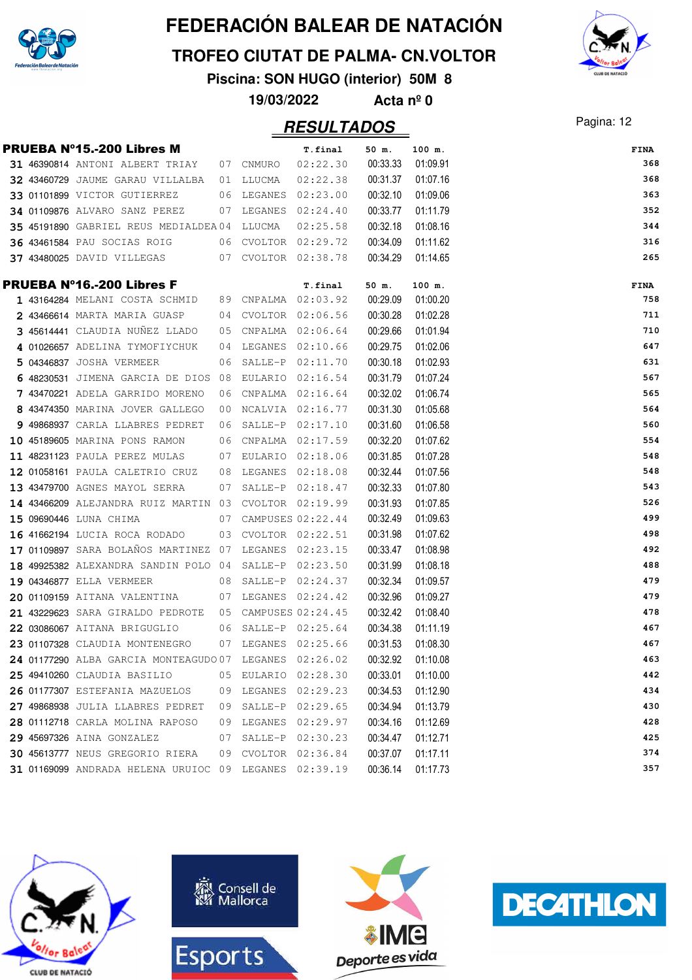

**TROFEO CIUTAT DE PALMA- CN.VOLTOR**

**Piscina: SON HUGO (interior) 50M 8**

**19/03/2022 Acta nº 0**

### Pagina: 12 **RESULTADOS**

|  | <b>PRUEBA Nº15.-200 Libres M</b>                       |    |                      | T.final          | 50 m.    | 100 m.   | <b>FINA</b> |
|--|--------------------------------------------------------|----|----------------------|------------------|----------|----------|-------------|
|  | 31 46390814 ANTONI ALBERT TRIAY 07 CNMURO              |    |                      | 02:22.30         | 00:33.33 | 01:09.91 | 368         |
|  | 32 43460729 JAUME GARAU VILLALBA 01 LLUCMA             |    |                      | 02:22.38         | 00:31.37 | 01:07.16 | 368         |
|  | 33 01101899 VICTOR GUTIERREZ                           |    | 06 LEGANES 02:23.00  |                  | 00:32.10 | 01:09.06 | 363         |
|  | <b>34 01109876</b> ALVARO SANZ PEREZ                   |    | 07 LEGANES 02:24.40  |                  | 00:33.77 | 01:11.79 | 352         |
|  | 35 45191890 GABRIEL REUS MEDIALDEA04 LLUCMA            |    |                      | 02:25.58         | 00:32.18 | 01:08.16 | 344         |
|  | 36 43461584 PAU SOCIAS ROIG                            |    | 06 CVOLTOR 02:29.72  |                  | 00:34.09 | 01:11.62 | 316         |
|  | 37 43480025 DAVID VILLEGAS 607 CVOLTOR 02:38.78        |    |                      |                  | 00:34.29 | 01:14.65 | 265         |
|  | PRUEBA Nº16.-200 Libres F                              |    |                      | T.final          | 50 m.    | 100 m.   | FINA        |
|  | 1 43164284 MELANI COSTA SCHMID 89 CNPALMA 02:03.92     |    |                      |                  | 00:29.09 | 01:00.20 | 758         |
|  | 2 43466614 MARTA MARIA GUASP                           |    | 04 CVOLTOR 02:06.56  |                  | 00:30.28 | 01:02.28 | 711         |
|  | 3 45614441 CLAUDIA NUNEZ LLADO                         |    | 05 CNPALMA 02:06.64  |                  | 00:29.66 | 01:01.94 | 710         |
|  | 4 01026657 ADELINA TYMOFIYCHUK                         |    | 04 LEGANES 02:10.66  |                  | 00:29.75 | 01:02.06 | 647         |
|  | 5 04346837 JOSHA VERMEER                               |    | 06 SALLE-P 02:11.70  |                  | 00:30.18 | 01:02.93 | 631         |
|  | 6 48230531 JIMENA GARCIA DE DIOS 08 EULARIO 02:16.54   |    |                      |                  | 00:31.79 | 01:07.24 | 567         |
|  | 7 43470221 ADELA GARRIDO MORENO                        |    | 06 CNPALMA 02:16.64  |                  | 00:32.02 | 01:06.74 | 565         |
|  | 8 43474350 MARINA JOVER GALLEGO                        |    | 00 NCALVIA 02:16.77  |                  | 00:31.30 | 01:05.68 | 564         |
|  | 9 49868937 CARLA LLABRES PEDRET                        |    | 06 SALLE-P 02:17.10  |                  | 00:31.60 | 01:06.58 | 560         |
|  | 10 45189605 MARINA PONS RAMON                          |    | 06 CNPALMA 02:17.59  |                  | 00:32.20 | 01:07.62 | 554         |
|  | 11 48231123 PAULA PEREZ MULAS                          |    | 07 EULARIO 02:18.06  |                  | 00:31.85 | 01:07.28 | 548         |
|  | 12 01058161 PAULA CALETRIO CRUZ                        |    | 08 LEGANES 02:18.08  |                  | 00:32.44 | 01:07.56 | 548         |
|  | 13 43479700 AGNES MAYOL SERRA                          |    | 07 SALLE-P 02:18.47  |                  | 00:32.33 | 01:07.80 | 543         |
|  | 14 43466209 ALEJANDRA RUIZ MARTIN 03 CVOLTOR 02:19.99  |    |                      |                  | 00:31.93 | 01:07.85 | 526         |
|  | 15 09690446 LUNA CHIMA                                 |    | 07 CAMPUSES 02:22.44 |                  | 00:32.49 | 01:09.63 | 499         |
|  | 16 41662194 LUCIA ROCA RODADO                          |    | 03 CVOLTOR 02:22.51  |                  | 00:31.98 | 01:07.62 | 498         |
|  | 17 01109897 SARA BOLAÑOS MARTINEZ 07 LEGANES 02:23.15  |    |                      |                  | 00:33.47 | 01:08.98 | 492         |
|  | 18 49925382 ALEXANDRA SANDIN POLO 04 SALLE-P 02:23.50  |    |                      |                  | 00:31.99 | 01:08.18 | 488         |
|  | <b>19 04346877 ELLA VERMEER</b>                        |    | 08 SALLE-P 02:24.37  |                  | 00:32.34 | 01:09.57 | 479         |
|  | 20 01109159 AITANA VALENTINA                           |    | 07 LEGANES 02:24.42  |                  | 00:32.96 | 01:09.27 | 479         |
|  | 21 43229623 SARA GIRALDO PEDROTE 05 CAMPUSES 02:24.45  |    |                      |                  | 00:32.42 | 01:08.40 | 478         |
|  | 22 03086067 AITANA BRIGUGLIO 06 SALLE-P 02:25.64       |    |                      |                  | 00:34.38 | 01:11.19 | 467         |
|  | 23 01107328 CLAUDIA MONTENEGRO 07 LEGANES 02:25.66     |    |                      |                  | 00:31.53 | 01:08.30 | 467         |
|  | 24 01177290 ALBA GARCIA MONTEAGUDO 07 LEGANES 02:26.02 |    |                      |                  | 00:32.92 | 01:10.08 | 463         |
|  | 25 49410260 CLAUDIA BASILIO                            |    | 05 EULARIO 02:28.30  |                  | 00:33.01 | 01:10.00 | 442         |
|  | 26 01177307 ESTEFANIA MAZUELOS                         |    | 09 LEGANES 02:29.23  |                  | 00:34.53 | 01:12.90 | 434         |
|  | 27 49868938 JULIA LLABRES PEDRET                       |    | 09 SALLE-P 02:29.65  |                  | 00:34.94 | 01:13.79 | 430         |
|  | 28 01112718 CARLA MOLINA RAPOSO                        |    | 09 LEGANES 02:29.97  |                  | 00:34.16 | 01:12.69 | 428         |
|  | 29 45697326 AINA GONZALEZ                              | 07 |                      | SALLE-P 02:30.23 | 00:34.47 | 01:12.71 | 425         |
|  | 30 45613777 NEUS GREGORIO RIERA                        |    | 09 CVOLTOR 02:36.84  |                  | 00:37.07 | 01:17.11 | 374         |
|  | 31 01169099 ANDRADA HELENA URUIOC 09 LEGANES 02:39.19  |    |                      |                  | 00:36.14 | 01:17.73 | 357         |









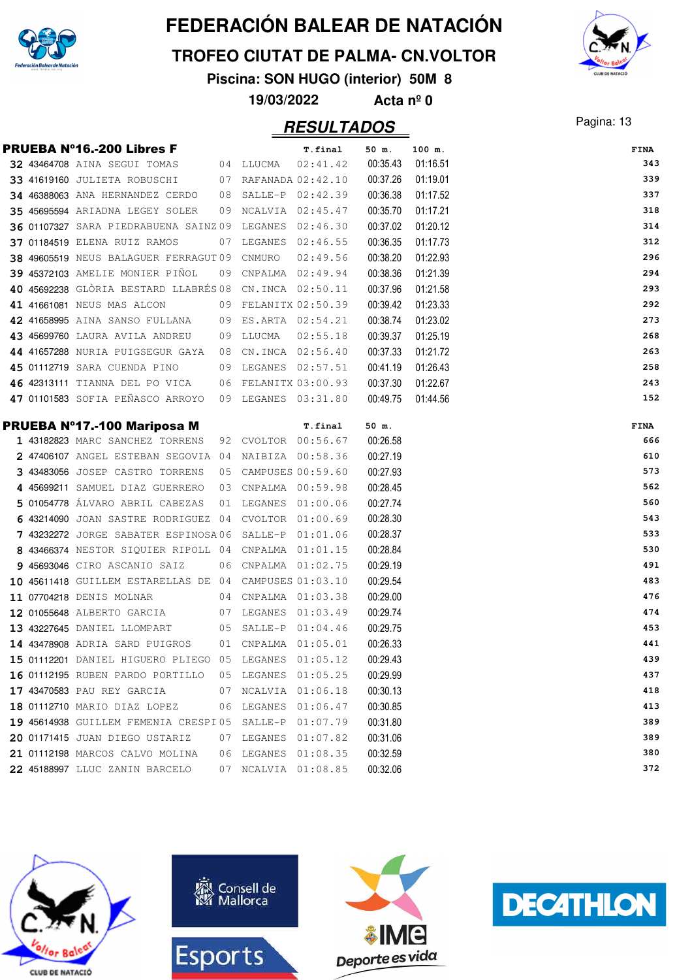

**TROFEO CIUTAT DE PALMA- CN.VOLTOR**

**Piscina: SON HUGO (interior) 50M 8**

**19/03/2022 Acta nº 0**

### Pagina: 13 **RESULTADOS**



|  | <b>PRUEBA Nº16.-200 Libres F</b>                                       |    |                      | T.final              | 50 m.                | 100 m.   | <b>FINA</b> |
|--|------------------------------------------------------------------------|----|----------------------|----------------------|----------------------|----------|-------------|
|  | 32 43464708 AINA SEGUI TOMAS                                           |    | 04 LLUCMA            | 02:41.42             | 00:35.43             | 01:16.51 | 343         |
|  | 33 41619160 JULIETA ROBUSCHI                                           |    | 07 RAFANADA 02:42.10 |                      | 00:37.26             | 01:19.01 | 339         |
|  | 34 46388063 ANA HERNANDEZ CERDO                                        |    | 08 SALLE-P 02:42.39  |                      | 00:36.38             | 01:17.52 | 337         |
|  | 35 45695594 ARIADNA LEGEY SOLER                                        |    | 09 NCALVIA 02:45.47  |                      | 00:35.70             | 01:17.21 | 318         |
|  | 36 01107327 SARA PIEDRABUENA SAINZ 09                                  |    | LEGANES 02:46.30     |                      | 00:37.02             | 01:20.12 | 314         |
|  | 37 01184519 ELENA RUIZ RAMOS                                           | 07 | LEGANES              | 02:46.55             | 00:36.35             | 01:17.73 | 312         |
|  | 38 49605519 NEUS BALAGUER FERRAGUT 09 CNMURO                           |    |                      | 02:49.56             | 00:38.20             | 01:22.93 | 296         |
|  | 39 45372103 AMELIE MONIER PIÑOL                                        |    | 09 CNPALMA 02:49.94  |                      | 00:38.36             | 01:21.39 | 294         |
|  | 40 45692238 GLÒRIA BESTARD LLABRÉS 08 CN.INCA 02:50.11                 |    |                      |                      | 00:37.96             | 01:21.58 | 293         |
|  | 41 41661081 NEUS MAS ALCON                                             |    | 09 FELANITX 02:50.39 |                      | 00:39.42             | 01:23.33 | 292         |
|  | 42 41658995 AINA SANSO FULLANA                                         |    | 09 ES.ARTA 02:54.21  |                      | 00:38.74             | 01:23.02 | 273         |
|  | 43 45699760 LAURA AVILA ANDREU                                         |    | 09 LLUCMA            | 02:55.18             | 00:39.37             | 01:25.19 | 268         |
|  | 44 41657288 NURIA PUIGSEGUR GAYA                                       |    | 08 CN.INCA 02:56.40  |                      | 00:37.33             | 01:21.72 | 263         |
|  | 45 01112719 SARA CUENDA PINO                                           |    | 09 LEGANES 02:57.51  |                      | 00:41.19             | 01:26.43 | 258         |
|  | 46 42313111 TIANNA DEL PO VICA                                         |    |                      | 06 FELANITX 03:00.93 | 00:37.30             | 01:22.67 | 243         |
|  | 47 01101583 SOFIA PEÑASCO ARROYO                                       |    | 09 LEGANES 03:31.80  |                      | 00:49.75             | 01:44.56 | 152         |
|  |                                                                        |    |                      |                      |                      |          |             |
|  | PRUEBA Nº17.-100 Mariposa M                                            |    |                      | T.final              | 50 m.                |          | FINA        |
|  | 1 43182823 MARC SANCHEZ TORRENS                                        |    | 92 CVOLTOR 00:56.67  |                      | 00:26.58             |          | 666<br>610  |
|  | 2 47406107 ANGEL ESTEBAN SEGOVIA 04                                    |    |                      | NAIBIZA 00:58.36     | 00:27.19             |          | 573         |
|  | 3 43483056 JOSEP CASTRO TORRENS                                        | 05 |                      | CAMPUSES 00:59.60    | 00:27.93             |          | 562         |
|  | 4 45699211 SAMUEL DIAZ GUERRERO                                        | 03 |                      | CNPALMA 00:59.98     | 00:28.45             |          | 560         |
|  | 5 01054778 ÁLVARO ABRIL CABEZAS<br>6 43214090 JOAN SASTRE RODRIGUEZ 04 | 01 | LEGANES 01:00.06     | CVOLTOR 01:00.69     | 00:27.74<br>00:28.30 |          | 543         |
|  | 7 43232272 JORGE SABATER ESPINOSA06                                    |    |                      | SALLE-P 01:01.06     | 00:28.37             |          | 533         |
|  | 8 43466374 NESTOR SIQUIER RIPOLL 04 CNPALMA 01:01.15                   |    |                      |                      | 00:28.84             |          | 530         |
|  | 9 45693046 CIRO ASCANIO SAIZ                                           |    | 06 CNPALMA 01:02.75  |                      | 00:29.19             |          | 491         |
|  | 10 45611418 GUILLEM ESTARELLAS DE 04 CAMPUSES 01:03.10                 |    |                      |                      | 00:29.54             |          | 483         |
|  | 11 07704218 DENIS MOLNAR                                               | 04 |                      | CNPALMA  01:03.38    | 00:29.00             |          | 476         |
|  | 12 01055648 ALBERTO GARCIA                                             |    | 07 LEGANES           | 01:03.49             | 00:29.74             |          | 474         |
|  | 13 43227645 DANIEL LLOMPART                                            |    | 05 SALLE-P 01:04.46  |                      | 00:29.75             |          | 453         |
|  | 14 43478908 ADRIA SARD PUIGROS                                         |    | 01 CNPALMA 01:05.01  |                      | 00:26.33             |          | 441         |
|  | 15 01112201 DANIEL HIGUERO PLIEGO 05 LEGANES 01:05.12                  |    |                      |                      | 00:29.43             |          | 439         |
|  | 16 01112195 RUBEN PARDO PORTILLO                                       |    | 05 LEGANES 01:05.25  |                      | 00:29.99             |          | 437         |
|  | 17 43470583 PAU REY GARCIA                                             |    | 07 NCALVIA 01:06.18  |                      | 00:30.13             |          | 418         |
|  | 18 01112710 MARIO DIAZ LOPEZ                                           |    | 06 LEGANES 01:06.47  |                      | 00:30.85             |          | 413         |
|  | 19 45614938 GUILLEM FEMENIA CRESPI05 SALLE-P 01:07.79                  |    |                      |                      | 00:31.80             |          | 389         |
|  | 20 01171415 JUAN DIEGO USTARIZ                                         |    | 07 LEGANES 01:07.82  |                      | 00:31.06             |          | 389         |
|  | 21 01112198 MARCOS CALVO MOLINA                                        | 06 | LEGANES 01:08.35     |                      | 00:32.59             |          | 380         |
|  | 22 45188997 LLUC ZANIN BARCELO                                         |    | 07 NCALVIA 01:08.85  |                      | 00:32.06             |          | 372         |
|  |                                                                        |    |                      |                      |                      |          |             |







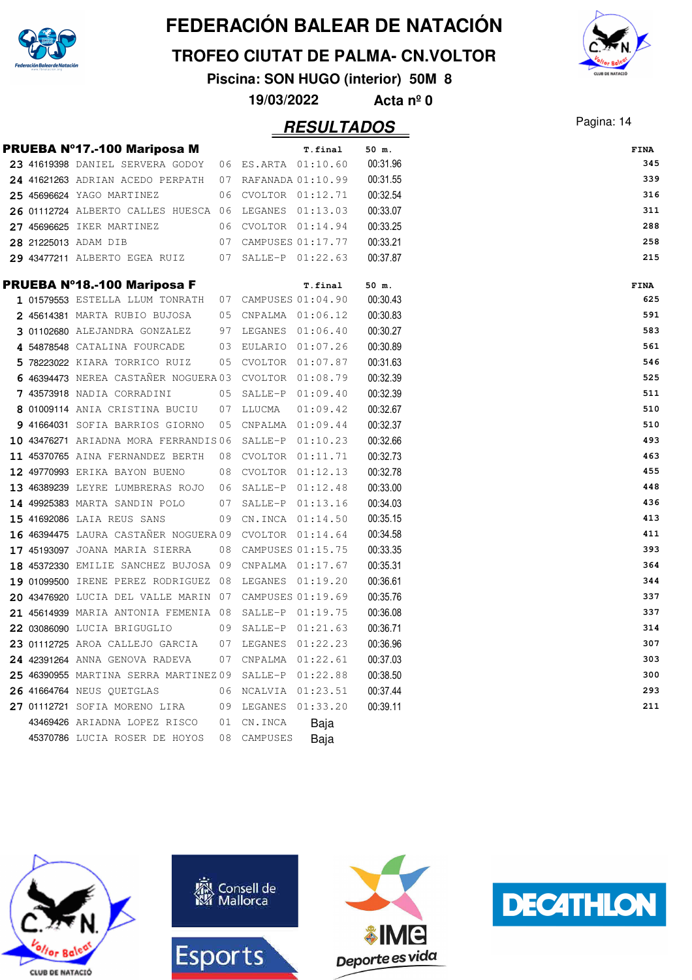

**TROFEO CIUTAT DE PALMA- CN.VOLTOR**

**Piscina: SON HUGO (interior) 50M 8**



**19/03/2022 Acta nº 0**

### Pagina: 14 **RESULTADOS**

|  | PRUEBA Nº17.-100 Mariposa M                            |                       | T.final | 50 m.    | FINA |     |
|--|--------------------------------------------------------|-----------------------|---------|----------|------|-----|
|  | 23 41619398 DANIEL SERVERA GODOY 06 ES.ARTA 01:10.60   |                       |         | 00:31.96 |      | 345 |
|  | 24 41621263 ADRIAN ACEDO PERPATH                       | 07 RAFANADA 01:10.99  |         | 00:31.55 |      | 339 |
|  | 25 45696624 YAGO MARTINEZ                              | 06 CVOLTOR 01:12.71   |         | 00:32.54 |      | 316 |
|  | 26 01112724 ALBERTO CALLES HUESCA 06 LEGANES 01:13.03  |                       |         | 00:33.07 |      | 311 |
|  | 27 45696625 IKER MARTINEZ                              | 06 CVOLTOR 01:14.94   |         | 00:33.25 |      | 288 |
|  | 28 21225013 ADAM DIB                                   | 07 CAMPUSES 01:17.77  |         | 00:33.21 |      | 258 |
|  | 29 43477211 ALBERTO EGEA RUIZ 07 SALLE-P 01:22.63      |                       |         | 00:37.87 |      | 215 |
|  | PRUEBA Nº18.-100 Mariposa F                            |                       | T.final | 50 m.    | FINA |     |
|  | 1 01579553 ESTELLA LLUM TONRATH 07 CAMPUSES 01:04.90   |                       |         | 00:30.43 |      | 625 |
|  | 2 45614381 MARTA RUBIO BUJOSA                          | 05 CNPALMA 01:06.12   |         | 00:30.83 |      | 591 |
|  | 3 01102680 ALEJANDRA GONZALEZ 97 LEGANES 01:06.40      |                       |         | 00:30.27 |      | 583 |
|  | 4 54878548 CATALINA FOURCADE                           | 03 EULARIO 01:07.26   |         | 00:30.89 |      | 561 |
|  | 5 78223022 KIARA TORRICO RUIZ                          | 05 CVOLTOR 01:07.87   |         | 00:31.63 |      | 546 |
|  | 6 46394473 NEREA CASTAÑER NOGUERA 03 CVOLTOR 01:08.79  |                       |         | 00:32.39 |      | 525 |
|  | 7 43573918 NADIA CORRADINI                             | 05 SALLE-P 01:09.40   |         | 00:32.39 |      | 511 |
|  | 8 01009114 ANIA CRISTINA BUCIU                         | 07 LLUCMA<br>01:09.42 |         | 00:32.67 |      | 510 |
|  | 9 41664031 SOFIA BARRIOS GIORNO                        | 05 CNPALMA 01:09.44   |         | 00:32.37 |      | 510 |
|  | 10 43476271 ARIADNA MORA FERRANDIS06 SALLE-P 01:10.23  |                       |         | 00:32.66 |      | 493 |
|  | 11 45370765 AINA FERNANDEZ BERTH                       | 08 CVOLTOR 01:11.71   |         | 00:32.73 |      | 463 |
|  | 12 49770993 ERIKA BAYON BUENO                          | 08 CVOLTOR 01:12.13   |         | 00:32.78 |      | 455 |
|  | 13 46389239 LEYRE LUMBRERAS ROJO 06 SALLE-P 01:12.48   |                       |         | 00:33.00 |      | 448 |
|  | 14 49925383 MARTA SANDIN POLO                          | 07 SALLE-P 01:13.16   |         | 00:34.03 |      | 436 |
|  | 15 41692086 LAIA REUS SANS                             | 09 CN.INCA 01:14.50   |         | 00:35.15 |      | 413 |
|  | 16 46394475 LAURA CASTANER NOGUERA 09 CVOLTOR 01:14.64 |                       |         | 00:34.58 |      | 411 |
|  | 17 45193097 JOANA MARIA SIERRA                         | 08 CAMPUSES 01:15.75  |         | 00:33.35 |      | 393 |
|  | 18 45372330 EMILIE SANCHEZ BUJOSA 09 CNPALMA 01:17.67  |                       |         | 00:35.31 |      | 364 |
|  | 19 01099500 IRENE PEREZ RODRIGUEZ 08 LEGANES 01:19.20  |                       |         | 00:36.61 |      | 344 |
|  | 20 43476920 LUCIA DEL VALLE MARIN 07 CAMPUSES 01:19.69 |                       |         | 00:35.76 |      | 337 |
|  | 21 45614939 MARIA ANTONIA FEMENIA 08 SALLE-P 01:19.75  |                       |         | 00:36.08 |      | 337 |
|  | 22 03086090 LUCIA BRIGUGLIO                            | 09 SALLE-P 01:21.63   |         | 00:36.71 |      | 314 |
|  | 23 01112725 AROA CALLEJO GARCIA 07 LEGANES 01:22.23    |                       |         | 00:36.96 |      | 307 |
|  | 24 42391264 ANNA GENOVA RADEVA                         | 07 CNPALMA 01:22.61   |         | 00:37.03 |      | 303 |
|  | 25 46390955 MARTINA SERRA MARTINEZ09                   | SALLE-P 01:22.88      |         | 00:38.50 |      | 300 |
|  | 26 41664764 NEUS QUETGLAS                              | 06 NCALVIA 01:23.51   |         | 00:37.44 |      | 293 |
|  | 27 01112721 SOFIA MORENO LIRA                          | 09 LEGANES 01:33.20   |         | 00:39.11 |      | 211 |
|  | 43469426 ARIADNA LOPEZ RISCO                           | 01 CN.INCA<br>Baja    |         |          |      |     |
|  | 45370786 LUCIA ROSER DE HOYOS                          | 08 CAMPUSES<br>Baja   |         |          |      |     |



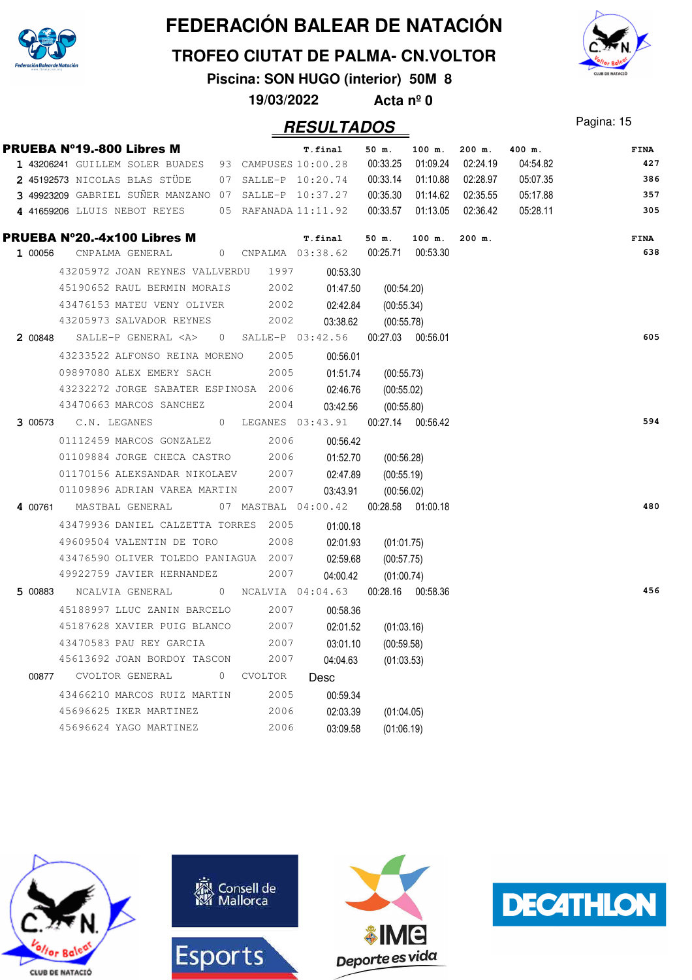

**TROFEO CIUTAT DE PALMA- CN.VOLTOR**

**Piscina: SON HUGO (interior) 50M 8**

**19/03/2022 Acta nº 0**



|         | PRUEBA Nº19.-800 Libres M                            |                 |  |           |      | T.final                                                       | 50 m.             | 100 m.   | $200$ m. | 400 m.   | <b>FINA</b> |
|---------|------------------------------------------------------|-----------------|--|-----------|------|---------------------------------------------------------------|-------------------|----------|----------|----------|-------------|
|         | 1 43206241 GUILLEM SOLER BUADES 93 CAMPUSES 10:00.28 |                 |  |           |      |                                                               | 00:33.25          | 01:09.24 | 02:24.19 | 04:54.82 | 427         |
|         | 2 45192573 NICOLAS BLAS STÜDE                        |                 |  |           |      | 07 SALLE-P 10:20.74                                           | 00:33.14          | 01:10.88 | 02:28.97 | 05:07.35 | 386         |
|         | 3 49923209 GABRIEL SUÑER MANZANO 07 SALLE-P 10:37.27 |                 |  |           |      |                                                               | 00:35.30          | 01:14.62 | 02:35.55 | 05:17.88 | 357         |
|         | 4 41659206 LLUIS NEBOT REYES                         |                 |  |           |      | 05 RAFANADA 11:11.92                                          | 00:33.57          | 01:13.05 | 02:36.42 | 05:28.11 | 305         |
|         | <b>PRUEBA N°20.-4x100 Libres M</b>                   |                 |  |           |      | T.final                                                       | $50$ m.           | 100 m.   | $200$ m. |          | <b>FINA</b> |
| 1 00056 |                                                      | CNPALMA GENERAL |  |           |      | 0 CNPALMA 03:38.62                                            | 00:25.71 00:53.30 |          |          |          | 638         |
|         | 43205972 JOAN REYNES VALLVERDU                       |                 |  |           | 1997 | 00:53.30                                                      |                   |          |          |          |             |
|         | 45190652 RAUL BERMIN MORAIS                          |                 |  |           | 2002 | 01:47.50                                                      | (00:54.20)        |          |          |          |             |
|         | 43476153 MATEU VENY OLIVER                           |                 |  |           | 2002 | 02:42.84                                                      | (00:55.34)        |          |          |          |             |
|         | 43205973 SALVADOR REYNES                             |                 |  |           | 2002 | 03:38.62                                                      | (00:55.78)        |          |          |          |             |
|         |                                                      |                 |  |           |      | 2 00848 SALLE-P GENERAL <a> 0 SALLE-P 03:42.56</a>            | 00:27.03 00:56.01 |          |          |          | 605         |
|         | 43233522 ALFONSO REINA MORENO                        |                 |  |           | 2005 | 00:56.01                                                      |                   |          |          |          |             |
|         | 09897080 ALEX EMERY SACH                             |                 |  |           | 2005 | 01:51.74                                                      | (00:55.73)        |          |          |          |             |
|         | 43232272 JORGE SABATER ESPINOSA 2006                 |                 |  |           |      | 02:46.76                                                      | (00:55.02)        |          |          |          |             |
|         | 43470663 MARCOS SANCHEZ                              |                 |  |           | 2004 | 03:42.56                                                      | (00:55.80)        |          |          |          |             |
|         | 3 00573 C.N. LEGANES                                 |                 |  |           |      | 0 LEGANES 03:43.91 00:27.14 00:56.42                          |                   |          |          |          | 594         |
|         | 01112459 MARCOS GONZALEZ                             |                 |  |           | 2006 | 00:56.42                                                      |                   |          |          |          |             |
|         | 01109884 JORGE CHECA CASTRO                          |                 |  |           | 2006 | 01:52.70                                                      | (00:56.28)        |          |          |          |             |
|         | 01170156 ALEKSANDAR NIKOLAEV                         |                 |  |           | 2007 | 02:47.89                                                      | (00:55.19)        |          |          |          |             |
|         | 01109896 ADRIAN VAREA MARTIN                         |                 |  |           | 2007 | 03:43.91                                                      | (00:56.02)        |          |          |          |             |
|         |                                                      |                 |  |           |      | 4 00761 MASTBAL GENERAL 07 MASTBAL 04:00.42 00:28.58 01:00.18 |                   |          |          |          | 480         |
|         | 43479936 DANIEL CALZETTA TORRES 2005                 |                 |  |           |      | 01:00.18                                                      |                   |          |          |          |             |
|         | 49609504 VALENTIN DE TORO                            |                 |  |           | 2008 | 02:01.93                                                      | (01:01.75)        |          |          |          |             |
|         | 43476590 OLIVER TOLEDO PANIAGUA 2007                 |                 |  |           |      | 02:59.68                                                      | (00:57.75)        |          |          |          |             |
|         | 49922759 JAVIER HERNANDEZ                            |                 |  |           | 2007 | 04:00.42                                                      | (01:00.74)        |          |          |          |             |
|         |                                                      |                 |  |           |      | 5 00883    NCALVIA GENERAL    0    NCALVIA    04:04.63        | 00:28.16 00:58.36 |          |          |          | 456         |
|         | 45188997 LLUC ZANIN BARCELO                          |                 |  |           | 2007 | 00:58.36                                                      |                   |          |          |          |             |
|         | 45187628 XAVIER PUIG BLANCO                          |                 |  |           | 2007 | 02:01.52                                                      | (01:03.16)        |          |          |          |             |
|         | 43470583 PAU REY GARCIA                              |                 |  |           | 2007 | 03:01.10                                                      | (00:59.58)        |          |          |          |             |
|         | 45613692 JOAN BORDOY TASCON                          |                 |  |           | 2007 | 04:04.63                                                      | (01:03.53)        |          |          |          |             |
|         | 00877 CVOLTOR GENERAL                                |                 |  | 0 CVOLTOR |      | Desc                                                          |                   |          |          |          |             |
|         | 43466210 MARCOS RUIZ MARTIN                          |                 |  |           | 2005 | 00:59.34                                                      |                   |          |          |          |             |
|         | 45696625 IKER MARTINEZ                               |                 |  |           | 2006 | 02:03.39                                                      | (01:04.05)        |          |          |          |             |
|         | 45696624 YAGO MARTINEZ                               |                 |  |           | 2006 | 03:09.58                                                      | (01:06.19)        |          |          |          |             |
|         |                                                      |                 |  |           |      |                                                               |                   |          |          |          |             |







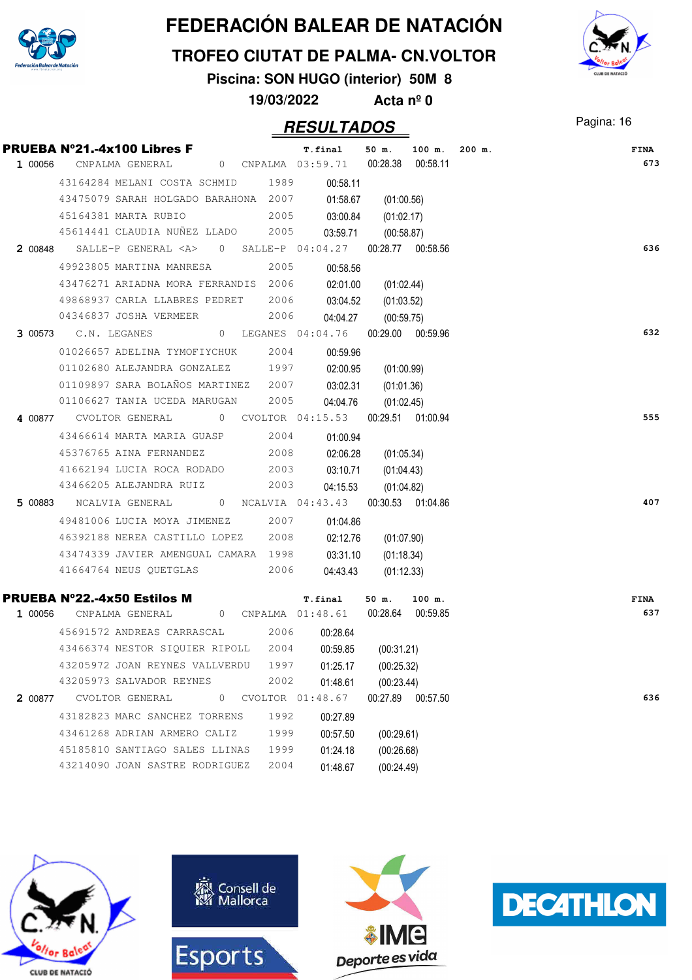

#### **TROFEO CIUTAT DE PALMA- CN.VOLTOR**

**Piscina: SON HUGO (interior) 50M 8**

**19/03/2022 Acta nº 0**

### Pagina: 16 **RESULTADOS**

|         | PRUEBA N°21.-4x100 Libres F                                          |      | T.final               | 50 m.<br>100 m.                         | $200$ m. | <b>FINA</b> |
|---------|----------------------------------------------------------------------|------|-----------------------|-----------------------------------------|----------|-------------|
| 1 00056 | CNPALMA GENERAL                                                      |      |                       | 0 CNPALMA  03:59.71  00:28.38  00:58.11 |          | 673         |
|         | 43164284 MELANI COSTA SCHMID 1989                                    |      | 00:58.11              |                                         |          |             |
|         | 43475079 SARAH HOLGADO BARAHONA 2007                                 |      | 01:58.67              | (01:00.56)                              |          |             |
|         | 45164381 MARTA RUBIO                                                 | 2005 | $03:00.84$ (01:02.17) |                                         |          |             |
|         | 45614441 CLAUDIA NUÑEZ LLADO 2005                                    |      |                       | 03:59.71 (00:58.87)                     |          |             |
|         | 2 00848 SALLE-P GENERAL <a> 0 SALLE-P 04:04.27 00:28.77 00:58.56</a> |      |                       |                                         |          | 636         |
|         | 49923805 MARTINA MANRESA                                             | 2005 | 00:58.56              |                                         |          |             |
|         | 43476271 ARIADNA MORA FERRANDIS 2006                                 |      | 02:01.00              | (01:02.44)                              |          |             |
|         | 49868937 CARLA LLABRES PEDRET                                        | 2006 | 03:04.52 (01:03.52)   |                                         |          |             |
|         | 04346837 JOSHA VERMEER                                               | 2006 |                       | 04:04.27 (00:59.75)                     |          |             |
|         | 3 00573 C.N. LEGANES 0 LEGANES 04:04.76 00:29.00 00:59.96            |      |                       |                                         |          | 632         |
|         | 01026657 ADELINA TYMOFIYCHUK 2004                                    |      | 00:59.96              |                                         |          |             |
|         | 01102680 ALEJANDRA GONZALEZ 1997                                     |      | 02:00.95              | (01:00.99)                              |          |             |
|         | 01109897 SARA BOLAÑOS MARTINEZ 2007                                  |      | 03:02.31 (01:01.36)   |                                         |          |             |
|         | 01106627 TANIA UCEDA MARUGAN 2005                                    |      |                       | 04:04.76 (01:02.45)                     |          |             |
|         | 4 00877 CVOLTOR GENERAL 0 CVOLTOR 04:15.53 00:29.51 01:00.94         |      |                       |                                         |          | 555         |
|         | 43466614 MARTA MARIA GUASP 2004                                      |      | 01:00.94              |                                         |          |             |
|         | 45376765 AINA FERNANDEZ 2008                                         |      | 02:06.28              | (01:05.34)                              |          |             |
|         | 41662194 LUCIA ROCA RODADO 2003                                      |      | 03:10.71 (01:04.43)   |                                         |          |             |
|         | 43466205 ALEJANDRA RUIZ 2003                                         |      |                       | 04:15.53 (01:04.82)                     |          |             |
|         |                                                                      |      |                       |                                         |          | 407         |
|         | 49481006 LUCIA MOYA JIMENEZ 2007                                     |      | 01:04.86              |                                         |          |             |
|         | 46392188 NEREA CASTILLO LOPEZ 2008                                   |      | 02:12.76              | (01:07.90)                              |          |             |
|         | 43474339 JAVIER AMENGUAL CAMARA 1998 03:31.10                        |      |                       | (01:18.34)                              |          |             |
|         | 41664764 NEUS QUETGLAS 2006                                          |      | 04:43.43              | (01:12.33)                              |          |             |
|         | <b>PRUEBA N°22.-4x50 Estilos M</b> T.final                           |      |                       | 50 m. 100 m.                            |          | <b>FINA</b> |
| 1 00056 | CNPALMA GENERAL 0 CNPALMA 01:48.61 00:28.64 00:59.85                 |      |                       |                                         |          | 637         |
|         | 45691572 ANDREAS CARRASCAL 2006                                      |      | 00:28.64              |                                         |          |             |
|         | 43466374 NESTOR SIQUIER RIPOLL 2004                                  |      | 00:59.85              | (00:31.21)                              |          |             |
|         | 43205972 JOAN REYNES VALLVERDU                                       | 1997 | 01:25.17              | (00:25.32)                              |          |             |
|         | 43205973 SALVADOR REYNES                                             | 2002 | 01:48.61              | (00:23.44)                              |          |             |
| 2 00877 | CVOLTOR GENERAL<br>0                                                 |      | CVOLTOR 01:48.67      | 00:27.89 00:57.50                       |          | 636         |
|         | 43182823 MARC SANCHEZ TORRENS                                        | 1992 | 00:27.89              |                                         |          |             |
|         | 43461268 ADRIAN ARMERO CALIZ                                         | 1999 | 00:57.50              | (00:29.61)                              |          |             |
|         | 45185810 SANTIAGO SALES LLINAS                                       | 1999 | 01:24.18              | (00:26.68)                              |          |             |
|         | 43214090 JOAN SASTRE RODRIGUEZ                                       | 2004 | 01:48.67              | (00:24.49)                              |          |             |









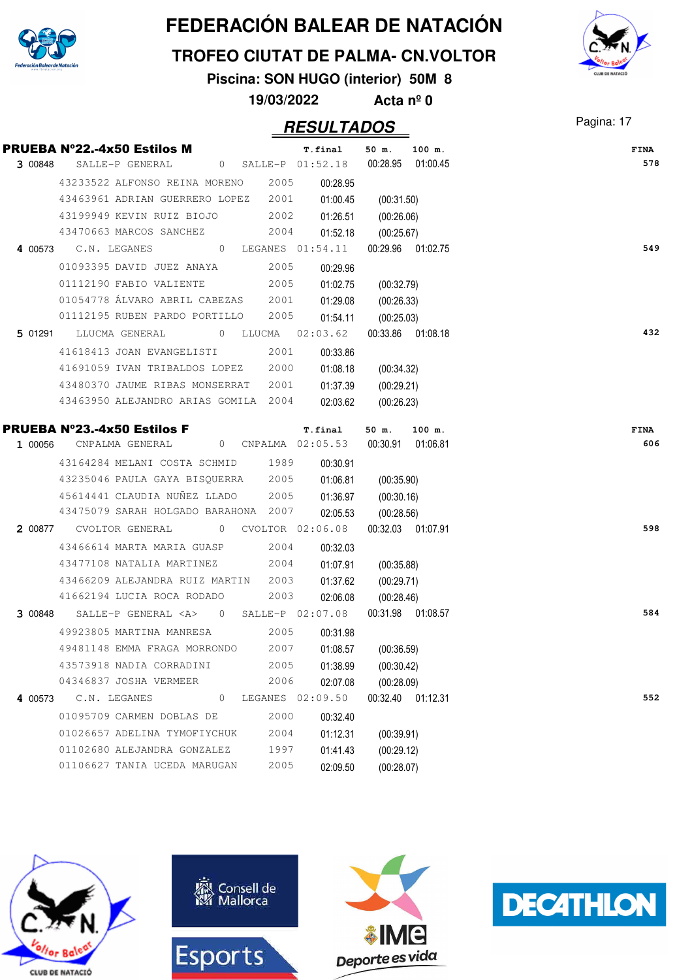

#### **TROFEO CIUTAT DE PALMA- CN.VOLTOR**

**Piscina: SON HUGO (interior) 50M 8**

**19/03/2022 Acta nº 0**

### Pagina: 17 **RESULTADOS**

|         | <b>PRUEBA N°22.-4x50 Estilos M</b>                     | T.final            | 50 m.<br>100 m.   | <b>FINA</b> |
|---------|--------------------------------------------------------|--------------------|-------------------|-------------|
| 3 00848 | SALLE-P GENERAL                                        | 0 SALLE-P 01:52.18 | 00:28.95 01:00.45 | 578         |
|         | 43233522 ALFONSO REINA MORENO                          | 2005<br>00:28.95   |                   |             |
|         | 43463961 ADRIAN GUERRERO LOPEZ                         | 2001<br>01:00.45   | (00:31.50)        |             |
|         | 43199949 KEVIN RUIZ BIOJO                              | 2002<br>01:26.51   | (00:26.06)        |             |
|         | 43470663 MARCOS SANCHEZ                                | 2004<br>01:52.18   | (00:25.67)        |             |
|         | 4 00573 C.N. LEGANES                                   | 0 LEGANES 01:54.11 | 00:29.96 01:02.75 | 549         |
|         | 01093395 DAVID JUEZ ANAYA                              | 2005<br>00:29.96   |                   |             |
|         | 01112190 FABIO VALIENTE                                | 2005<br>01:02.75   | (00:32.79)        |             |
|         | 01054778 ÁLVARO ABRIL CABEZAS 2001                     | 01:29.08           | (00:26.33)        |             |
|         | 01112195 RUBEN PARDO PORTILLO                          | 2005<br>01:54.11   | (00:25.03)        |             |
|         | 5 01291 LLUCMA GENERAL                                 | 0 LLUCMA 02:03.62  | 00:33.86 01:08.18 | 432         |
|         | 41618413 JOAN EVANGELISTI                              | 2001<br>00:33.86   |                   |             |
|         | 41691059 IVAN TRIBALDOS LOPEZ                          | 2000<br>01:08.18   | (00:34.32)        |             |
|         | 43480370 JAUME RIBAS MONSERRAT                         | 2001<br>01:37.39   | (00:29.21)        |             |
|         | 43463950 ALEJANDRO ARIAS GOMILA 2004                   | 02:03.62           | (00:26.23)        |             |
|         | PRUEBA Nº23.-4x50 Estilos F                            | T.final            | 50 m.<br>100 m.   | <b>FINA</b> |
| 1 00056 | CNPALMA GENERAL                                        | 0 CNPALMA 02:05.53 | 00:30.91 01:06.81 | 606         |
|         | 43164284 MELANI COSTA SCHMID                           | 1989<br>00:30.91   |                   |             |
|         | 43235046 PAULA GAYA BISQUERRA                          | 2005<br>01:06.81   | (00:35.90)        |             |
|         | 45614441 CLAUDIA NUÑEZ LLADO                           | 2005<br>01:36.97   | (00:30.16)        |             |
|         | 43475079 SARAH HOLGADO BARAHONA 2007                   | 02:05.53           | (00:28.56)        |             |
|         | 2 00877 CVOLTOR GENERAL                                | 0 CVOLTOR 02:06.08 | 00:32.03 01:07.91 | 598         |
|         | 43466614 MARTA MARIA GUASP                             | 2004<br>00:32.03   |                   |             |
|         | 43477108 NATALIA MARTINEZ                              | 2004<br>01:07.91   | (00:35.88)        |             |
|         | 43466209 ALEJANDRA RUIZ MARTIN                         | 2003<br>01:37.62   | (00:29.71)        |             |
|         | 41662194 LUCIA ROCA RODADO                             | 2003<br>02:06.08   | (00:28.46)        |             |
| 3 00848 | SALLE-P GENERAL $\langle A \rangle$ 0 SALLE-P 02:07.08 |                    | 00:31.98 01:08.57 | 584         |
|         | 49923805 MARTINA MANRESA                               | 2005<br>00:31.98   |                   |             |
|         | 49481148 EMMA FRAGA MORRONDO                           | 2007<br>01:08.57   | (00:36.59)        |             |
|         | 43573918 NADIA CORRADINI                               | 2005<br>01:38.99   | (00:30.42)        |             |
|         | 04346837 JOSHA VERMEER                                 | 2006<br>02:07.08   | (00:28.09)        |             |
| 4 00573 | C.N. LEGANES<br>0                                      | LEGANES 02:09.50   | 00:32.40 01:12.31 | 552         |
|         | 01095709 CARMEN DOBLAS DE                              | 2000<br>00:32.40   |                   |             |
|         | 01026657 ADELINA TYMOFIYCHUK                           | 2004<br>01:12.31   | (00:39.91)        |             |
|         | 01102680 ALEJANDRA GONZALEZ                            | 1997<br>01:41.43   | (00:29.12)        |             |
|         | 01106627 TANIA UCEDA MARUGAN                           | 2005<br>02:09.50   | (00:28.07)        |             |









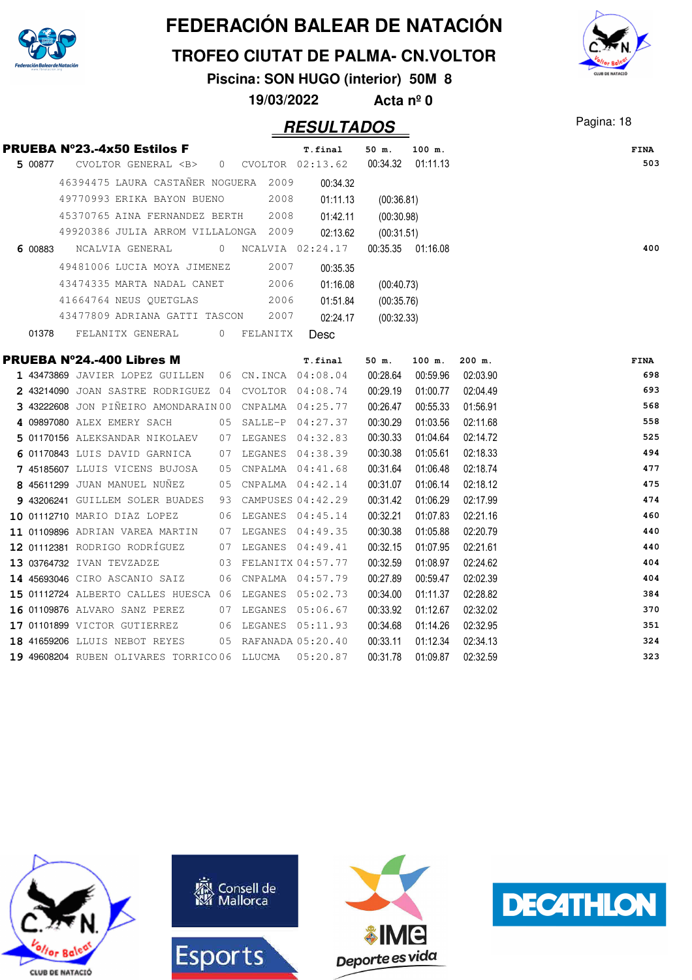

#### **TROFEO CIUTAT DE PALMA- CN.VOLTOR**

**Piscina: SON HUGO (interior) 50M 8**

**19/03/2022 Acta nº 0**

|         | <b>PRUEBA Nº23.-4x50 Estilos F</b> |                                 |                                      | T.final                                                           | 50 m.               | 100 m.            |          | <b>FINA</b> |
|---------|------------------------------------|---------------------------------|--------------------------------------|-------------------------------------------------------------------|---------------------|-------------------|----------|-------------|
| 5 00877 |                                    |                                 |                                      | CVOLTOR GENERAL <b> 0 CVOLTOR 02:13.62</b>                        |                     | 00:34.32 01:11.13 |          | 503         |
|         |                                    |                                 | 46394475 LAURA CASTAÑER NOGUERA 2009 | 00:34.32                                                          |                     |                   |          |             |
|         |                                    |                                 | 49770993 ERIKA BAYON BUENO 2008      | 01:11.13                                                          | (00:36.81)          |                   |          |             |
|         |                                    |                                 | 45370765 AINA FERNANDEZ BERTH 2008   | 01:42.11                                                          | (00:30.98)          |                   |          |             |
|         |                                    |                                 | 49920386 JULIA ARROM VILLALONGA 2009 |                                                                   | 02:13.62 (00:31.51) |                   |          |             |
|         |                                    |                                 |                                      | 6 00883     NCALVIA GENERAL               0    NCALVIA   02:24.17 |                     | 00:35.35 01:16.08 |          | 400         |
|         |                                    |                                 | 49481006 LUCIA MOYA JIMENEZ 2007     | 00:35.35                                                          |                     |                   |          |             |
|         |                                    | 43474335 MARTA NADAL CANET      | 2006                                 | 01:16.08                                                          | (00:40.73)          |                   |          |             |
|         |                                    | 41664764 NEUS QUETGLAS          | 2006                                 | 01:51.84                                                          | (00:35.76)          |                   |          |             |
|         |                                    |                                 | 43477809 ADRIANA GATTI TASCON 2007   | 02:24.17                                                          | (00:32.33)          |                   |          |             |
|         |                                    |                                 | 01378 FELANITX GENERAL 0 FELANITX    | <b>Desc</b>                                                       |                     |                   |          |             |
|         | <b>PRUEBA Nº24.-400 Libres M</b>   |                                 |                                      | T.final                                                           | 50 m.               | 100 m.            | $200$ m. | <b>FINA</b> |
|         |                                    |                                 |                                      | 1 43473869 JAVIER LOPEZ GUILLEN 06 CN.INCA 04:08.04               |                     | 00:28.64 00:59.96 | 02:03.90 | 698         |
|         |                                    |                                 |                                      | 2 43214090 JOAN SASTRE RODRIGUEZ 04 CVOLTOR 04:08.74              | 00:29.19            | 01:00.77          | 02:04.49 | 693         |
|         |                                    |                                 |                                      | 3 43222608 JON PIÑEIRO AMONDARAIN 00 CNPALMA 04:25.77             | 00:26.47            | 00:55.33          | 01:56.91 | 568         |
|         |                                    |                                 |                                      | 4 09897080 ALEX EMERY SACH 05 SALLE-P 04:27.37                    | 00:30.29            | 01:03.56          | 02:11.68 | 558         |
|         |                                    |                                 |                                      | 5 01170156 ALEKSANDAR NIKOLAEV 07 LEGANES 04:32.83                | 00:30.33            | 01:04.64          | 02:14.72 | 525         |
|         |                                    | 6 01170843 LUIS DAVID GARNICA   |                                      | 07 LEGANES 04:38.39                                               | 00:30.38            | 01:05.61          | 02:18.33 | 494         |
|         |                                    | 7 45185607 LLUIS VICENS BUJOSA  |                                      | 05 CNPALMA 04:41.68                                               | 00:31.64            | 01:06.48          | 02:18.74 | 477         |
|         |                                    |                                 |                                      | 8 45611299 JUAN MANUEL NUÑEZ 05 CNPALMA 04:42.14                  | 00:31.07            | 01:06.14          | 02:18.12 | 475         |
|         |                                    |                                 |                                      | 9 43206241 GUILLEM SOLER BUADES 93 CAMPUSES 04:42.29              | 00:31.42            | 01:06.29          | 02:17.99 | 474         |
|         |                                    |                                 |                                      | 10 01112710 MARIO DIAZ LOPEZ 06 LEGANES 04:45.14                  | 00:32.21            | 01:07.83          | 02:21.16 | 460         |
|         |                                    | 11 01109896 ADRIAN VAREA MARTIN |                                      | 07 LEGANES 04:49.35                                               | 00:30.38            | 01:05.88          | 02:20.79 | 440         |
|         |                                    |                                 |                                      | 12 01112381 RODRIGO RODRÍGUEZ 07 LEGANES 04:49.41                 | 00:32.15            | 01:07.95          | 02:21.61 | 440         |
|         | 13 03764732 IVAN TEVZADZE          |                                 |                                      | 03 FELANITX 04:57.77                                              | 00:32.59            | 01:08.97          | 02:24.62 | 404         |
|         | 14 45693046 CIRO ASCANIO SAIZ      |                                 |                                      | 06 CNPALMA 04:57.79                                               | 00:27.89            | 00:59.47          | 02:02.39 | 404         |
|         |                                    |                                 |                                      | 15 01112724 ALBERTO CALLES HUESCA 06 LEGANES 05:02.73             | 00:34.00            | 01:11.37          | 02:28.82 | 384         |
|         |                                    |                                 |                                      | 16 01109876 ALVARO SANZ PEREZ 07 LEGANES 05:06.67                 | 00:33.92            | 01:12.67          | 02:32.02 | 370         |
|         |                                    |                                 |                                      | 17 01101899 VICTOR GUTIERREZ 06 LEGANES 05:11.93                  | 00:34.68            | 01:14.26          | 02:32.95 | 351         |
|         |                                    |                                 |                                      | 18 41659206 LLUIS NEBOT REYES 05 RAFANADA 05:20.40                | 00:33.11            | 01:12.34          | 02:34.13 | 324         |
|         |                                    |                                 |                                      | 19 49608204 RUBEN OLIVARES TORRICO 06 LLUCMA  05:20.87            | 00:31.78            | 01:09.87          | 02:32.59 | 323         |









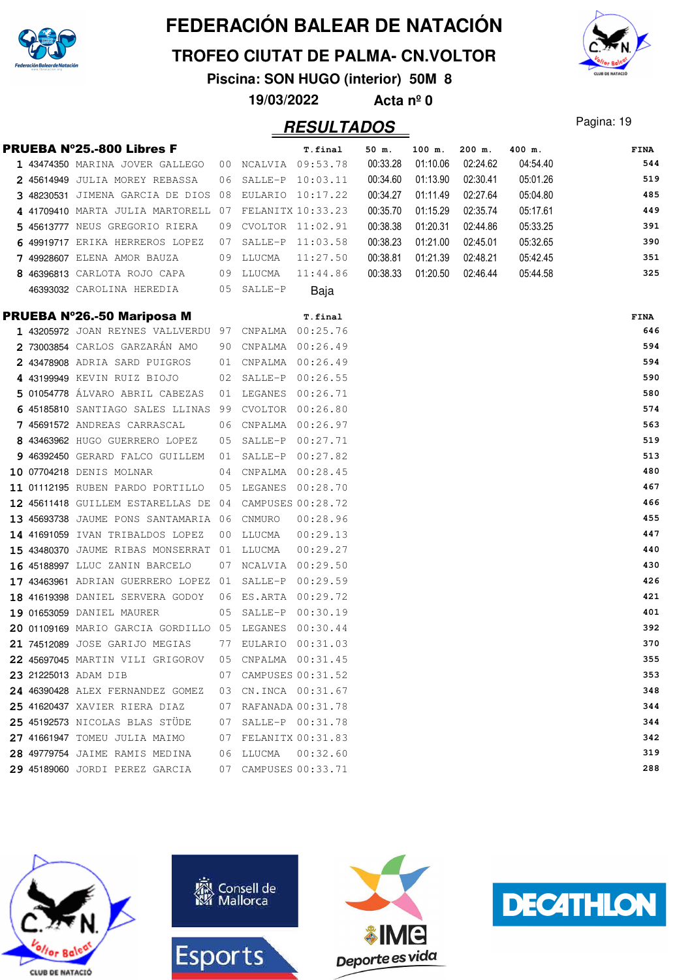

#### **TROFEO CIUTAT DE PALMA- CN.VOLTOR**

**Piscina: SON HUGO (interior) 50M 8**

**19/03/2022 Acta nº 0**

### Pagina: 19 **RESULTADOS**



|  | <b>PRUEBA Nº25.-800 Libres F</b>                     |    |            | T.final              | 50 m.    | 100 m.   | 200 m.   | 400 m.   | FINA       |
|--|------------------------------------------------------|----|------------|----------------------|----------|----------|----------|----------|------------|
|  | 1 43474350 MARINA JOVER GALLEGO                      |    |            | 00 NCALVIA 09:53.78  | 00:33.28 | 01:10.06 | 02:24.62 | 04:54.40 | 544        |
|  | 2 45614949 JULIA MOREY REBASSA                       | 06 |            | SALLE-P 10:03.11     | 00:34.60 | 01:13.90 | 02:30.41 | 05:01.26 | 519        |
|  | 3 48230531 JIMENA GARCIA DE DIOS                     | 08 |            | EULARIO 10:17.22     | 00:34.27 | 01:11.49 | 02:27.64 | 05:04.80 | 485        |
|  | 4 41709410 MARTA JULIA MARTORELL                     | 07 |            | FELANITX 10:33.23    | 00:35.70 | 01:15.29 | 02:35.74 | 05:17.61 | 449        |
|  | 5 45613777 NEUS GREGORIO RIERA                       | 09 |            | CVOLTOR 11:02.91     | 00:38.38 | 01:20.31 | 02:44.86 | 05:33.25 | 391        |
|  | 6 49919717 ERIKA HERREROS LOPEZ                      | 07 |            | SALLE-P 11:03.58     | 00:38.23 | 01:21.00 | 02:45.01 | 05:32.65 | 390        |
|  | 7 49928607 ELENA AMOR BAUZA                          | 09 | LLUCMA     | 11:27.50             | 00:38.81 | 01:21.39 | 02:48.21 | 05:42.45 | 351        |
|  | 8 46396813 CARLOTA ROJO CAPA                         |    | 09 LLUCMA  | 11:44.86             | 00:38.33 | 01:20.50 | 02:46.44 | 05:44.58 | 325        |
|  | 46393032 CAROLINA HEREDIA                            |    | 05 SALLE-P | Baja                 |          |          |          |          |            |
|  | PRUEBA Nº26.-50 Mariposa M                           |    |            | T.final              |          |          |          |          | FINA       |
|  | 1 43205972 JOAN REYNES VALLVERDU 97 CNPALMA 00:25.76 |    |            |                      |          |          |          |          | 646        |
|  | 2 73003854 CARLOS GARZARÁN AMO                       | 90 |            | CNPALMA 00:26.49     |          |          |          |          | 594        |
|  | 2 43478908 ADRIA SARD PUIGROS                        | 01 |            | CNPALMA 00:26.49     |          |          |          |          | 594        |
|  | 4 43199949 KEVIN RUIZ BIOJO                          | 02 |            | SALLE-P 00:26.55     |          |          |          |          | 590        |
|  | 5 01054778 ÁLVARO ABRIL CABEZAS                      | 01 | LEGANES    | 00:26.71             |          |          |          |          | 580        |
|  | 6 45185810 SANTIAGO SALES LLINAS 99                  |    |            | CVOLTOR 00:26.80     |          |          |          |          | 574        |
|  | 7 45691572 ANDREAS CARRASCAL                         | 06 |            | CNPALMA  00:26.97    |          |          |          |          | 563        |
|  | 8 43463962 HUGO GUERRERO LOPEZ                       | 05 |            | SALLE-P 00:27.71     |          |          |          |          | 519        |
|  | 9 46392450 GERARD FALCO GUILLEM                      | 01 |            | SALLE-P 00:27.82     |          |          |          |          | 513        |
|  | 10 07704218 DENIS MOLNAR                             | 04 |            | CNPALMA  00:28.45    |          |          |          |          | 480        |
|  | 11 01112195 RUBEN PARDO PORTILLO                     | 05 |            | LEGANES 00:28.70     |          |          |          |          | 467        |
|  | 12 45611418 GUILLEM ESTARELLAS DE                    | 04 |            | CAMPUSES 00:28.72    |          |          |          |          | 466        |
|  | 13 45693738 JAUME PONS SANTAMARIA 06                 |    | CNMURO     | 00:28.96             |          |          |          |          | 455        |
|  | 14 41691059 IVAN TRIBALDOS LOPEZ                     | 00 | LLUCMA     | 00:29.13             |          |          |          |          | 447        |
|  | 15 43480370 JAUME RIBAS MONSERRAT                    | 01 | LLUCMA     | 00:29.27             |          |          |          |          | 440        |
|  | 16 45188997 LLUC ZANIN BARCELO                       | 07 |            | NCALVIA 00:29.50     |          |          |          |          | 430        |
|  | 17 43463961 ADRIAN GUERRERO LOPEZ 01                 |    |            | SALLE-P 00:29.59     |          |          |          |          | 426        |
|  | 18 41619398 DANIEL SERVERA GODOY                     | 06 |            | ES.ARTA 00:29.72     |          |          |          |          | 421        |
|  | 19 01653059 DANIEL MAURER                            | 05 | SALLE-P    | 00:30.19             |          |          |          |          | 401        |
|  | 20 01109169 MARIO GARCIA GORDILLO 05 LEGANES         |    |            | 00:30.44             |          |          |          |          | 392        |
|  | 21 74512089 JOSE GARIJO MEGIAS                       |    |            | 77 EULARIO 00:31.03  |          |          |          |          | 370        |
|  | 22 45697045 MARTIN VILI GRIGOROV                     | 05 |            | CNPALMA  00:31.45    |          |          |          |          | 355        |
|  | 23 21225013 ADAM DIB                                 |    |            | 07 CAMPUSES 00:31.52 |          |          |          |          | 353        |
|  | 24 46390428 ALEX FERNANDEZ GOMEZ                     |    |            | 03 CN.INCA 00:31.67  |          |          |          |          | 348        |
|  | 25 41620437 XAVIER RIERA DIAZ                        |    |            | 07 RAFANADA 00:31.78 |          |          |          |          | 344        |
|  | 25 45192573 NICOLAS BLAS STÜDE                       |    |            | 07 SALLE-P 00:31.78  |          |          |          |          | 344        |
|  | 27 41661947 TOMEU JULIA MAIMO                        |    |            | 07 FELANITX 00:31.83 |          |          |          |          | 342        |
|  | 28 49779754 JAIME RAMIS MEDINA                       |    |            | 06 LLUCMA  00:32.60  |          |          |          |          | 319<br>288 |
|  | 29 45189060 JORDI PEREZ GARCIA                       |    |            | 07 CAMPUSES 00:33.71 |          |          |          |          |            |







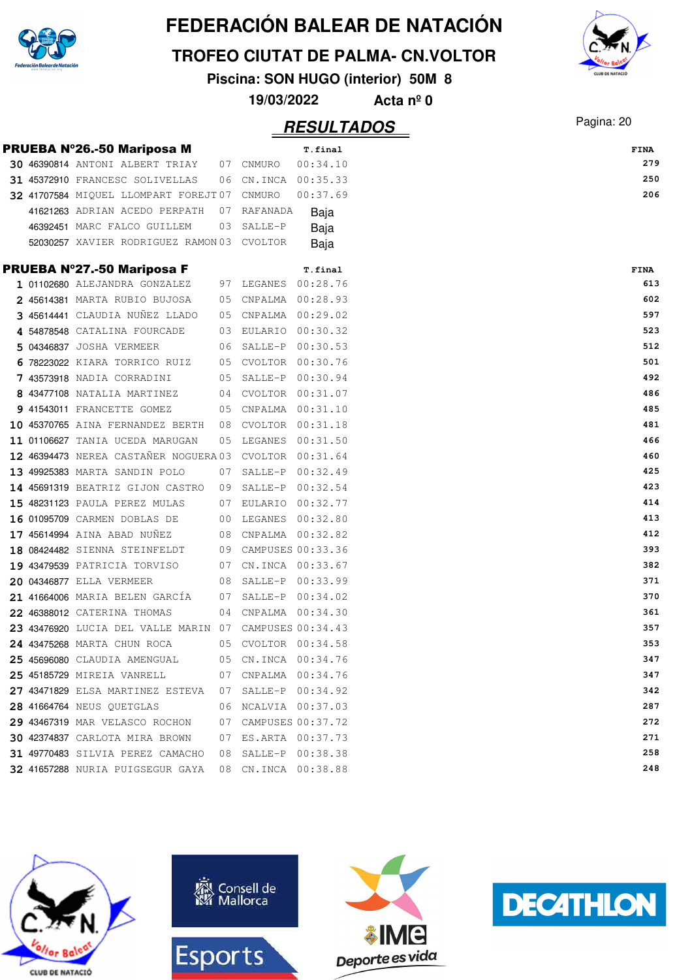

#### **TROFEO CIUTAT DE PALMA- CN.VOLTOR**

**Piscina: SON HUGO (interior) 50M 8**

**19/03/2022 Acta nº 0**

### Pagina: 20 **RESULTADOS**

|  | <b>PRUEBA Nº26.-50 Mariposa M</b>                      |    |                      | T.final  | <b>FINA</b> |
|--|--------------------------------------------------------|----|----------------------|----------|-------------|
|  | 30 46390814 ANTONI ALBERT TRIAY                        |    | 07 CNMURO            | 00:34.10 | 279         |
|  | 31 45372910 FRANCESC SOLIVELLAS                        |    | 06 CN.INCA 00:35.33  |          | 250         |
|  | 32 41707584 MIQUEL LLOMPART FOREJT07 CNMURO            |    |                      | 00:37.69 | 206         |
|  | 41621263 ADRIAN ACEDO PERPATH                          |    | 07 RAFANADA          | Baja     |             |
|  | 46392451 MARC FALCO GUILLEM                            | 03 | SALLE-P              | Baja     |             |
|  | 52030257 XAVIER RODRIGUEZ RAMON 03 CVOLTOR             |    |                      | Baja     |             |
|  | <b>PRUEBA Nº27.-50 Mariposa F</b>                      |    |                      | T.final  | FINA        |
|  | 1 01102680 ALEJANDRA GONZALEZ                          |    | 97 LEGANES 00:28.76  |          | 613         |
|  | 2 45614381 MARTA RUBIO BUJOSA                          |    | 05 CNPALMA 00:28.93  |          | 602         |
|  | 3 45614441 CLAUDIA NUÑEZ LLADO                         |    | 05 CNPALMA 00:29.02  |          | 597         |
|  | 4 54878548 CATALINA FOURCADE                           |    | 03 EULARIO 00:30.32  |          | 523         |
|  | 5 04346837 JOSHA VERMEER                               |    | 06 SALLE-P 00:30.53  |          | 512         |
|  | 6 78223022 KIARA TORRICO RUIZ 05 CVOLTOR 00:30.76      |    |                      |          | 501         |
|  | 7 43573918 NADIA CORRADINI                             | 05 | SALLE-P 00:30.94     |          | 492         |
|  | 8 43477108 NATALIA MARTINEZ                            |    | 04 CVOLTOR 00:31.07  |          | 486         |
|  | 9 41543011 FRANCETTE GOMEZ                             | 05 | CNPALMA  00:31.10    |          | 485         |
|  | 10 45370765 AINA FERNANDEZ BERTH                       |    | 08 CVOLTOR 00:31.18  |          | 481         |
|  | 11 01106627 TANIA UCEDA MARUGAN                        | 05 | LEGANES 00:31.50     |          | 466         |
|  | 12 46394473 NEREA CASTAÑER NOGUERA 03                  |    | CVOLTOR 00:31.64     |          | 460         |
|  | 13 49925383 MARTA SANDIN POLO                          |    | 07 SALLE-P 00:32.49  |          | 425         |
|  | 14 45691319 BEATRIZ GIJON CASTRO 09 SALLE-P 00:32.54   |    |                      |          | 423         |
|  | 15 48231123 PAULA PEREZ MULAS                          |    | 07 EULARIO 00:32.77  |          | 414         |
|  | 16 01095709 CARMEN DOBLAS DE                           |    | 00 LEGANES 00:32.80  |          | 413         |
|  | 17 45614994 AINA ABAD NUÑEZ                            |    | 08 CNPALMA 00:32.82  |          | 412         |
|  | 18 08424482 SIENNA STEINFELDT                          |    | 09 CAMPUSES 00:33.36 |          | 393         |
|  | 19 43479539 PATRICIA TORVISO                           |    | 07 CN.INCA 00:33.67  |          | 382         |
|  | 20 04346877 ELLA VERMEER                               |    | 08 SALLE-P 00:33.99  |          | 371         |
|  | 21 41664006 MARIA BELEN GARCÍA                         |    | 07 SALLE-P 00:34.02  |          | 370         |
|  | 22 46388012 CATERINA THOMAS                            |    | 04 CNPALMA 00:34.30  |          | 361         |
|  | 23 43476920 LUCIA DEL VALLE MARIN 07 CAMPUSES 00:34.43 |    |                      |          | 357         |
|  | 24 43475268 MARTA CHUN ROCA                            |    | 05 CVOLTOR 00:34.58  |          | 353         |
|  | <b>25 45696080</b> CLAUDIA AMENGUAL                    |    | 05 CN.INCA 00:34.76  |          | 347         |
|  | 25 45185729 MIREIA VANRELL                             |    | 07 CNPALMA 00:34.76  |          | 347         |
|  | 27 43471829 ELSA MARTINEZ ESTEVA 07 SALLE-P 00:34.92   |    |                      |          | 342         |
|  | <b>28 41664764 NEUS QUETGLAS</b>                       |    | 06 NCALVIA 00:37.03  |          | 287         |
|  | 29 43467319 MAR VELASCO ROCHON                         |    | 07 CAMPUSES 00:37.72 |          | 272         |
|  | 30 42374837 CARLOTA MIRA BROWN                         |    | 07 ES.ARTA 00:37.73  |          | 271         |
|  | 31 49770483 SILVIA PEREZ CAMACHO                       |    | 08 SALLE-P 00:38.38  |          | 258         |
|  | 32 41657288 NURIA PUIGSEGUR GAYA                       |    | 08 CN.INCA 00:38.88  |          | 248         |









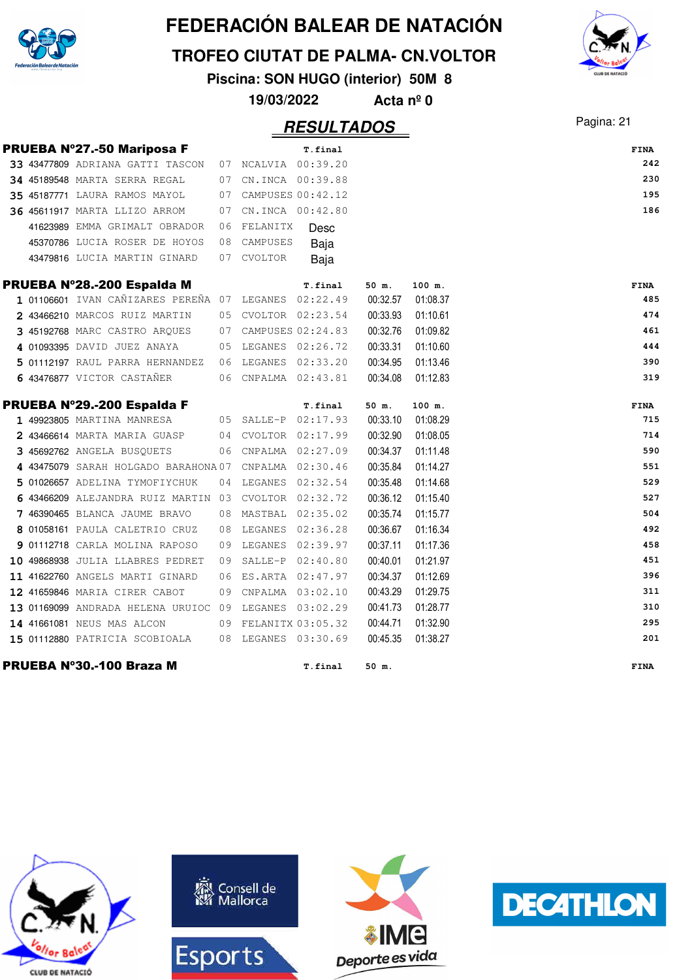

**TROFEO CIUTAT DE PALMA- CN.VOLTOR**

**Piscina: SON HUGO (interior) 50M 8**

**19/03/2022 Acta nº 0**

### Pagina: 21 **RESULTADOS**



|  | <b>PRUEBA Nº27.-50 Mariposa F</b>                     |    |                      |         |          |          |                    |
|--|-------------------------------------------------------|----|----------------------|---------|----------|----------|--------------------|
|  | 33 43477809 ADRIANA GATTI TASCON                      |    | 07 NCALVIA 00:39.20  | T.final |          |          | <b>FINA</b><br>242 |
|  | <b>34 45189548 MARTA SERRA REGAL</b>                  |    | 07 CN.INCA 00:39.88  |         |          |          | 230                |
|  |                                                       |    | 07 CAMPUSES 00:42.12 |         |          |          | 195                |
|  | <b>35 45187771 LAURA RAMOS MAYOL</b>                  |    |                      |         |          |          | 186                |
|  | 36 45611917 MARTA LLIZO ARROM                         | 07 | CN. INCA 00:42.80    |         |          |          |                    |
|  | 41623989 EMMA GRIMALT OBRADOR                         | 06 | FELANITX             | Desc    |          |          |                    |
|  | 45370786 LUCIA ROSER DE HOYOS                         | 08 | CAMPUSES             | Baja    |          |          |                    |
|  | 43479816 LUCIA MARTIN GINARD                          |    | 07 CVOLTOR           | Baja    |          |          |                    |
|  | PRUEBA Nº28.-200 Espalda M                            |    |                      | T.final | 50 m.    | 100 m.   | <b>FINA</b>        |
|  | 1 01106601 IVAN CAÑIZARES PEREÑA 07 LEGANES 02:22.49  |    |                      |         | 00:32.57 | 01:08.37 | 485                |
|  | 2 43466210 MARCOS RUIZ MARTIN                         |    | 05 CVOLTOR 02:23.54  |         | 00:33.93 | 01:10.61 | 474                |
|  | 3 45192768 MARC CASTRO ARQUES                         |    | 07 CAMPUSES 02:24.83 |         | 00:32.76 | 01:09.82 | 461                |
|  | 4 01093395 DAVID JUEZ ANAYA                           |    | 05 LEGANES 02:26.72  |         | 00:33.31 | 01:10.60 | 444                |
|  | 5 01112197 RAUL PARRA HERNANDEZ                       |    | 06 LEGANES 02:33.20  |         | 00:34.95 | 01:13.46 | 390                |
|  | 6 43476877 VICTOR CASTAÑER                            |    | 06 CNPALMA 02:43.81  |         | 00:34.08 | 01:12.83 | 319                |
|  | PRUEBA Nº29.-200 Espalda F                            |    |                      | T.final | 50 m.    | 100 m.   | <b>FINA</b>        |
|  | 1 49923805 MARTINA MANRESA                            |    | 05 SALLE-P 02:17.93  |         | 00:33.10 | 01:08.29 | 715                |
|  | 2 43466614 MARTA MARIA GUASP                          |    | 04 CVOLTOR 02:17.99  |         | 00:32.90 | 01:08.05 | 714                |
|  | 3 45692762 ANGELA BUSQUETS                            |    | 06 CNPALMA 02:27.09  |         | 00:34.37 | 01:11.48 | 590                |
|  | 4 43475079 SARAH HOLGADO BARAHONA07                   |    | CNPALMA 02:30.46     |         | 00:35.84 | 01:14.27 | 551                |
|  | 5 01026657 ADELINA TYMOFIYCHUK                        | 04 | LEGANES 02:32.54     |         | 00:35.48 | 01:14.68 | 529                |
|  | 6 43466209 ALEJANDRA RUIZ MARTIN 03                   |    | CVOLTOR 02:32.72     |         | 00:36.12 | 01:15.40 | 527                |
|  | 7 46390465 BLANCA JAUME BRAVO                         |    | 08 MASTBAL 02:35.02  |         | 00:35.74 | 01:15.77 | 504                |
|  | 8 01058161 PAULA CALETRIO CRUZ                        |    | 08 LEGANES 02:36.28  |         | 00:36.67 | 01:16.34 | 492                |
|  | 9 01112718 CARLA MOLINA RAPOSO                        | 09 | LEGANES 02:39.97     |         | 00:37.11 | 01:17.36 | 458                |
|  | 10 49868938 JULIA LLABRES PEDRET                      | 09 | SALLE-P 02:40.80     |         | 00:40.01 | 01:21.97 | 451                |
|  | 11 41622760 ANGELS MARTI GINARD                       | 06 | ES.ARTA 02:47.97     |         | 00:34.37 | 01:12.69 | 396                |
|  | 12 41659846 MARIA CIRER CABOT                         |    | 09 CNPALMA 03:02.10  |         | 00:43.29 | 01:29.75 | 311                |
|  | 13 01169099 ANDRADA HELENA URUIOC 09 LEGANES 03:02.29 |    |                      |         | 00:41.73 | 01:28.77 | 310                |
|  | 14 41661081 NEUS MAS ALCON                            |    | 09 FELANITX 03:05.32 |         | 00:44.71 | 01:32.90 | 295                |
|  | 15 01112880 PATRICIA SCOBIOALA                        |    | 08 LEGANES 03:30.69  |         | 00:45.35 | 01:38.27 | 201                |
|  | PRUEBA Nº30.-100 Braza M                              |    |                      | T.final | 50 m.    |          | <b>FINA</b>        |







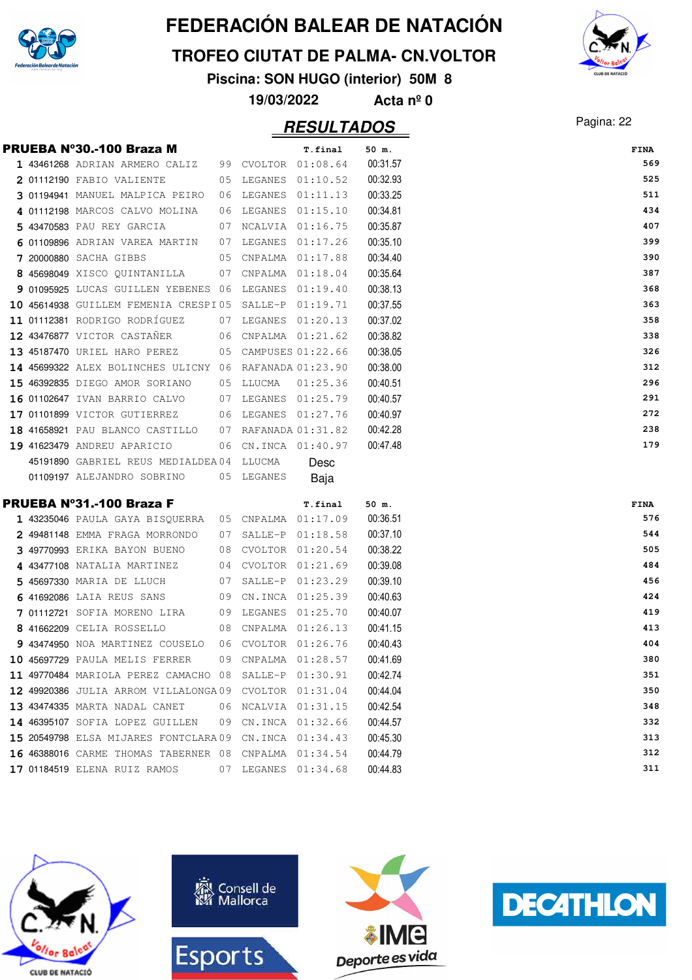

#### **TROFEO CIUTAT DE PALMA- CN.VOLTOR**

**Piscina: SON HUGO (interior) 50M 8**

#### Pagina: 22 **RESULTADOS**

|                                | 19/03/2022 |                     | Acta $n^{\circ}$ 0 |            |
|--------------------------------|------------|---------------------|--------------------|------------|
|                                |            | <b>RESULTADOS</b>   |                    | Pagina: 22 |
| PRUEBA Nº30.-100 Braza M       |            | T.final             | $50$ m.            | FINA       |
| 1 43461268 ADRIAN ARMERO CALIZ |            | 99 CVOLTOR 01:08.64 | 00:31.57           | 56         |
| 2 01112190 FABIO VALIENTE      |            | 05 LEGANES 01:10.52 | 00:32.93           | 52         |

|  | 1 43461268 ADRIAN ARMERO CALIZ                          | 99 CVOLTOR 01:08.64  |          | 00:31.57 | 569  |
|--|---------------------------------------------------------|----------------------|----------|----------|------|
|  | 2 01112190 FABIO VALIENTE                               | 05 LEGANES 01:10.52  |          | 00:32.93 | 525  |
|  | 3 01194941 MANUEL MALPICA PEIRO                         | 06 LEGANES 01:11.13  |          | 00:33.25 | 511  |
|  | 4 01112198 MARCOS CALVO MOLINA                          | 06 LEGANES 01:15.10  |          | 00:34.81 | 434  |
|  | 5 43470583 PAU REY GARCIA                               | 07 NCALVIA 01:16.75  |          | 00:35.87 | 407  |
|  | 6 01109896 ADRIAN VAREA MARTIN                          | 07 LEGANES 01:17.26  |          | 00:35.10 | 399  |
|  | 7 20000880 SACHA GIBBS                                  | 05 CNPALMA 01:17.88  |          | 00:34.40 | 390  |
|  | 8 45698049 XISCO QUINTANILLA                            | 07 CNPALMA 01:18.04  |          | 00:35.64 | 387  |
|  | 9 01095925 LUCAS GUILLEN YEBENES 06 LEGANES 01:19.40    |                      |          | 00:38.13 | 368  |
|  | 10 45614938 GUILLEM FEMENIA CRESPI05 SALLE-P 01:19.71   |                      |          | 00:37.55 | 363  |
|  | 11 01112381 RODRIGO RODRÍGUEZ                           | 07 LEGANES 01:20.13  |          | 00:37.02 | 358  |
|  | 12 43476877 VICTOR CASTAÑER 06 CNPALMA 01:21.62         |                      |          | 00:38.82 | 338  |
|  | 13 45187470 URIEL HARO PEREZ 05 CAMPUSES 01:22.66       |                      |          | 00:38.05 | 326  |
|  | 14 45699322 ALEX BOLINCHES ULICNY 06 RAFANADA 01:23.90  |                      |          | 00:38.00 | 312  |
|  | 15 46392835 DIEGO AMOR SORIANO 05 LLUCMA                |                      | 01:25.36 | 00:40.51 | 296  |
|  | 16 01102647 IVAN BARRIO CALVO 07 LEGANES 01:25.79       |                      |          | 00:40.57 | 291  |
|  | 17 01101899 VICTOR GUTIERREZ 06 LEGANES 01:27.76        |                      |          | 00:40.97 | 272  |
|  | 18 41658921 PAU BLANCO CASTILLO                         | 07 RAFANADA 01:31.82 |          | 00:42.28 | 238  |
|  | 19 41623479 ANDREU APARICIO                             | 06 CN.INCA 01:40.97  |          | 00:47.48 | 179  |
|  | 45191890 GABRIEL REUS MEDIALDEA04 LLUCMA                |                      | Desc     |          |      |
|  |                                                         |                      |          |          |      |
|  | 01109197 ALEJANDRO SOBRINO 05 LEGANES                   |                      | Baja     |          |      |
|  | PRUEBA Nº31.-100 Braza F                                |                      | T.final  | 50 m.    | FINA |
|  | 1 43235046 PAULA GAYA BISQUERRA 05 CNPALMA 01:17.09     |                      |          | 00:36.51 | 576  |
|  | 2 49481148 EMMA FRAGA MORRONDO                          | 07 SALLE-P 01:18.58  |          | 00:37.10 | 544  |
|  | 3 49770993 ERIKA BAYON BUENO 08 CVOLTOR 01:20.54        |                      |          | 00:38.22 | 505  |
|  | 4 43477108 NATALIA MARTINEZ                             | 04 CVOLTOR 01:21.69  |          | 00:39.08 | 484  |
|  | 5 45697330 MARIA DE LLUCH                               | 07 SALLE-P 01:23.29  |          | 00:39.10 | 456  |
|  | 6 41692086 LAIA REUS SANS                               | 09 CN.INCA 01:25.39  |          | 00:40.63 | 424  |
|  | 7 01112721 SOFIA MORENO LIRA                            | 09 LEGANES 01:25.70  |          | 00:40.07 | 419  |
|  | 8 41662209 CELIA ROSSELLO                               | 08 CNPALMA 01:26.13  |          | 00:41.15 | 413  |
|  | 9 43474950 NOA MARTINEZ COUSELO 06 CVOLTOR 01:26.76     |                      |          | 00:40.43 | 404  |
|  | 10 45697729 PAULA MELIS FERRER 09 CNPALMA 01:28.57      |                      |          | 00:41.69 | 380  |
|  | 11 49770484 MARIOLA PEREZ CAMACHO 08 SALLE-P 01:30.91   |                      |          | 00:42.74 | 351  |
|  | 12 49920386 JULIA ARROM VILLALONGA09 CVOLTOR 01:31.04   |                      |          | 00:44.04 | 350  |
|  | 13 43474335 MARTA NADAL CANET                           | 06 NCALVIA 01:31.15  |          | 00:42.54 | 348  |
|  | 14 46395107 SOFIA LOPEZ GUILLEN                         | 09 CN.INCA 01:32.66  |          | 00:44.57 | 332  |
|  | 15 20549798 ELSA MIJARES FONTCLARA 09 CN. INCA 01:34.43 |                      |          | 00:45.30 | 313  |
|  | 16 46388016 CARME THOMAS TABERNER 08 CNPALMA 01:34.54   |                      |          | 00:44.79 | 312  |









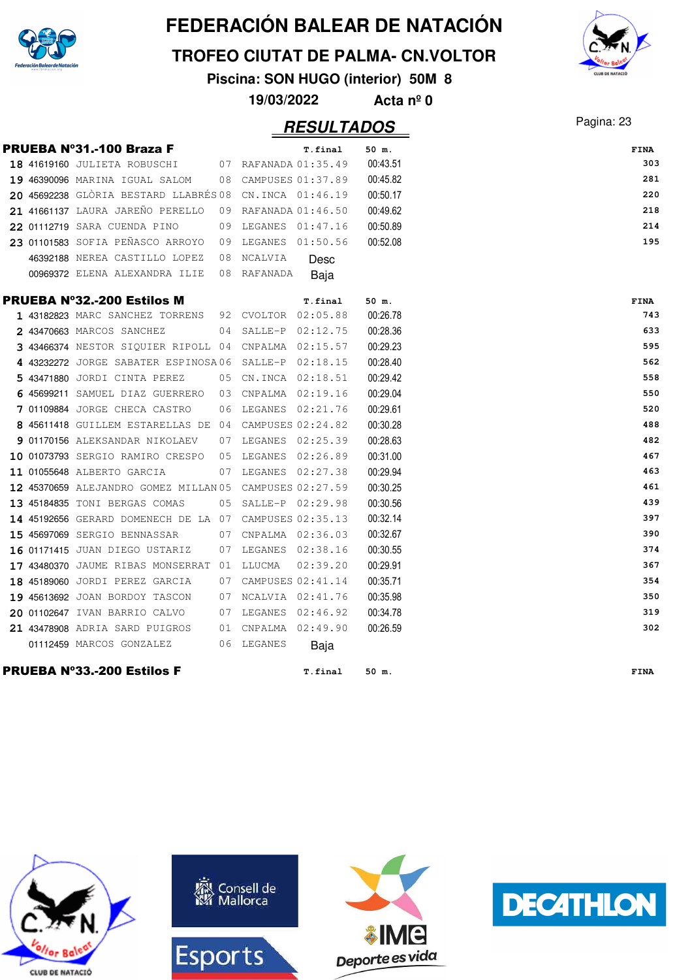

#### **TROFEO CIUTAT DE PALMA- CN.VOLTOR**

**Piscina: SON HUGO (interior) 50M 8**

**19/03/2022 Acta nº 0**

### Pagina: 23 **RESULTADOS**

|  | <b>PRUEBA Nº31.-100 Braza F</b>                         |    |                      | T.final  | 50 m.    | <b>FINA</b> |     |
|--|---------------------------------------------------------|----|----------------------|----------|----------|-------------|-----|
|  | 18 41619160 JULIETA ROBUSCHI 07 RAFANADA 01:35.49       |    |                      |          | 00:43.51 |             | 303 |
|  | 19 46390096 MARINA IGUAL SALOM                          |    | 08 CAMPUSES 01:37.89 |          | 00:45.82 |             | 281 |
|  | 20 45692238 GLÒRIA BESTARD LLABRÉS 08 CN.INCA 01:46.19  |    |                      |          | 00:50.17 |             | 220 |
|  | 21 41661137 LAURA JAREÑO PERELLO                        |    | 09 RAFANADA 01:46.50 |          | 00:49.62 |             | 218 |
|  | 22 01112719 SARA CUENDA PINO                            |    | 09 LEGANES 01:47.16  |          | 00:50.89 |             | 214 |
|  | 23 01101583 SOFIA PEÑASCO ARROYO                        |    | 09 LEGANES 01:50.56  |          | 00:52.08 |             | 195 |
|  | 46392188 NEREA CASTILLO LOPEZ                           |    | 08 NCALVIA           | Desc     |          |             |     |
|  | 00969372 ELENA ALEXANDRA ILIE                           |    | 08 RAFANADA          | Baja     |          |             |     |
|  | <b>PRUEBA Nº32.-200 Estilos M</b>                       |    |                      | T.final  | 50 m.    | FINA        |     |
|  | 1 43182823 MARC SANCHEZ TORRENS 92 CVOLTOR 02:05.88     |    |                      |          | 00:26.78 |             | 743 |
|  | 2 43470663 MARCOS SANCHEZ                               |    | 04 SALLE-P 02:12.75  |          | 00:28.36 |             | 633 |
|  | 3 43466374 NESTOR SIQUIER RIPOLL 04 CNPALMA 02:15.57    |    |                      |          | 00:29.23 |             | 595 |
|  | 4 43232272 JORGE SABATER ESPINOSA06 SALLE-P 02:18.15    |    |                      |          | 00:28.40 |             | 562 |
|  | 5 43471880 JORDI CINTA PEREZ                            |    | 05 CN.INCA 02:18.51  |          | 00:29.42 |             | 558 |
|  | 6 45699211 SAMUEL DIAZ GUERRERO 03 CNPALMA 02:19.16     |    |                      |          | 00:29.04 |             | 550 |
|  | 7 01109884 JORGE CHECA CASTRO                           | 06 | LEGANES 02:21.76     |          | 00:29.61 |             | 520 |
|  | 8 45611418 GUILLEM ESTARELLAS DE 04 CAMPUSES 02:24.82   |    |                      |          | 00:30.28 |             | 488 |
|  | 9 01170156 ALEKSANDAR NIKOLAEV 07 LEGANES 02:25.39      |    |                      |          | 00:28.63 |             | 482 |
|  | 10 01073793 SERGIO RAMIRO CRESPO                        |    | 05 LEGANES 02:26.89  |          | 00:31.00 |             | 467 |
|  | 11 01055648 ALBERTO GARCIA                              |    | 07 LEGANES 02:27.38  |          | 00:29.94 |             | 463 |
|  | 12 45370659 ALEJANDRO GOMEZ MILLAN 05 CAMPUSES 02:27.59 |    |                      |          | 00:30.25 |             | 461 |
|  | 13 45184835 TONI BERGAS COMAS                           |    | 05 SALLE-P 02:29.98  |          | 00:30.56 |             | 439 |
|  | 14 45192656 GERARD DOMENECH DE LA 07 CAMPUSES 02:35.13  |    |                      |          | 00:32.14 |             | 397 |
|  | 15 45697069 SERGIO BENNASSAR                            |    | 07 CNPALMA 02:36.03  |          | 00:32.67 |             | 390 |
|  | 16 01171415 JUAN DIEGO USTARIZ                          | 07 | LEGANES 02:38.16     |          | 00:30.55 |             | 374 |
|  | 17 43480370 JAUME RIBAS MONSERRAT 01 LLUCMA             |    |                      | 02:39.20 | 00:29.91 |             | 367 |
|  | 18 45189060 JORDI PEREZ GARCIA                          |    | 07 CAMPUSES 02:41.14 |          | 00:35.71 |             | 354 |
|  | 19 45613692 JOAN BORDOY TASCON                          |    | 07 NCALVIA 02:41.76  |          | 00:35.98 |             | 350 |
|  | 20 01102647 IVAN BARRIO CALVO                           |    | 07 LEGANES 02:46.92  |          | 00:34.78 |             | 319 |
|  | 21 43478908 ADRIA SARD PUIGROS                          |    | 01 CNPALMA 02:49.90  |          | 00:26.59 |             | 302 |
|  | 01112459 MARCOS GONZALEZ                                |    | 06 LEGANES           | Baja     |          |             |     |
|  |                                                         |    |                      |          |          |             |     |

#### PRUEBA Nº33.-200 Estilos F **T.final 50 m. FINA**











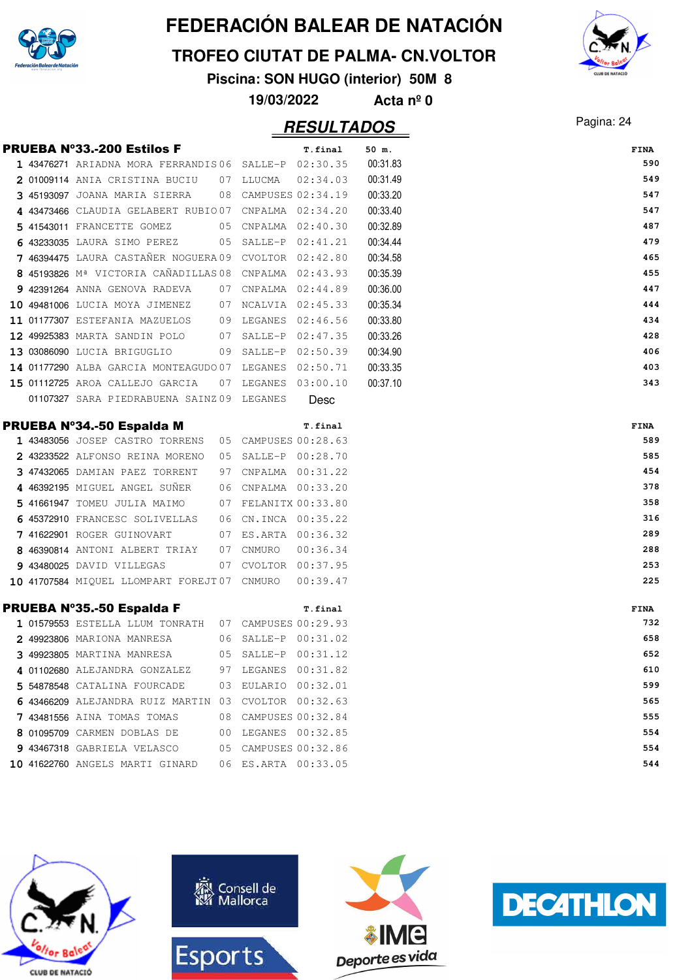

#### **TROFEO CIUTAT DE PALMA- CN.VOLTOR**

**Piscina: SON HUGO (interior) 50M 8**

**19/03/2022 Acta nº 0**

### Pagina: 24 **RESULTADOS**

|  | PRUEBA Nº33.-200 Estilos F                                        |    |                                          | T.final  | 50 m.    | FINA        |
|--|-------------------------------------------------------------------|----|------------------------------------------|----------|----------|-------------|
|  | 1 43476271 ARIADNA MORA FERRANDIS06 SALLE-P 02:30.35              |    |                                          |          | 00:31.83 | 590         |
|  | 2 01009114 ANIA CRISTINA BUCIU 07 LLUCMA                          |    |                                          | 02:34.03 | 00:31.49 | 549         |
|  | 3 45193097 JOANA MARIA SIERRA 08 CAMPUSES 02:34.19                |    |                                          |          | 00:33.20 | 547         |
|  | 4 43473466 CLAUDIA GELABERT RUBIO07 CNPALMA 02:34.20              |    |                                          |          | 00:33.40 | 547         |
|  | 5 41543011 FRANCETTE GOMEZ                                        |    | 05 CNPALMA 02:40.30                      |          | 00:32.89 | 487         |
|  | 6 43233035 LAURA SIMO PEREZ                                       |    | 05 SALLE-P 02:41.21                      |          | 00:34.44 | 479         |
|  | 7 46394475 LAURA CASTAÑER NOGUERA 09 CVOLTOR 02:42.80             |    |                                          |          | 00:34.58 | 465         |
|  | 8 45193826 M <sup>ª</sup> VICTORIA CAÑADILLAS 08 CNPALMA 02:43.93 |    |                                          |          | 00:35.39 | 455         |
|  | 9 42391264 ANNA GENOVA RADEVA                                     |    | 07 CNPALMA 02:44.89                      |          | 00:36.00 | 447         |
|  | 10 49481006 LUCIA MOYA JIMENEZ 07 NCALVIA 02:45.33                |    |                                          |          | 00:35.34 | 444         |
|  | 11 01177307 ESTEFANIA MAZUELOS 09 LEGANES 02:46.56                |    |                                          |          | 00:33.80 | 434         |
|  | 12 49925383 MARTA SANDIN POLO                                     |    | 07 SALLE-P 02:47.35                      |          | 00:33.26 | 428         |
|  | 13 03086090 LUCIA BRIGUGLIO                                       |    | 09 SALLE-P 02:50.39                      |          | 00:34.90 | 406         |
|  | 14 01177290 ALBA GARCIA MONTEAGUDO 07 LEGANES 02:50.71            |    |                                          |          | 00:33.35 | 403         |
|  | 15 01112725 AROA CALLEJO GARCIA                                   |    | 07 LEGANES 03:00.10                      |          | 00:37.10 | 343         |
|  | 01107327 SARA PIEDRABUENA SAINZ 09 LEGANES                        |    |                                          | Desc     |          |             |
|  |                                                                   |    |                                          |          |          |             |
|  | PRUEBA N°34.-50 Espaida M                                         |    |                                          | T.final  |          | FINA<br>589 |
|  | 1 43483056 JOSEP CASTRO TORRENS 05 CAMPUSES 00:28.63              |    |                                          |          |          | 585         |
|  | 2 43233522 ALFONSO REINA MORENO                                   |    | 05 SALLE-P 00:28.70<br>CNPALMA  00:31.22 |          |          | 454         |
|  | 3 47432065 DAMIAN PAEZ TORRENT<br>4 46392195 MIGUEL ANGEL SUÑER   | 97 |                                          |          |          | 378         |
|  |                                                                   |    | 06 CNPALMA 00:33.20                      |          |          | 358         |
|  | 5 41661947 TOMEU JULIA MAIMO                                      |    | 07 FELANITX 00:33.80                     |          |          | 316         |
|  | 6 45372910 FRANCESC SOLIVELLAS                                    |    | 06 CN.INCA 00:35.22                      |          |          | 289         |
|  | 7 41622901 ROGER GUINOVART                                        |    | 07 ES.ARTA 00:36.32                      |          |          | 288         |
|  | 8 46390814 ANTONI ALBERT TRIAY                                    |    | 07 CNMURO                                | 00:36.34 |          |             |
|  | 9 43480025 DAVID VILLEGAS                                         |    | 07 CVOLTOR 00:37.95                      |          |          | 253         |
|  | 10 41707584 MIQUEL LLOMPART FOREJT07 CNMURO                       |    |                                          | 00:39.47 |          | 225         |
|  | PRUEBA Nº35.-50 Espalda F                                         |    |                                          | T.final  |          | FINA        |
|  | 1 01579553 ESTELLA LLUM TONRATH 07 CAMPUSES 00:29.93              |    |                                          |          |          | 732         |
|  | 2 49923806 MARIONA MANRESA                                        |    | 06 SALLE-P 00:31.02                      |          |          | 658         |
|  | 3 49923805 MARTINA MANRESA                                        |    | 05 SALLE-P 00:31.12                      |          |          | 652         |
|  | 4 01102680 ALEJANDRA GONZALEZ                                     |    | 97 LEGANES 00:31.82                      |          |          | 610         |
|  | 5 54878548 CATALINA FOURCADE                                      |    | 03 EULARIO 00:32.01                      |          |          | 599         |
|  | 6 43466209 ALEJANDRA RUIZ MARTIN 03 CVOLTOR 00:32.63              |    |                                          |          |          | 565         |
|  | 7 43481556 AINA TOMAS TOMAS                                       | 08 | CAMPUSES 00:32.84                        |          |          | 555         |
|  | 8 01095709 CARMEN DOBLAS DE                                       |    | 00 LEGANES 00:32.85                      |          |          | 554         |
|  | 9 43467318 GABRIELA VELASCO                                       |    | 05 CAMPUSES 00:32.86                     |          |          | 554         |
|  | 10 41622760 ANGELS MARTI GINARD                                   |    | 06 ES.ARTA 00:33.05                      |          |          | 544         |









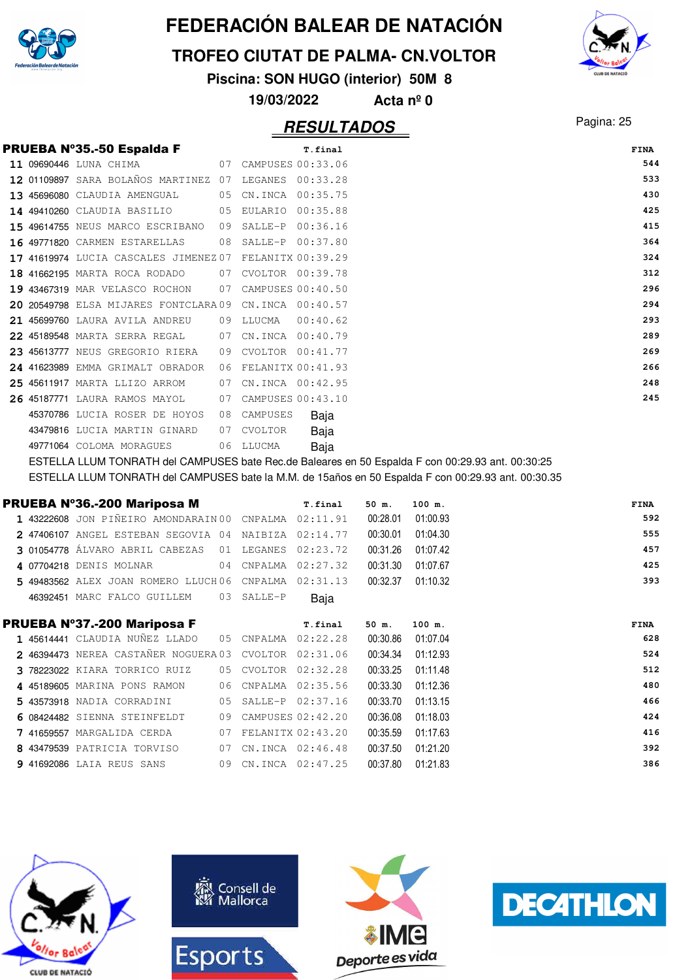

**TROFEO CIUTAT DE PALMA- CN.VOLTOR**

**Piscina: SON HUGO (interior) 50M 8**

**19/03/2022 Acta nº 0**

### Pagina: 25 **RESULTADOS**

| <b>PRUEBA Nº35.-50 Espalda F</b><br>T.final<br>CAMPUSES 00:33.06<br>11 09690446 LUNA CHIMA<br>07<br>12 01109897 SARA BOLAÑOS MARTINEZ<br>07<br>00:33.28<br>LEGANES<br>00:35.75<br>45696080 CLAUDIA AMENGUAL<br>CN.INCA<br>05<br>13<br>14 49410260 CLAUDIA BASILIO<br>EULARIO<br>00:35.88<br>05<br>$SALLE-P$<br>00:36.16<br>49614755 NEUS MARCO ESCRIBANO<br>09<br>49771820 CARMEN ESTARELLAS<br>$SALLE-P$<br>00:37.80<br>08<br>16<br>FELANITX 00:39.29<br>17 41619974 LUCIA CASCALES JIMENEZ 07<br>18 41662195 MARTA ROCA RODADO<br>CVOLTOR 00:39.78<br>07<br>43467319 MAR VELASCO ROCHON<br>CAMPUSES 00:40.50<br>07<br>19.<br>20 20549798 ELSA MIJARES FONTCLARA 09<br>CN.INCA<br>00:40.57<br>LLUCMA<br>00:40.62<br>21 45699760 LAURA AVILA ANDREU<br>09<br>22 45189548 MARTA SERRA REGAL<br>CN.INCA<br>00:40.79<br>07<br>CVOLTOR<br>00:41.77<br>23 45613777 NEUS GREGORIO RIERA<br>09<br>FELANITX 00:41.93<br>24 41623989 EMMA GRIMALT OBRADOR<br>06<br>CN. INCA 00:42.95<br>25 45611917 MARTA LLIZO ARROM<br>07<br>26 45187771 LAURA RAMOS MAYOL<br>CAMPUSES 00:43.10<br>07<br>45370786 LUCIA ROSER DE HOYOS<br>08<br>CAMPUSES<br>Baja<br>43479816 LUCIA MARTIN GINARD<br>CVOLTOR<br>07<br>Baja<br>LLUCMA<br>Baja<br>49771064 COLOMA MORAGUES<br>06 |  |  |  |  |
|--------------------------------------------------------------------------------------------------------------------------------------------------------------------------------------------------------------------------------------------------------------------------------------------------------------------------------------------------------------------------------------------------------------------------------------------------------------------------------------------------------------------------------------------------------------------------------------------------------------------------------------------------------------------------------------------------------------------------------------------------------------------------------------------------------------------------------------------------------------------------------------------------------------------------------------------------------------------------------------------------------------------------------------------------------------------------------------------------------------------------------------------------------------------------------------------------------------------------------------------------------|--|--|--|--|
|                                                                                                                                                                                                                                                                                                                                                                                                                                                                                                                                                                                                                                                                                                                                                                                                                                                                                                                                                                                                                                                                                                                                                                                                                                                        |  |  |  |  |
|                                                                                                                                                                                                                                                                                                                                                                                                                                                                                                                                                                                                                                                                                                                                                                                                                                                                                                                                                                                                                                                                                                                                                                                                                                                        |  |  |  |  |
|                                                                                                                                                                                                                                                                                                                                                                                                                                                                                                                                                                                                                                                                                                                                                                                                                                                                                                                                                                                                                                                                                                                                                                                                                                                        |  |  |  |  |
|                                                                                                                                                                                                                                                                                                                                                                                                                                                                                                                                                                                                                                                                                                                                                                                                                                                                                                                                                                                                                                                                                                                                                                                                                                                        |  |  |  |  |
|                                                                                                                                                                                                                                                                                                                                                                                                                                                                                                                                                                                                                                                                                                                                                                                                                                                                                                                                                                                                                                                                                                                                                                                                                                                        |  |  |  |  |
|                                                                                                                                                                                                                                                                                                                                                                                                                                                                                                                                                                                                                                                                                                                                                                                                                                                                                                                                                                                                                                                                                                                                                                                                                                                        |  |  |  |  |
|                                                                                                                                                                                                                                                                                                                                                                                                                                                                                                                                                                                                                                                                                                                                                                                                                                                                                                                                                                                                                                                                                                                                                                                                                                                        |  |  |  |  |
|                                                                                                                                                                                                                                                                                                                                                                                                                                                                                                                                                                                                                                                                                                                                                                                                                                                                                                                                                                                                                                                                                                                                                                                                                                                        |  |  |  |  |
|                                                                                                                                                                                                                                                                                                                                                                                                                                                                                                                                                                                                                                                                                                                                                                                                                                                                                                                                                                                                                                                                                                                                                                                                                                                        |  |  |  |  |
|                                                                                                                                                                                                                                                                                                                                                                                                                                                                                                                                                                                                                                                                                                                                                                                                                                                                                                                                                                                                                                                                                                                                                                                                                                                        |  |  |  |  |
|                                                                                                                                                                                                                                                                                                                                                                                                                                                                                                                                                                                                                                                                                                                                                                                                                                                                                                                                                                                                                                                                                                                                                                                                                                                        |  |  |  |  |
|                                                                                                                                                                                                                                                                                                                                                                                                                                                                                                                                                                                                                                                                                                                                                                                                                                                                                                                                                                                                                                                                                                                                                                                                                                                        |  |  |  |  |
|                                                                                                                                                                                                                                                                                                                                                                                                                                                                                                                                                                                                                                                                                                                                                                                                                                                                                                                                                                                                                                                                                                                                                                                                                                                        |  |  |  |  |
|                                                                                                                                                                                                                                                                                                                                                                                                                                                                                                                                                                                                                                                                                                                                                                                                                                                                                                                                                                                                                                                                                                                                                                                                                                                        |  |  |  |  |
|                                                                                                                                                                                                                                                                                                                                                                                                                                                                                                                                                                                                                                                                                                                                                                                                                                                                                                                                                                                                                                                                                                                                                                                                                                                        |  |  |  |  |
|                                                                                                                                                                                                                                                                                                                                                                                                                                                                                                                                                                                                                                                                                                                                                                                                                                                                                                                                                                                                                                                                                                                                                                                                                                                        |  |  |  |  |
|                                                                                                                                                                                                                                                                                                                                                                                                                                                                                                                                                                                                                                                                                                                                                                                                                                                                                                                                                                                                                                                                                                                                                                                                                                                        |  |  |  |  |
|                                                                                                                                                                                                                                                                                                                                                                                                                                                                                                                                                                                                                                                                                                                                                                                                                                                                                                                                                                                                                                                                                                                                                                                                                                                        |  |  |  |  |
|                                                                                                                                                                                                                                                                                                                                                                                                                                                                                                                                                                                                                                                                                                                                                                                                                                                                                                                                                                                                                                                                                                                                                                                                                                                        |  |  |  |  |
|                                                                                                                                                                                                                                                                                                                                                                                                                                                                                                                                                                                                                                                                                                                                                                                                                                                                                                                                                                                                                                                                                                                                                                                                                                                        |  |  |  |  |

ESTELLA LLUM TONRATH del CAMPUSES bate Rec.de Baleares en 50 Espalda F con 00:29.93 ant. 00:30:25 ESTELLA LLUM TONRATH del CAMPUSES bate la M.M. de 15años en 50 Espalda F con 00:29.93 ant. 00:30.35

|  | PRUEBA Nº36.-200 Mariposa M                           |    |                     | T.final          | 50 m.    | 100 m.   | <b>FINA</b> |
|--|-------------------------------------------------------|----|---------------------|------------------|----------|----------|-------------|
|  | 1 43222608 JON PIÑEIRO AMONDARAIN 00 CNPALMA 02:11.91 |    |                     |                  | 00:28.01 | 01:00.93 | 592         |
|  | 2 47406107 ANGEL ESTEBAN SEGOVIA 04 NAIBIZA 02:14.77  |    |                     |                  | 00:30.01 | 01:04.30 | 555         |
|  | 3 01054778 ÁLVARO ABRIL CABEZAS                       | 01 | LEGANES             | 02:23.72         | 00:31.26 | 01:07.42 | 457         |
|  | 4 07704218 DENIS MOLNAR                               | 04 | CNPALMA             | 02:27.32         | 00:31.30 | 01:07.67 | 425         |
|  | 5 49483562 ALEX JOAN ROMERO LLUCH 06 CNPALMA          |    |                     | 02:31.13         | 00:32.37 | 01:10.32 | 393         |
|  | 46392451 MARC FALCO GUILLEM                           | 03 | SALLE-P             | Baja             |          |          |             |
|  | PRUEBA Nº37.-200 Mariposa F                           |    |                     | T.final          | $50$ m.  | 100 m.   | <b>FINA</b> |
|  | 1 45614441 CLAUDIA NUÑEZ LLADO                        | 05 | CNPALMA             | 02:22.28         | 00:30.86 | 01:07.04 | 628         |
|  | 2 46394473 NEREA CASTAÑER NOGUERA 03 CVOLTOR          |    |                     | 02:31.06         | 00:34.34 | 01:12.93 | 524         |
|  | 3 78223022 KIARA TORRICO RUIZ                         |    | 05 CVOLTOR 02:32.28 |                  | 00:33.25 | 01:11.48 | 512         |
|  | 4 45189605 MARINA PONS RAMON                          | 06 | CNPALMA             | 02:35.56         | 00:33.30 | 01:12.36 | 480         |
|  | 5 43573918 NADIA CORRADINI                            | 05 |                     | SALLE-P 02:37.16 | 00:33.70 | 01:13.15 | 466         |
|  | 6 08424482 SIENNA STEINFELDT                          | 09 | CAMPUSES 02:42.20   |                  | 00:36.08 | 01:18.03 | 424         |
|  | 7 41659557 MARGALIDA CERDA                            | 07 | FELANITX 02:43.20   |                  | 00:35.59 | 01:17.63 | 416         |
|  | 8 43479539 PATRICIA TORVISO                           | 07 | CN.INCA 02:46.48    |                  | 00:37.50 | 01:21.20 | 392         |
|  | <b>9 41692086</b> LAIA REUS SANS                      |    | 09 CN.INCA 02:47.25 |                  | 00:37.80 | 01:21.83 | 386         |









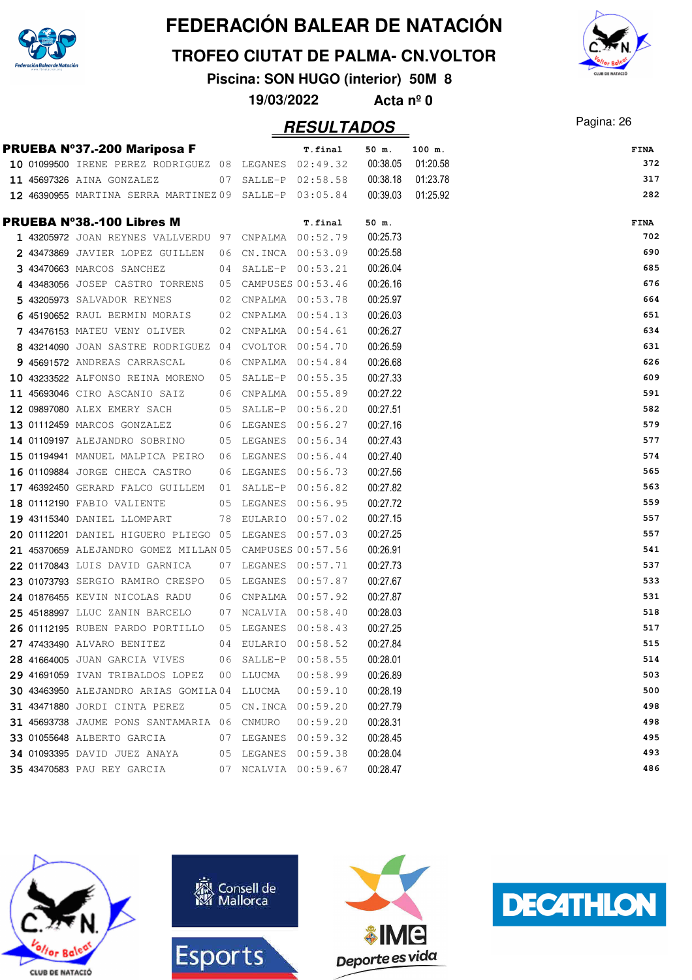

**TROFEO CIUTAT DE PALMA- CN.VOLTOR**

**Piscina: SON HUGO (interior) 50M 8**

**19/03/2022 Acta nº 0**

### Pagina: 26 **RESULTADOS**

|  | PRUEBA Nº37.-200 Mariposa F                             |                     | T.final             | 50 m.    | 100 m.   | <b>FINA</b> |
|--|---------------------------------------------------------|---------------------|---------------------|----------|----------|-------------|
|  | 10 01099500 IRENE PEREZ RODRIGUEZ 08 LEGANES 02:49.32   |                     |                     | 00:38.05 | 01:20.58 | 372         |
|  | 11 45697326 AINA GONZALEZ                               |                     | 07 SALLE-P 02:58.58 | 00:38.18 | 01:23.78 | 317         |
|  | 12 46390955 MARTINA SERRA MARTINEZ 09 SALLE-P 03:05.84  |                     |                     | 00:39.03 | 01:25.92 | 282         |
|  | <b>PRUEBA N°38.-100 Libres M</b>                        |                     | T.final             | 50 m.    |          | FINA        |
|  | 1 43205972 JOAN REYNES VALLVERDU 97 CNPALMA 00:52.79    |                     |                     | 00:25.73 |          | 702         |
|  | 2 43473869 JAVIER LOPEZ GUILLEN 06 CN.INCA 00:53.09     |                     |                     | 00:25.58 |          | 690         |
|  | 3 43470663 MARCOS SANCHEZ                               | 04 SALLE-P 00:53.21 |                     | 00:26.04 |          | 685         |
|  | 4 43483056 JOSEP CASTRO TORRENS 05 CAMPUSES 00:53.46    |                     |                     | 00:26.16 |          | 676         |
|  | 5 43205973 SALVADOR REYNES                              | 02 CNPALMA 00:53.78 |                     | 00:25.97 |          | 664         |
|  | 6 45190652 RAUL BERMIN MORAIS 02 CNPALMA $00:54.13$     |                     |                     | 00:26.03 |          | 651         |
|  | 7 43476153 MATEU VENY OLIVER                            | 02 CNPALMA 00:54.61 |                     | 00:26.27 |          | 634         |
|  | 8 43214090 JOAN SASTRE RODRIGUEZ 04 CVOLTOR 00:54.70    |                     |                     | 00:26.59 |          | 631         |
|  | 9 45691572 ANDREAS CARRASCAL 06 CNPALMA 00:54.84        |                     |                     | 00:26.68 |          | 626         |
|  | 10 43233522 ALFONSO REINA MORENO 05 SALLE-P 00:55.35    |                     |                     | 00:27.33 |          | 609         |
|  | 11 45693046 CIRO ASCANIO SAIZ 06 CNPALMA 00:55.89       |                     |                     | 00:27.22 |          | 591         |
|  | 12 09897080 ALEX EMERY SACH                             | 05 SALLE-P 00:56.20 |                     | 00:27.51 |          | 582         |
|  | 13 01112459 MARCOS GONZALEZ                             |                     | 06 LEGANES 00:56.27 | 00:27.16 |          | 579         |
|  | 14 01109197 ALEJANDRO SOBRINO 05 LEGANES 00:56.34       |                     |                     | 00:27.43 |          | 577         |
|  | 15 01194941 MANUEL MALPICA PEIRO 06 LEGANES 00:56.44    |                     |                     | 00:27.40 |          | 574         |
|  | 16 01109884 JORGE CHECA CASTRO                          | 06 LEGANES 00:56.73 |                     | 00:27.56 |          | 565         |
|  | 17 46392450 GERARD FALCO GUILLEM 01 SALLE-P 00:56.82    |                     |                     | 00:27.82 |          | 563         |
|  | 18 01112190 FABIO VALIENTE 05 LEGANES 00:56.95          |                     |                     | 00:27.72 |          | 559         |
|  | 19 43115340 DANIEL LLOMPART                             | 78 EULARIO 00:57.02 |                     | 00:27.15 |          | 557         |
|  | 20 01112201 DANIEL HIGUERO PLIEGO 05 LEGANES 00:57.03   |                     |                     | 00:27.25 |          | 557         |
|  | 21 45370659 ALEJANDRO GOMEZ MILLAN 05 CAMPUSES 00:57.56 |                     |                     | 00:26.91 |          | 541         |
|  | 22 01170843 LUIS DAVID GARNICA                          | 07 LEGANES 00:57.71 |                     | 00:27.73 |          | 537         |
|  | 23 01073793 SERGIO RAMIRO CRESPO 05 LEGANES 00:57.87    |                     |                     | 00:27.67 |          | 533         |
|  | 24 01876455 KEVIN NICOLAS RADU                          | 06 CNPALMA 00:57.92 |                     | 00:27.87 |          | 531         |
|  | 25 45188997 LLUC ZANIN BARCELO                          | 07 NCALVIA 00:58.40 |                     | 00:28.03 |          | 518         |
|  | 26 01112195 RUBEN PARDO PORTILLO 05 LEGANES 00:58.43    |                     |                     | 00:27.25 |          | 517         |
|  | 27 47433490 ALVARO BENITEZ 04 EULARIO 00:58.52          |                     |                     | 00:27.84 |          | 515         |
|  | 28 41664005 JUAN GARCIA VIVES                           | 06 SALLE-P 00:58.55 |                     | 00:28.01 |          | 514         |
|  | 29 41691059 IVAN TRIBALDOS LOPEZ                        | 00 LLUCMA           | 00:58.99            | 00:26.89 |          | 503         |
|  | 30 43463950 ALEJANDRO ARIAS GOMILA 04 LLUCMA            |                     | 00:59.10            | 00:28.19 |          | 500         |
|  | 31 43471880 JORDI CINTA PEREZ                           | 05 CN.INCA 00:59.20 |                     | 00:27.79 |          | 498         |
|  | 31 45693738 JAUME PONS SANTAMARIA 06 CNMURO             |                     | 00:59.20            | 00:28.31 |          | 498         |
|  | 33 01055648 ALBERTO GARCIA                              | 07 LEGANES          | 00:59.32            | 00:28.45 |          | 495         |
|  | 34 01093395 DAVID JUEZ ANAYA                            | 05 LEGANES          | 00:59.38            | 00:28.04 |          | 493         |
|  | 35 43470583 PAU REY GARCIA                              | 07 NCALVIA 00:59.67 |                     | 00:28.47 |          | 486         |









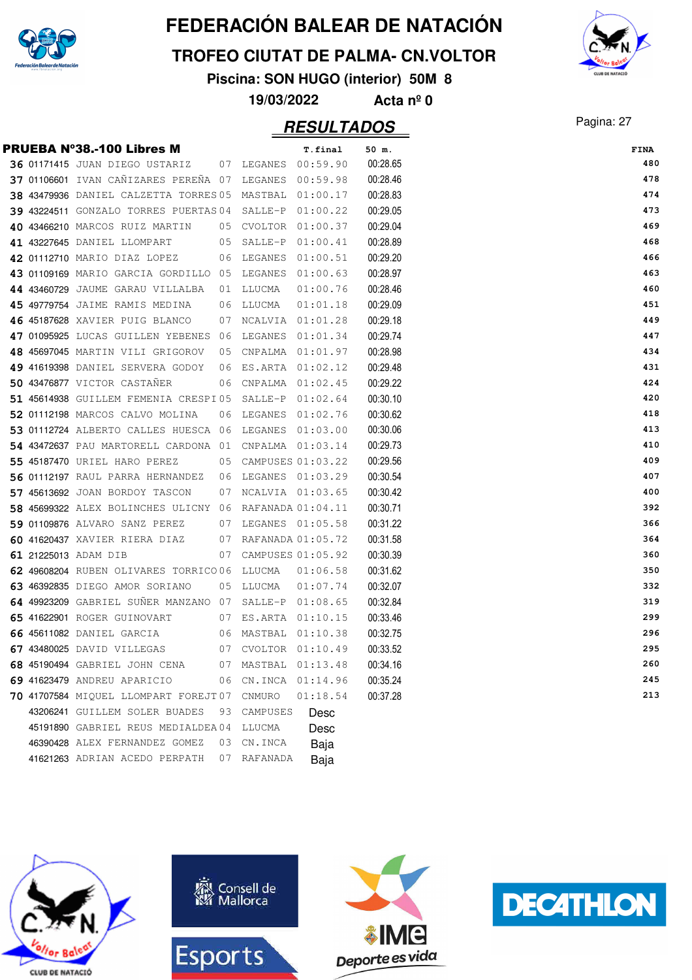

#### **TROFEO CIUTAT DE PALMA- CN.VOLTOR**

**Piscina: SON HUGO (interior) 50M 8**

**19/03/2022 Acta nº 0**

### Pagina: 27 **RESULTADOS**

|  |                                                         |    |                      | <i><b>RESULTADOS</b></i> |          | $i$ agma. $\epsilon$ |
|--|---------------------------------------------------------|----|----------------------|--------------------------|----------|----------------------|
|  | PRUEBA N°38.-100 Libres M                               |    |                      | T.final                  | 50 m.    | FINA                 |
|  | <b>36 01171415 JUAN DIEGO USTARIZ</b>                   |    | 07 LEGANES 00:59.90  |                          | 00:28.65 | 480                  |
|  | 37 01106601 IVAN CANIZARES PERENA 07 LEGANES 00:59.98   |    |                      |                          | 00:28.46 | 478                  |
|  | 38 43479936 DANIEL CALZETTA TORRES 05 MASTBAL 01:00.17  |    |                      |                          | 00:28.83 | 474                  |
|  | 39 43224511 GONZALO TORRES PUERTAS 04 SALLE-P           |    |                      | 01:00.22                 | 00:29.05 | 473                  |
|  | 40 43466210 MARCOS RUIZ MARTIN                          |    | 05 CVOLTOR 01:00.37  |                          | 00:29.04 | 469                  |
|  | 41 43227645 DANIEL LLOMPART                             |    | 05 SALLE-P           | 01:00.41                 | 00:28.89 | 468                  |
|  | 42 01112710 MARIO DIAZ LOPEZ                            |    | 06 LEGANES           | 01:00.51                 | 00:29.20 | 466                  |
|  | 43 01109169 MARIO GARCIA GORDILLO 05 LEGANES            |    |                      | 01:00.63                 | 00:28.97 | 463                  |
|  | 44 43460729 JAUME GARAU VILLALBA 01 LLUCMA              |    |                      | 01:00.76                 | 00:28.46 | 460                  |
|  | <b>45 49779754</b> JAIME RAMIS MEDINA                   |    | 06 LLUCMA            | 01:01.18                 | 00:29.09 | 451                  |
|  | 46 45187628 XAVIER PUIG BLANCO                          |    | 07 NCALVIA 01:01.28  |                          | 00:29.18 | 449                  |
|  | 47 01095925 LUCAS GUILLEN YEBENES 06 LEGANES            |    |                      | 01:01.34                 | 00:29.74 | 447                  |
|  | 48 45697045 MARTIN VILI GRIGOROV                        |    | 05 CNPALMA 01:01.97  |                          | 00:28.98 | 434                  |
|  | 49 41619398 DANIEL SERVERA GODOY                        |    | 06 ES.ARTA 01:02.12  |                          | 00:29.48 | 431                  |
|  | 50 43476877 VICTOR CASTANER                             |    | 06 CNPALMA 01:02.45  |                          | 00:29.22 | 424                  |
|  | 51 45614938 GUILLEM FEMENIA CRESPI05 SALLE-P $01:02.64$ |    |                      |                          | 00:30.10 | 420                  |
|  | 52 01112198 MARCOS CALVO MOLINA                         |    | 06 LEGANES 01:02.76  |                          | 00:30.62 | 418                  |
|  | 53 01112724 ALBERTO CALLES HUESCA 06 LEGANES 01:03.00   |    |                      |                          | 00:30.06 | 413                  |
|  | 54 43472637 PAU MARTORELL CARDONA 01 CNPALMA 01:03.14   |    |                      |                          | 00:29.73 | 410                  |
|  | 55 45187470 URIEL HARO PEREZ                            |    | 05 CAMPUSES 01:03.22 |                          | 00:29.56 | 409                  |
|  | 56 01112197 RAUL PARRA HERNANDEZ 06 LEGANES 01:03.29    |    |                      |                          | 00:30.54 | 407                  |
|  | 57 45613692 JOAN BORDOY TASCON                          |    | 07 NCALVIA 01:03.65  |                          | 00:30.42 | 400                  |
|  | 58 45699322 ALEX BOLINCHES ULICNY 06 RAFANADA 01:04.11  |    |                      |                          | 00:30.71 | 392                  |
|  | 59 01109876 ALVARO SANZ PEREZ                           |    | 07 LEGANES 01:05.58  |                          | 00:31.22 | 366                  |
|  | 60 41620437 XAVIER RIERA DIAZ                           |    | 07 RAFANADA 01:05.72 |                          | 00:31.58 | 364                  |
|  | 61 21225013 ADAM DIB                                    |    | 07 CAMPUSES 01:05.92 |                          | 00:30.39 | 360                  |
|  | 62 49608204 RUBEN OLIVARES TORRICO 06 LLUCMA            |    |                      | 01:06.58                 | 00:31.62 | 350                  |
|  | 63 46392835 DIEGO AMOR SORIANO                          |    | 05 LLUCMA            | 01:07.74                 | 00:32.07 | 332                  |
|  | 64 49923209 GABRIEL SUNER MANZANO 07 SALLE-P 01:08.65   |    |                      |                          | 00:32.84 | 319                  |
|  | 65 41622901 ROGER GUINOVART 07 ES.ARTA 01:10.15         |    |                      |                          | 00:33.46 | 299                  |
|  | 66 45611082 DANIEL GARCIA 60 MASTBAL 01:10.38           |    |                      |                          | 00:32.75 | 296                  |
|  | 67 43480025 DAVID VILLEGAS                              | 07 |                      | CVOLTOR 01:10.49         | 00:33.52 | 295                  |
|  | 68 45190494 GABRIEL JOHN CENA                           | 07 | MASTBAL 01:13.48     |                          | 00:34.16 | 260                  |
|  | 69 41623479 ANDREU APARICIO                             |    | 06 CN.INCA 01:14.96  |                          | 00:35.24 | 245                  |
|  | 70 41707584 MIQUEL LLOMPART FOREJT07                    |    | CNMURO               | 01:18.54                 | 00:37.28 | 213                  |
|  | 43206241 GUILLEM SOLER BUADES                           | 93 | CAMPUSES             | Desc                     |          |                      |
|  | 45191890 GABRIEL REUS MEDIALDEA04                       |    | LLUCMA               | Desc                     |          |                      |
|  | 46390428 ALEX FERNANDEZ GOMEZ                           | 03 | CN.INCA              | Baja                     |          |                      |
|  | 41621263 ADRIAN ACEDO PERPATH                           | 07 | RAFANADA             | Baia                     |          |                      |







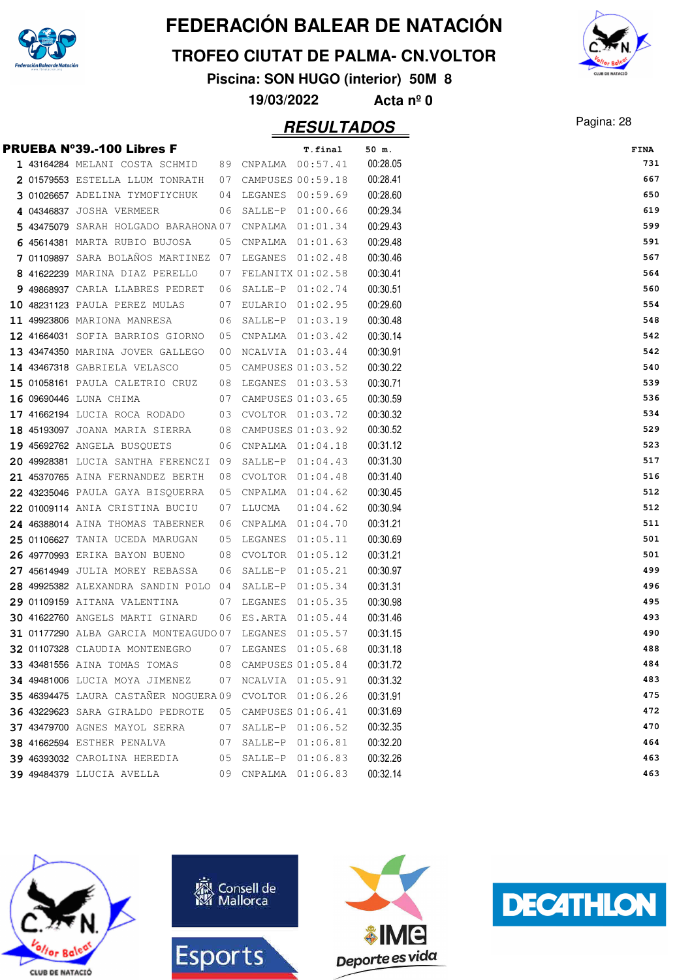

#### **TROFEO CIUTAT DE PALMA- CN.VOLTOR**

**Piscina: SON HUGO (interior) 50M 8**

**19/03/2022 Acta nº 0**

### Pagina: 28 **RESULTADOS**



|  | PRUEBA Nº39.-100 Libres F                             |    |                      | T.final  | 50 m.    | <b>FINA</b> |
|--|-------------------------------------------------------|----|----------------------|----------|----------|-------------|
|  | 1 43164284 MELANI COSTA SCHMID                        |    | 89 CNPALMA 00:57.41  |          | 00:28.05 | 731         |
|  | 2 01579553 ESTELLA LLUM TONRATH                       |    | 07 CAMPUSES 00:59.18 |          | 00:28.41 | 667         |
|  | 3 01026657 ADELINA TYMOFIYCHUK                        |    | 04 LEGANES 00:59.69  |          | 00:28.60 | 650         |
|  | 4 04346837 JOSHA VERMEER                              | 06 | SALLE-P 01:00.66     |          | 00:29.34 | 619         |
|  | 5 43475079 SARAH HOLGADO BARAHONA 07                  |    | CNPALMA 01:01.34     |          | 00:29.43 | 599         |
|  | 6 45614381 MARTA RUBIO BUJOSA                         |    | 05 CNPALMA 01:01.63  |          | 00:29.48 | 591         |
|  | 7 01109897 SARA BOLAÑOS MARTINEZ 07 LEGANES 01:02.48  |    |                      |          | 00:30.46 | 567         |
|  | 8 41622239 MARINA DIAZ PERELLO                        |    | 07 FELANITX 01:02.58 |          | 00:30.41 | 564         |
|  | 9 49868937 CARLA LLABRES PEDRET                       | 06 | SALLE-P 01:02.74     |          | 00:30.51 | 560         |
|  | 10 48231123 PAULA PEREZ MULAS                         |    | 07 EULARIO 01:02.95  |          | 00:29.60 | 554         |
|  | 11 49923806 MARIONA MANRESA                           |    | 06 SALLE-P 01:03.19  |          | 00:30.48 | 548         |
|  | 12 41664031 SOFIA BARRIOS GIORNO                      | 05 | CNPALMA 01:03.42     |          | 00:30.14 | 542         |
|  | 13 43474350 MARINA JOVER GALLEGO                      | 00 | NCALVIA 01:03.44     |          | 00:30.91 | 542         |
|  | <b>14 43467318</b> GABRIELA VELASCO                   |    | 05 CAMPUSES 01:03.52 |          | 00:30.22 | 540         |
|  | 15 01058161 PAULA CALETRIO CRUZ                       |    | 08 LEGANES 01:03.53  |          | 00:30.71 | 539         |
|  | 16 09690446 LUNA CHIMA                                |    | 07 CAMPUSES 01:03.65 |          | 00:30.59 | 536         |
|  | <b>17 41662194</b> Lucia roca rodado                  |    | 03 CVOLTOR 01:03.72  |          | 00:30.32 | 534         |
|  | 18 45193097 JOANA MARIA SIERRA                        |    | 08 CAMPUSES 01:03.92 |          | 00:30.52 | 529         |
|  | <b>19 45692762 ANGELA BUSQUETS</b>                    |    | 06 CNPALMA 01:04.18  |          | 00:31.12 | 523         |
|  | 20 49928381 LUCIA SANTHA FERENCZI 09 SALLE-P 01:04.43 |    |                      |          | 00:31.30 | 517         |
|  | 21 45370765 AINA FERNANDEZ BERTH                      | 08 | CVOLTOR 01:04.48     |          | 00:31.40 | 516         |
|  | 22 43235046 PAULA GAYA BISQUERRA                      | 05 | CNPALMA 01:04.62     |          | 00:30.45 | 512         |
|  | 22 01009114 ANIA CRISTINA BUCIU                       | 07 | LLUCMA               | 01:04.62 | 00:30.94 | 512         |
|  | 24 46388014 AINA THOMAS TABERNER                      | 06 | CNPALMA 01:04.70     |          | 00:31.21 | 511         |
|  | 25 01106627 TANIA UCEDA MARUGAN                       |    | 05 LEGANES           | 01:05.11 | 00:30.69 | 501         |
|  | 26 49770993 ERIKA BAYON BUENO                         |    | 08 CVOLTOR 01:05.12  |          | 00:31.21 | 501         |
|  | 27 45614949 JULIA MOREY REBASSA                       |    | 06 SALLE-P 01:05.21  |          | 00:30.97 | 499         |
|  | 28 49925382 ALEXANDRA SANDIN POLO 04 SALLE-P 01:05.34 |    |                      |          | 00:31.31 | 496         |
|  | 29 01109159 AITANA VALENTINA                          |    | 07 LEGANES 01:05.35  |          | 00:30.98 | 495         |
|  | 30 41622760 ANGELS MARTI GINARD                       | 06 | ES.ARTA 01:05.44     |          | 00:31.46 | 493         |
|  | 31 01177290 ALBA GARCIA MONTEAGUDO07 LEGANES 01:05.57 |    |                      |          | 00:31.15 | 490         |
|  | 32 01107328 CLAUDIA MONTENEGRO                        |    | 07 LEGANES 01:05.68  |          | 00:31.18 | 488         |
|  | 33 43481556 AINA TOMAS TOMAS                          | 08 | CAMPUSES 01:05.84    |          | 00:31.72 | 484         |
|  | 34 49481006 LUCIA MOYA JIMENEZ                        | 07 | NCALVIA 01:05.91     |          | 00:31.32 | 483         |
|  | 35 46394475 LAURA CASTAÑER NOGUERA 09                 |    | CVOLTOR 01:06.26     |          | 00:31.91 | 475         |
|  | 36 43229623 SARA GIRALDO PEDROTE                      | 05 | CAMPUSES 01:06.41    |          | 00:31.69 | 472         |
|  | 37 43479700 AGNES MAYOL SERRA                         | 07 | SALLE-P 01:06.52     |          | 00:32.35 | 470         |
|  | <b>38 41662594 ESTHER PENALVA</b>                     | 07 | SALLE-P 01:06.81     |          | 00:32.20 | 464         |
|  | 39 46393032 CAROLINA HEREDIA                          | 05 | SALLE-P 01:06.83     |          | 00:32.26 | 463         |
|  | <b>39 49484379 LLUCIA AVELLA</b>                      |    | 09 CNPALMA 01:06.83  |          | 00:32.14 | 463         |







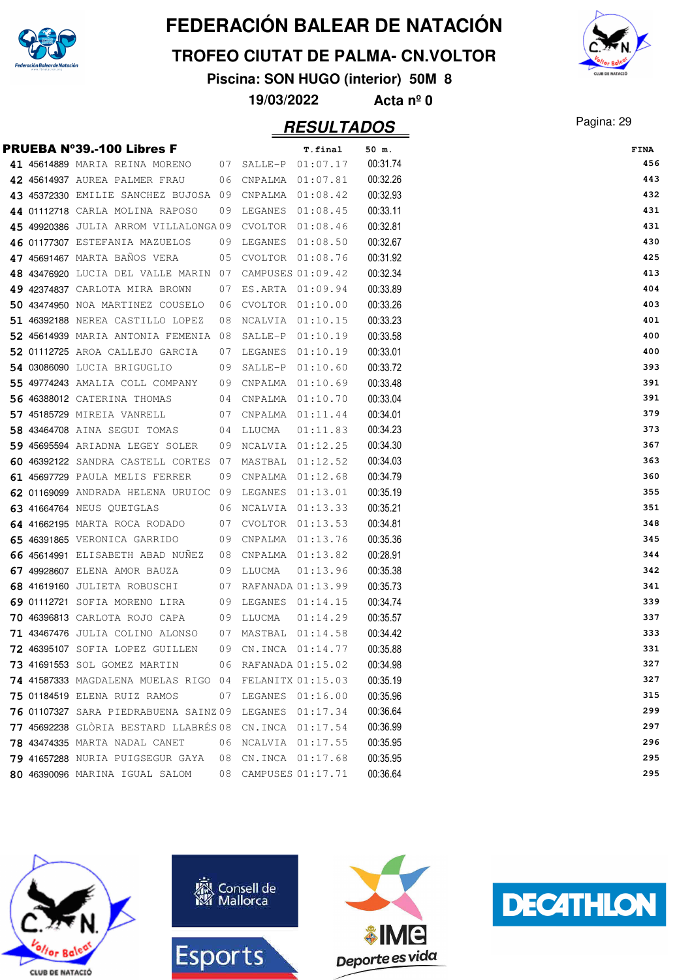

#### **TROFEO CIUTAT DE PALMA- CN.VOLTOR**

**Piscina: SON HUGO (interior) 50M 8**

**19/03/2022 Acta nº 0**

### Pagina: 29 **RESULTADOS**



|  | PRUEBA N°39.-100 Libres F                              |    |                      | T.final           | 50 m.    |
|--|--------------------------------------------------------|----|----------------------|-------------------|----------|
|  | 41 45614889 MARIA REINA MORENO 07 SALLE-P 01:07.17     |    |                      |                   | 00:31.74 |
|  | 42 45614937 AUREA PALMER FRAU                          |    | 06 CNPALMA 01:07.81  |                   | 00:32.26 |
|  | 43 45372330 EMILIE SANCHEZ BUJOSA 09 CNPALMA 01:08.42  |    |                      |                   | 00:32.93 |
|  | 44 01112718 CARLA MOLINA RAPOSO                        | 09 | LEGANES              | 01:08.45          | 00:33.11 |
|  | 45 49920386 JULIA ARROM VILLALONGA09                   |    |                      | CVOLTOR 01:08.46  | 00:32.81 |
|  | 46 01177307 ESTEFANIA MAZUELOS                         |    | 09 LEGANES           | 01:08.50          | 00:32.67 |
|  | 47 45691467 MARTA BAÑOS VERA                           |    | 05 CVOLTOR 01:08.76  |                   | 00:31.92 |
|  | 48 43476920 LUCIA DEL VALLE MARIN 07                   |    |                      | CAMPUSES 01:09.42 | 00:32.34 |
|  | 49 42374837 CARLOTA MIRA BROWN                         |    | 07 ES.ARTA 01:09.94  |                   | 00:33.89 |
|  | 50 43474950 NOA MARTINEZ COUSELO                       | 06 |                      | CVOLTOR 01:10.00  | 00:33.26 |
|  | 51 46392188 NEREA CASTILLO LOPEZ                       | 08 | NCALVIA 01:10.15     |                   | 00:33.23 |
|  | 52 45614939 MARIA ANTONIA FEMENIA 08                   |    | SALLE-P              | 01:10.19          | 00:33.58 |
|  | 52 01112725 AROA CALLEJO GARCIA                        |    | 07 LEGANES           | 01:10.19          | 00:33.01 |
|  | 54 03086090 LUCIA BRIGUGLIO                            |    | 09 SALLE-P           | 01:10.60          | 00:33.72 |
|  | 55 49774243 AMALIA COLL COMPANY                        |    | 09 CNPALMA 01:10.69  |                   | 00:33.48 |
|  | 56 46388012 CATERINA THOMAS                            |    | 04 CNPALMA 01:10.70  |                   | 00:33.04 |
|  | 57 45185729 MIREIA VANRELL                             |    | 07 CNPALMA 01:11.44  |                   | 00:34.01 |
|  | 58 43464708 AINA SEGUI TOMAS                           |    | 04 LLUCMA            | 01:11.83          | 00:34.23 |
|  | 59 45695594 ARIADNA LEGEY SOLER                        |    | 09 NCALVIA 01:12.25  |                   | 00:34.30 |
|  | 60 46392122 SANDRA CASTELL CORTES 07                   |    |                      | MASTBAL 01:12.52  | 00:34.03 |
|  | 61 45697729 PAULA MELIS FERRER                         | 09 |                      | CNPALMA 01:12.68  | 00:34.79 |
|  | 62 01169099 ANDRADA HELENA URUIOC 09 LEGANES 01:13.01  |    |                      |                   | 00:35.19 |
|  | <b>63 41664764 NEUS QUETGLAS</b>                       |    | 06 NCALVIA 01:13.33  |                   | 00:35.21 |
|  | 64 41662195 MARTA ROCA RODADO                          |    | 07 CVOLTOR 01:13.53  |                   | 00:34.81 |
|  | 65 46391865 VERONICA GARRIDO                           | 09 |                      | CNPALMA 01:13.76  | 00:35.36 |
|  | 66 45614991 ELISABETH ABAD NUNEZ                       | 08 |                      | CNPALMA 01:13.82  | 00:28.91 |
|  | 67 49928607 ELENA AMOR BAUZA                           |    | 09 LLUCMA            | 01:13.96          | 00:35.38 |
|  | 68 41619160 JULIETA ROBUSCHI                           |    | 07 RAFANADA 01:13.99 |                   | 00:35.73 |
|  | 69 01112721 SOFIA MORENO LIRA                          | 09 |                      | LEGANES 01:14.15  | 00:34.74 |
|  | 70 46396813 CARLOTA ROJO CAPA                          |    | 09 LLUCMA            | 01:14.29          | 00:35.57 |
|  | 71 43467476 JULIA COLINO ALONSO                        | 07 |                      | MASTBAL 01:14.58  | 00:34.42 |
|  | 72 46395107 SOFIA LOPEZ GUILLEN                        |    | 09 CN.INCA 01:14.77  |                   | 00:35.88 |
|  | 73 41691553 SOL GOMEZ MARTIN                           |    | 06 RAFANADA 01:15.02 |                   | 00:34.98 |
|  | 74 41587333 MAGDALENA MUELAS RIGO 04 FELANITX 01:15.03 |    |                      |                   | 00:35.19 |
|  | 75 01184519 ELENA RUIZ RAMOS                           |    | 07 LEGANES 01:16.00  |                   | 00:35.96 |
|  | 76 01107327 SARA PIEDRABUENA SAINZ 09                  |    | LEGANES 01:17.34     |                   | 00:36.64 |
|  | 77 45692238 GLÒRIA BESTARD LLABRÉS 08                  |    |                      | CN.INCA 01:17.54  | 00:36.99 |
|  | 78 43474335 MARTA NADAL CANET                          | 06 | NCALVIA 01:17.55     |                   | 00:35.95 |
|  | 79 41657288 NURIA PUIGSEGUR GAYA                       | 08 |                      | CN.INCA 01:17.68  | 00:35.95 |
|  | 80 46390096 MARINA IGUAL SALOM                         | 08 | CAMPUSES 01:17.71    |                   | 00:36.64 |
|  |                                                        |    |                      |                   |          |







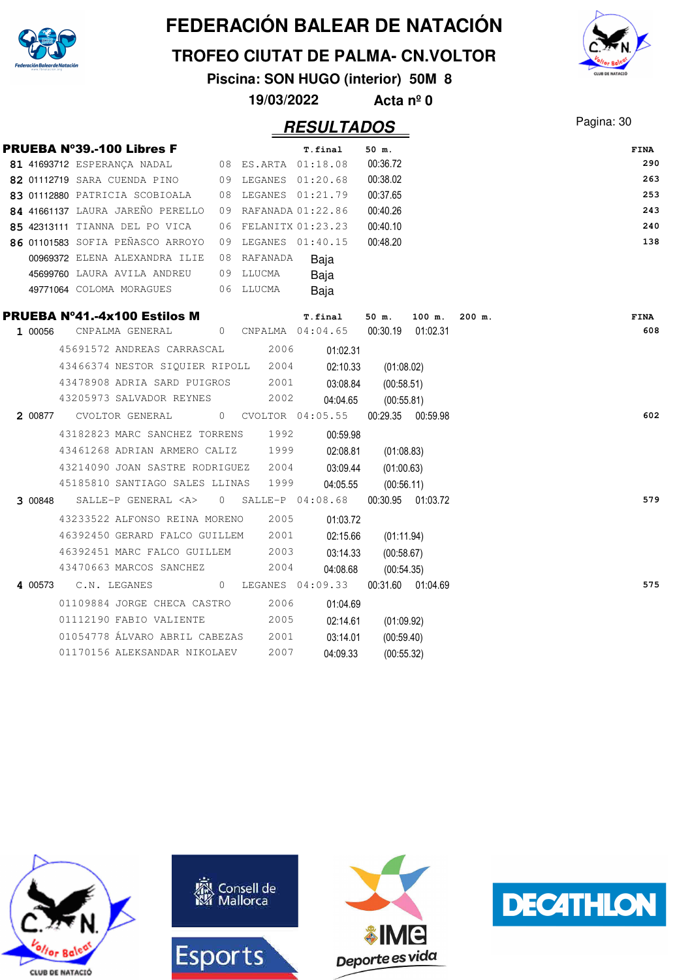

**TROFEO CIUTAT DE PALMA- CN.VOLTOR**

**Piscina: SON HUGO (interior) 50M 8**

**19/03/2022 Acta nº 0**

### Pagina: 30 **RESULTADOS**

|         |                      | <b>PRUEBA N°39.-100 Libres F</b>    |  |             | T.final                                               | 50 m.             |                        |          | FINA |
|---------|----------------------|-------------------------------------|--|-------------|-------------------------------------------------------|-------------------|------------------------|----------|------|
|         |                      | 81 41693712 ESPERANÇA NADAL         |  |             | 08 ES.ARTA 01:18.08                                   | 00:36.72          |                        |          | 290  |
|         |                      |                                     |  |             | 82 01112719 SARA CUENDA PINO 09 LEGANES 01:20.68      | 00:38.02          |                        |          | 263  |
|         |                      |                                     |  |             | 83 01112880 PATRICIA SCOBIOALA 08 LEGANES 01:21.79    | 00:37.65          |                        |          | 253  |
|         |                      |                                     |  |             | 84 41661137 LAURA JAREÑO PERELLO 09 RAFANADA 01:22.86 | 00:40.26          |                        |          | 243  |
|         |                      | 85 42313111 TIANNA DEL PO VICA      |  |             | 06 FELANITX 01:23.23                                  | 00:40.10          |                        |          | 240  |
|         |                      | 86 01101583 SOFIA PEÑASCO ARROYO    |  |             | 09 LEGANES 01:40.15                                   | 00:48.20          |                        |          | 138  |
|         |                      | 00969372 ELENA ALEXANDRA ILIE       |  | 08 RAFANADA | Baja                                                  |                   |                        |          |      |
|         |                      | 45699760 LAURA AVILA ANDREU         |  | 09 LLUCMA   | Baja                                                  |                   |                        |          |      |
|         |                      | 49771064 COLOMA MORAGUES            |  | 06 LLUCMA   | Baja                                                  |                   |                        |          |      |
|         |                      | <b>PRUEBA Nº41.-4x100 Estilos M</b> |  |             | T.final                                               |                   | $50 \text{ m.}$ 100 m. | $200$ m. | FINA |
| 1 00056 |                      | CNPALMA GENERAL                     |  |             | 0 CNPALMA 04:04.65                                    | 00:30.19 01:02.31 |                        |          | 608  |
|         |                      | 45691572 ANDREAS CARRASCAL          |  | 2006        | 01:02.31                                              |                   |                        |          |      |
|         |                      | 43466374 NESTOR SIQUIER RIPOLL 2004 |  |             | 02:10.33                                              | (01:08.02)        |                        |          |      |
|         |                      | 43478908 ADRIA SARD PUIGROS         |  | 2001        | 03:08.84                                              | (00:58.51)        |                        |          |      |
|         |                      | 43205973 SALVADOR REYNES            |  | 2002        | 04:04.65                                              | (00:55.81)        |                        |          |      |
|         |                      | 2 00877 CVOLTOR GENERAL             |  |             | 0 CVOLTOR 04:05.55                                    | 00:29.35 00:59.98 |                        |          | 602  |
|         |                      | 43182823 MARC SANCHEZ TORRENS       |  | 1992        | 00:59.98                                              |                   |                        |          |      |
|         |                      | 43461268 ADRIAN ARMERO CALIZ        |  | 1999        | 02:08.81                                              | (01:08.83)        |                        |          |      |
|         |                      | 43214090 JOAN SASTRE RODRIGUEZ      |  | 2004        | 03:09.44                                              | (01:00.63)        |                        |          |      |
|         |                      | 45185810 SANTIAGO SALES LLINAS      |  | 1999        | 04:05.55                                              | (00:56.11)        |                        |          |      |
|         |                      |                                     |  |             | $300848$ SALLE-P GENERAL <a> 0 SALLE-P 04:08.68</a>   | 00:30.95 01:03.72 |                        |          | 579  |
|         |                      | 43233522 ALFONSO REINA MORENO       |  | 2005        | 01:03.72                                              |                   |                        |          |      |
|         |                      | 46392450 GERARD FALCO GUILLEM       |  | 2001        | 02:15.66                                              | (01:11.94)        |                        |          |      |
|         |                      | 46392451 MARC FALCO GUILLEM         |  | 2003        | 03:14.33                                              | (00:58.67)        |                        |          |      |
|         |                      | 43470663 MARCOS SANCHEZ             |  | 2004        | 04:08.68                                              | (00:54.35)        |                        |          |      |
|         | 4 00573 C.N. LEGANES |                                     |  |             | 0 LEGANES 04:09.33                                    | 00:31.60 01:04.69 |                        |          | 575  |
|         |                      | 01109884 JORGE CHECA CASTRO         |  | 2006        | 01:04.69                                              |                   |                        |          |      |
|         |                      | 01112190 FABIO VALIENTE             |  | 2005        | 02:14.61                                              | (01:09.92)        |                        |          |      |
|         |                      | 01054778 ÁLVARO ABRIL CABEZAS       |  | 2001        | 03:14.01                                              | (00:59.40)        |                        |          |      |
|         |                      | 01170156 ALEKSANDAR NIKOLAEV        |  | 2007        | 04:09.33                                              | (00:55.32)        |                        |          |      |